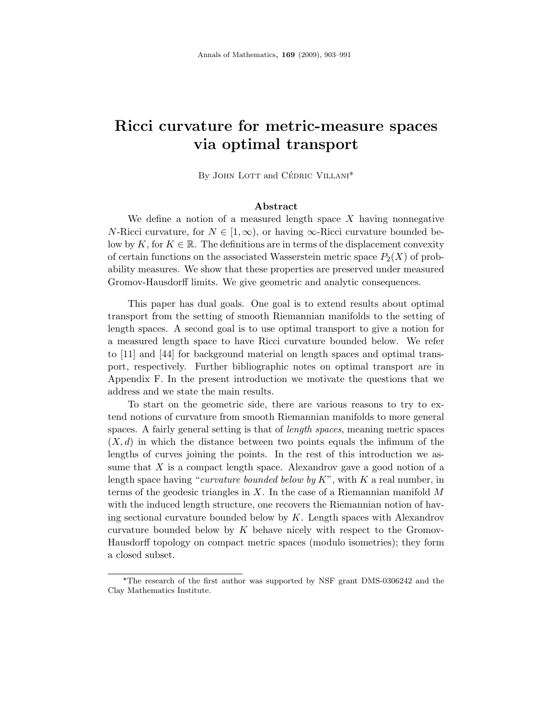# Ricci curvature for metric-measure spaces via optimal transport

By JOHN LOTT and CÉDRIC VILLANI\*

# Abstract

We define a notion of a measured length space  $X$  having nonnegative N-Ricci curvature, for  $N \in [1,\infty)$ , or having  $\infty$ -Ricci curvature bounded below by K, for  $K \in \mathbb{R}$ . The definitions are in terms of the displacement convexity of certain functions on the associated Wasserstein metric space  $P_2(X)$  of probability measures. We show that these properties are preserved under measured Gromov-Hausdorff limits. We give geometric and analytic consequences.

This paper has dual goals. One goal is to extend results about optimal transport from the setting of smooth Riemannian manifolds to the setting of length spaces. A second goal is to use optimal transport to give a notion for a measured length space to have Ricci curvature bounded below. We refer to [11] and [44] for background material on length spaces and optimal transport, respectively. Further bibliographic notes on optimal transport are in Appendix F. In the present introduction we motivate the questions that we address and we state the main results.

To start on the geometric side, there are various reasons to try to extend notions of curvature from smooth Riemannian manifolds to more general spaces. A fairly general setting is that of *length spaces*, meaning metric spaces  $(X, d)$  in which the distance between two points equals the infimum of the lengths of curves joining the points. In the rest of this introduction we assume that X is a compact length space. Alexandrov gave a good notion of a length space having "*curvature bounded below by K*", with  $K$  a real number, in terms of the geodesic triangles in  $X$ . In the case of a Riemannian manifold  $M$ with the induced length structure, one recovers the Riemannian notion of having sectional curvature bounded below by  $K$ . Length spaces with Alexandrov curvature bounded below by  $K$  behave nicely with respect to the Gromov-Hausdorff topology on compact metric spaces (modulo isometries); they form a closed subset.

<sup>\*</sup>The research of the first author was supported by NSF grant DMS-0306242 and the Clay Mathematics Institute.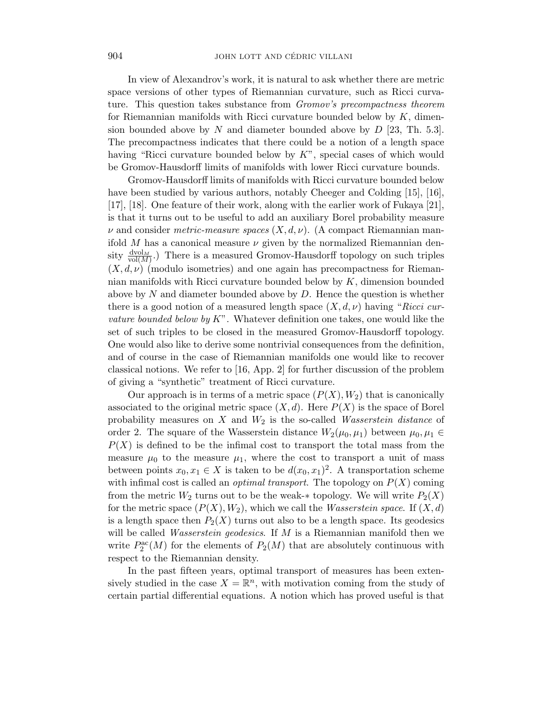In view of Alexandrov's work, it is natural to ask whether there are metric space versions of other types of Riemannian curvature, such as Ricci curvature. This question takes substance from *Gromov's precompactness theorem* for Riemannian manifolds with Ricci curvature bounded below by  $K$ , dimension bounded above by N and diameter bounded above by  $D$  [23, Th. 5.3]. The precompactness indicates that there could be a notion of a length space having "Ricci curvature bounded below by  $K$ ", special cases of which would be Gromov-Hausdorff limits of manifolds with lower Ricci curvature bounds.

Gromov-Hausdorff limits of manifolds with Ricci curvature bounded below have been studied by various authors, notably Cheeger and Colding [15], [16], [17], [18]. One feature of their work, along with the earlier work of Fukaya [21], is that it turns out to be useful to add an auxiliary Borel probability measure  $\nu$  and consider *metric-measure spaces*  $(X, d, \nu)$ . (A compact Riemannian manifold M has a canonical measure  $\nu$  given by the normalized Riemannian density  $\frac{dvol_M}{vol(M)}$ .) There is a measured Gromov-Hausdorff topology on such triples  $(X, d, \nu)$  (modulo isometries) and one again has precompactness for Riemannian manifolds with Ricci curvature bounded below by  $K$ , dimension bounded above by  $N$  and diameter bounded above by  $D$ . Hence the question is whether there is a good notion of a measured length space  $(X, d, \nu)$  having "Ricci curvature bounded below by  $K$ ". Whatever definition one takes, one would like the set of such triples to be closed in the measured Gromov-Hausdorff topology. One would also like to derive some nontrivial consequences from the definition, and of course in the case of Riemannian manifolds one would like to recover classical notions. We refer to [16, App. 2] for further discussion of the problem of giving a "synthetic" treatment of Ricci curvature.

Our approach is in terms of a metric space  $(P(X), W_2)$  that is canonically associated to the original metric space  $(X, d)$ . Here  $P(X)$  is the space of Borel probability measures on  $X$  and  $W_2$  is the so-called *Wasserstein distance* of order 2. The square of the Wasserstein distance  $W_2(\mu_0, \mu_1)$  between  $\mu_0, \mu_1 \in$  $P(X)$  is defined to be the infimal cost to transport the total mass from the measure  $\mu_0$  to the measure  $\mu_1$ , where the cost to transport a unit of mass between points  $x_0, x_1 \in X$  is taken to be  $d(x_0, x_1)^2$ . A transportation scheme with infimal cost is called an *optimal transport*. The topology on  $P(X)$  coming from the metric  $W_2$  turns out to be the weak-\* topology. We will write  $P_2(X)$ for the metric space  $(P(X), W_2)$ , which we call the *Wasserstein space*. If  $(X, d)$ is a length space then  $P_2(X)$  turns out also to be a length space. Its geodesics will be called *Wasserstein geodesics*. If  $M$  is a Riemannian manifold then we write  $P_2^{\text{ac}}(M)$  for the elements of  $P_2(M)$  that are absolutely continuous with respect to the Riemannian density.

In the past fifteen years, optimal transport of measures has been extensively studied in the case  $X = \mathbb{R}^n$ , with motivation coming from the study of certain partial differential equations. A notion which has proved useful is that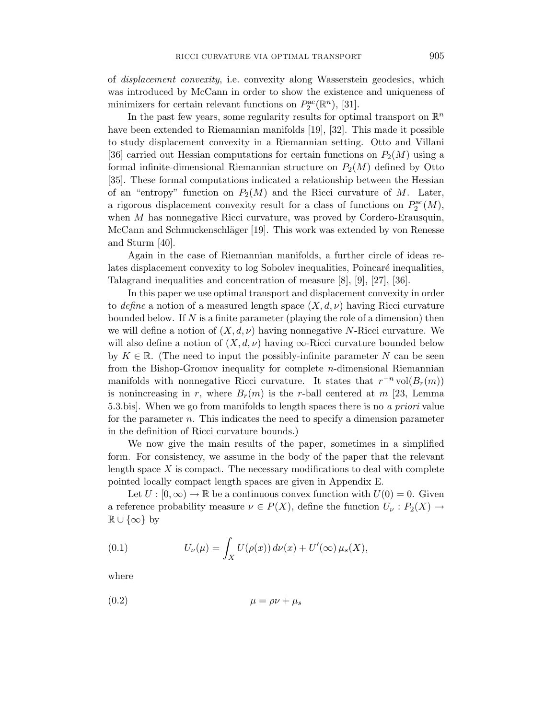of displacement convexity, i.e. convexity along Wasserstein geodesics, which was introduced by McCann in order to show the existence and uniqueness of minimizers for certain relevant functions on  $P_2^{\text{ac}}(\mathbb{R}^n)$ , [31].

In the past few years, some regularity results for optimal transport on  $\mathbb{R}^n$ have been extended to Riemannian manifolds [19], [32]. This made it possible to study displacement convexity in a Riemannian setting. Otto and Villani [36] carried out Hessian computations for certain functions on  $P_2(M)$  using a formal infinite-dimensional Riemannian structure on  $P_2(M)$  defined by Otto [35]. These formal computations indicated a relationship between the Hessian of an "entropy" function on  $P_2(M)$  and the Ricci curvature of M. Later, a rigorous displacement convexity result for a class of functions on  $P_2^{\rm ac}(M)$ , when M has nonnegative Ricci curvature, was proved by Cordero-Erausquin, McCann and Schmuckenschläger [19]. This work was extended by von Renesse and Sturm [40].

Again in the case of Riemannian manifolds, a further circle of ideas relates displacement convexity to log Sobolev inequalities, Poincaré inequalities, Talagrand inequalities and concentration of measure [8], [9], [27], [36].

In this paper we use optimal transport and displacement convexity in order to define a notion of a measured length space  $(X, d, \nu)$  having Ricci curvature bounded below. If  $N$  is a finite parameter (playing the role of a dimension) then we will define a notion of  $(X, d, \nu)$  having nonnegative N-Ricci curvature. We will also define a notion of  $(X, d, \nu)$  having  $\infty$ -Ricci curvature bounded below by  $K \in \mathbb{R}$ . (The need to input the possibly-infinite parameter N can be seen from the Bishop-Gromov inequality for complete n-dimensional Riemannian manifolds with nonnegative Ricci curvature. It states that  $r^{-n}\text{vol}(B_r(m))$ is nonincreasing in r, where  $B_r(m)$  is the r-ball centered at m [23, Lemma 5.3.bis]. When we go from manifolds to length spaces there is no a priori value for the parameter  $n$ . This indicates the need to specify a dimension parameter in the definition of Ricci curvature bounds.)

We now give the main results of the paper, sometimes in a simplified form. For consistency, we assume in the body of the paper that the relevant length space  $X$  is compact. The necessary modifications to deal with complete pointed locally compact length spaces are given in Appendix E.

Let  $U : [0, \infty) \to \mathbb{R}$  be a continuous convex function with  $U(0) = 0$ . Given a reference probability measure  $\nu \in P(X)$ , define the function  $U_{\nu}: P_2(X) \to$  $\mathbb{R} \cup \{\infty\}$  by

(0.1) 
$$
U_{\nu}(\mu) = \int_{X} U(\rho(x)) d\nu(x) + U'(\infty) \mu_{s}(X),
$$

where

$$
(0.2) \t\t \mu = \rho \nu + \mu_s
$$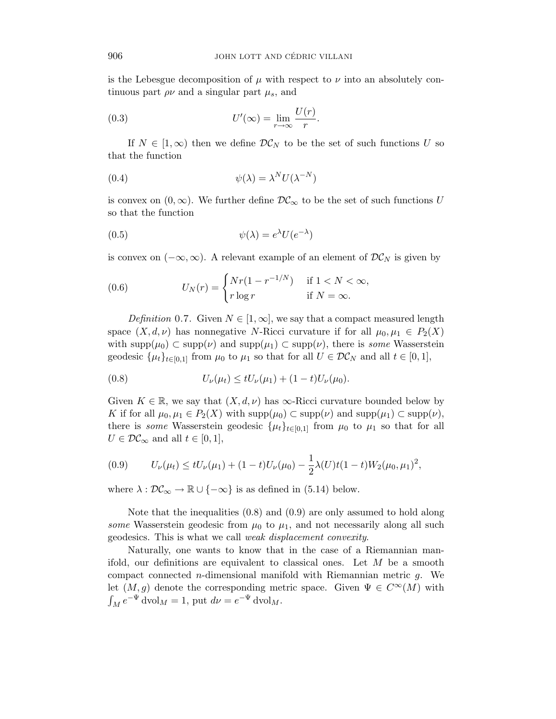is the Lebesgue decomposition of  $\mu$  with respect to  $\nu$  into an absolutely continuous part  $\rho \nu$  and a singular part  $\mu_s$ , and

(0.3) 
$$
U'(\infty) = \lim_{r \to \infty} \frac{U(r)}{r}.
$$

If  $N \in [1,\infty)$  then we define  $\mathcal{DC}_N$  to be the set of such functions U so that the function

(0.4) 
$$
\psi(\lambda) = \lambda^N U(\lambda^{-N})
$$

is convex on  $(0, \infty)$ . We further define  $\mathcal{DC}_{\infty}$  to be the set of such functions U so that the function

$$
(0.5) \t\t \psi(\lambda) = e^{\lambda} U(e^{-\lambda})
$$

is convex on  $(-\infty, \infty)$ . A relevant example of an element of  $\mathcal{DC}_N$  is given by

(0.6) 
$$
U_N(r) = \begin{cases} Nr(1 - r^{-1/N}) & \text{if } 1 < N < \infty, \\ r \log r & \text{if } N = \infty. \end{cases}
$$

Definition 0.7. Given  $N \in [1,\infty]$ , we say that a compact measured length space  $(X, d, \nu)$  has nonnegative N-Ricci curvature if for all  $\mu_0, \mu_1 \in P_2(X)$ with supp $(\mu_0)$   $\subset$  supp $(\nu)$  and supp $(\mu_1)$   $\subset$  supp $(\nu)$ , there is some Wasserstein geodesic  $\{\mu_t\}_{t\in[0,1]}$  from  $\mu_0$  to  $\mu_1$  so that for all  $U \in \mathcal{DC}_N$  and all  $t \in [0,1],$ 

(0.8) 
$$
U_{\nu}(\mu_t) \leq t U_{\nu}(\mu_1) + (1-t)U_{\nu}(\mu_0).
$$

Given  $K \in \mathbb{R}$ , we say that  $(X, d, \nu)$  has  $\infty$ -Ricci curvature bounded below by K if for all  $\mu_0, \mu_1 \in P_2(X)$  with  $\text{supp}(\mu_0) \subset \text{supp}(\nu)$  and  $\text{supp}(\mu_1) \subset \text{supp}(\nu)$ , there is *some* Wasserstein geodesic  $\{\mu_t\}_{t\in[0,1]}$  from  $\mu_0$  to  $\mu_1$  so that for all  $U \in \mathcal{DC}_{\infty}$  and all  $t \in [0,1],$ 

$$
(0.9) \tU_{\nu}(\mu_t) \le tU_{\nu}(\mu_1) + (1-t)U_{\nu}(\mu_0) - \frac{1}{2}\lambda(U)t(1-t)W_2(\mu_0, \mu_1)^2,
$$

where  $\lambda : \mathcal{DC}_{\infty} \to \mathbb{R} \cup \{-\infty\}$  is as defined in (5.14) below.

Note that the inequalities (0.8) and (0.9) are only assumed to hold along some Wasserstein geodesic from  $\mu_0$  to  $\mu_1$ , and not necessarily along all such geodesics. This is what we call weak displacement convexity.

Naturally, one wants to know that in the case of a Riemannian manifold, our definitions are equivalent to classical ones. Let  $M$  be a smooth compact connected *n*-dimensional manifold with Riemannian metric  $q$ . We let  $(M, g)$  denote the corresponding metric space. Given  $\Psi \in C^{\infty}(M)$  with  $\int_M e^{-\Psi} dvol_M = 1$ , put  $d\nu = e^{-\Psi} dvol_M$ .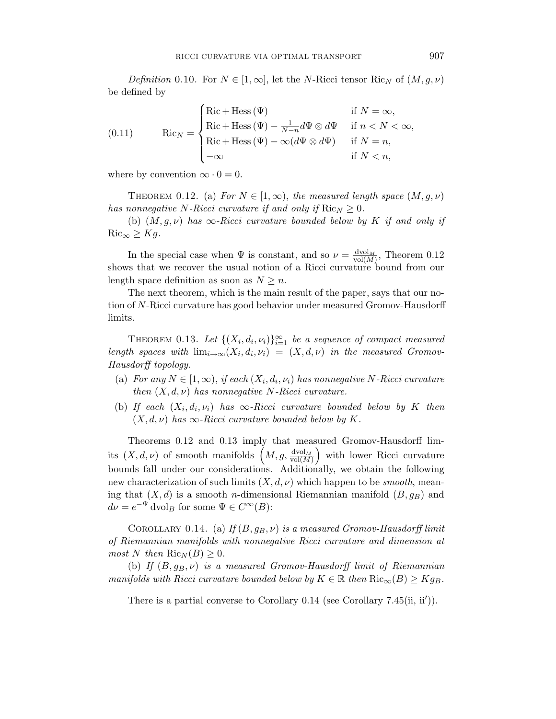Definition 0.10. For  $N \in [1,\infty]$ , let the N-Ricci tensor Ric<sub>N</sub> of  $(M, g, \nu)$ be defined by

(0.11) 
$$
Ric_N = \begin{cases} Ric + Hess(\Psi) & \text{if } N = \infty, \\ Ric + Hess(\Psi) - \frac{1}{N-n}d\Psi \otimes d\Psi & \text{if } n < N < \infty, \\ Ric + Hess(\Psi) - \infty(d\Psi \otimes d\Psi) & \text{if } N = n, \\ -\infty & \text{if } N < n, \end{cases}
$$

where by convention  $\infty \cdot 0 = 0$ .

THEOREM 0.12. (a) For  $N \in [1,\infty)$ , the measured length space  $(M, g, \nu)$ has nonnegative N-Ricci curvature if and only if  $Ric_N \geq 0$ .

(b)  $(M, g, \nu)$  has  $\infty$ -Ricci curvature bounded below by K if and only if  $\text{Ric}_{\infty} \geq Kg.$ 

In the special case when  $\Psi$  is constant, and so  $\nu = \frac{\text{dvol}_M}{\text{vol}(M)}$ , Theorem 0.12 shows that we recover the usual notion of a Ricci curvature bound from our length space definition as soon as  $N \geq n$ .

The next theorem, which is the main result of the paper, says that our notion of N-Ricci curvature has good behavior under measured Gromov-Hausdorff limits.

THEOREM 0.13. Let  $\{(X_i, d_i, \nu_i)\}_{i=1}^{\infty}$  be a sequence of compact measured length spaces with  $\lim_{i\to\infty}(X_i,d_i,\nu_i) = (X,d,\nu)$  in the measured Gromov-Hausdorff topology.

- (a) For any  $N \in [1,\infty)$ , if each  $(X_i,d_i,\nu_i)$  has nonnegative N-Ricci curvature then  $(X, d, \nu)$  has nonnegative N-Ricci curvature.
- (b) If each  $(X_i, d_i, \nu_i)$  has  $\infty$ -Ricci curvature bounded below by K then  $(X, d, \nu)$  has  $\infty$ -Ricci curvature bounded below by K.

Theorems 0.12 and 0.13 imply that measured Gromov-Hausdorff limits  $(X, d, \nu)$  of smooth manifolds  $(M, g, \frac{d \text{vol}_M}{\text{vol}(M)})$  with lower Ricci curvature bounds fall under our considerations. Additionally, we obtain the following new characterization of such limits  $(X, d, \nu)$  which happen to be *smooth*, meaning that  $(X, d)$  is a smooth *n*-dimensional Riemannian manifold  $(B, g_B)$  and  $d\nu = e^{-\Psi}$  dvol<sub>B</sub> for some  $\Psi \in C^{\infty}(B)$ :

COROLLARY 0.14. (a) If  $(B, g_B, \nu)$  is a measured Gromov-Hausdorff limit of Riemannian manifolds with nonnegative Ricci curvature and dimension at most N then  $\text{Ric}_N(B) \geq 0$ .

(b) If  $(B, g_B, \nu)$  is a measured Gromov-Hausdorff limit of Riemannian manifolds with Ricci curvature bounded below by  $K \in \mathbb{R}$  then  $\text{Ric}_{\infty}(B) \geq Kg_B$ .

There is a partial converse to Corollary  $0.14$  (see Corollary  $7.45(ii, ii')$ ).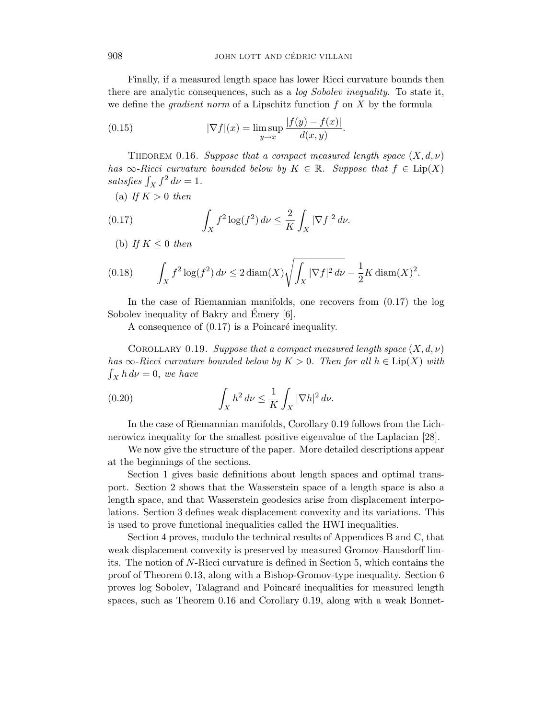Finally, if a measured length space has lower Ricci curvature bounds then there are analytic consequences, such as a log Sobolev inequality. To state it, we define the *gradient norm* of a Lipschitz function  $f$  on  $X$  by the formula

(0.15) 
$$
|\nabla f|(x) = \limsup_{y \to x} \frac{|f(y) - f(x)|}{d(x, y)}.
$$

THEOREM 0.16. Suppose that a compact measured length space  $(X, d, \nu)$ has  $\infty$ -Ricci curvature bounded below by  $K \in \mathbb{R}$ . Suppose that  $f \in \text{Lip}(X)$ satisfies  $\int_X f^2 d\nu = 1$ .

(a) If  $K > 0$  then

(0.17) 
$$
\int_X f^2 \log(f^2) \, d\nu \leq \frac{2}{K} \int_X |\nabla f|^2 \, d\nu.
$$

(b) If  $K \leq 0$  then

(0.18) 
$$
\int_X f^2 \log(f^2) \, d\nu \le 2 \operatorname{diam}(X) \sqrt{\int_X |\nabla f|^2 \, d\nu} - \frac{1}{2} K \operatorname{diam}(X)^2.
$$

In the case of Riemannian manifolds, one recovers from (0.17) the log Sobolev inequality of Bakry and Emery [6].

A consequence of  $(0.17)$  is a Poincaré inequality.

COROLLARY 0.19. Suppose that a compact measured length space  $(X, d, \nu)$ has  $\infty$ -Ricci curvature bounded below by  $K > 0$ . Then for all  $h \in \text{Lip}(X)$  with  $\int_X h \, d\nu = 0$ , we have

(0.20) 
$$
\int_X h^2 d\nu \leq \frac{1}{K} \int_X |\nabla h|^2 d\nu.
$$

In the case of Riemannian manifolds, Corollary 0.19 follows from the Lichnerowicz inequality for the smallest positive eigenvalue of the Laplacian [28].

We now give the structure of the paper. More detailed descriptions appear at the beginnings of the sections.

Section 1 gives basic definitions about length spaces and optimal transport. Section 2 shows that the Wasserstein space of a length space is also a length space, and that Wasserstein geodesics arise from displacement interpolations. Section 3 defines weak displacement convexity and its variations. This is used to prove functional inequalities called the HWI inequalities.

Section 4 proves, modulo the technical results of Appendices B and C, that weak displacement convexity is preserved by measured Gromov-Hausdorff limits. The notion of N-Ricci curvature is defined in Section 5, which contains the proof of Theorem 0.13, along with a Bishop-Gromov-type inequality. Section 6 proves log Sobolev, Talagrand and Poincar´e inequalities for measured length spaces, such as Theorem 0.16 and Corollary 0.19, along with a weak Bonnet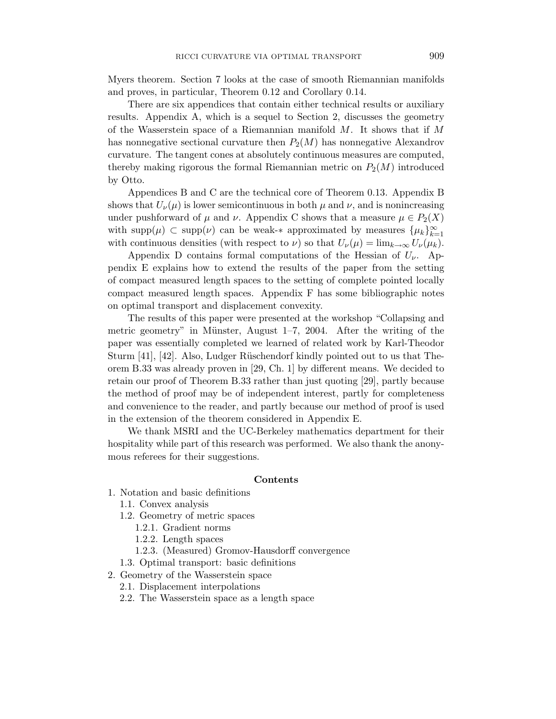Myers theorem. Section 7 looks at the case of smooth Riemannian manifolds and proves, in particular, Theorem 0.12 and Corollary 0.14.

There are six appendices that contain either technical results or auxiliary results. Appendix A, which is a sequel to Section 2, discusses the geometry of the Wasserstein space of a Riemannian manifold  $M$ . It shows that if  $M$ has nonnegative sectional curvature then  $P_2(M)$  has nonnegative Alexandrov curvature. The tangent cones at absolutely continuous measures are computed, thereby making rigorous the formal Riemannian metric on  $P_2(M)$  introduced by Otto.

Appendices B and C are the technical core of Theorem 0.13. Appendix B shows that  $U_{\nu}(\mu)$  is lower semicontinuous in both  $\mu$  and  $\nu$ , and is nonincreasing under pushforward of  $\mu$  and  $\nu$ . Appendix C shows that a measure  $\mu \in P_2(X)$ with supp $(\mu) \subset \text{supp}(\nu)$  can be weak-\* approximated by measures  $\{\mu_k\}_{k=1}^{\infty}$ with continuous densities (with respect to  $\nu$ ) so that  $U_{\nu}(\mu) = \lim_{k \to \infty} U_{\nu}(\mu_k)$ .

Appendix D contains formal computations of the Hessian of  $U_{\nu}$ . Appendix E explains how to extend the results of the paper from the setting of compact measured length spaces to the setting of complete pointed locally compact measured length spaces. Appendix F has some bibliographic notes on optimal transport and displacement convexity.

The results of this paper were presented at the workshop "Collapsing and metric geometry" in Münster, August 1-7, 2004. After the writing of the paper was essentially completed we learned of related work by Karl-Theodor Sturm  $[41]$ ,  $[42]$ . Also, Ludger Rüschendorf kindly pointed out to us that Theorem B.33 was already proven in [29, Ch. 1] by different means. We decided to retain our proof of Theorem B.33 rather than just quoting [29], partly because the method of proof may be of independent interest, partly for completeness and convenience to the reader, and partly because our method of proof is used in the extension of the theorem considered in Appendix E.

We thank MSRI and the UC-Berkeley mathematics department for their hospitality while part of this research was performed. We also thank the anonymous referees for their suggestions.

#### Contents

- 1. Notation and basic definitions
	- 1.1. Convex analysis
	- 1.2. Geometry of metric spaces
		- 1.2.1. Gradient norms
		- 1.2.2. Length spaces
		- 1.2.3. (Measured) Gromov-Hausdorff convergence
	- 1.3. Optimal transport: basic definitions
- 2. Geometry of the Wasserstein space
	- 2.1. Displacement interpolations
	- 2.2. The Wasserstein space as a length space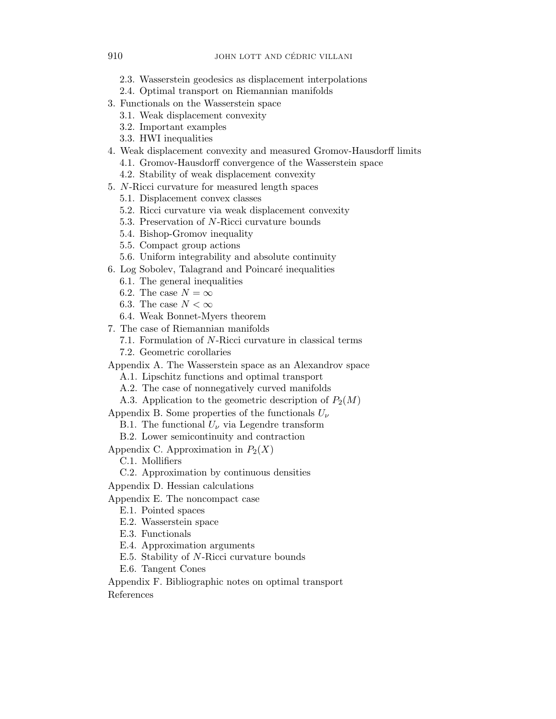- 2.3. Wasserstein geodesics as displacement interpolations
- 2.4. Optimal transport on Riemannian manifolds
- 3. Functionals on the Wasserstein space
	- 3.1. Weak displacement convexity
	- 3.2. Important examples
	- 3.3. HWI inequalities
- 4. Weak displacement convexity and measured Gromov-Hausdorff limits
	- 4.1. Gromov-Hausdorff convergence of the Wasserstein space
	- 4.2. Stability of weak displacement convexity
- 5. N-Ricci curvature for measured length spaces
	- 5.1. Displacement convex classes
	- 5.2. Ricci curvature via weak displacement convexity
	- 5.3. Preservation of N-Ricci curvature bounds
	- 5.4. Bishop-Gromov inequality
	- 5.5. Compact group actions
	- 5.6. Uniform integrability and absolute continuity
- 6. Log Sobolev, Talagrand and Poincaré inequalities
	- 6.1. The general inequalities
	- 6.2. The case  $N = \infty$
	- 6.3. The case  $N < \infty$
	- 6.4. Weak Bonnet-Myers theorem
- 7. The case of Riemannian manifolds
	- 7.1. Formulation of N-Ricci curvature in classical terms
	- 7.2. Geometric corollaries
- Appendix A. The Wasserstein space as an Alexandrov space
	- A.1. Lipschitz functions and optimal transport
	- A.2. The case of nonnegatively curved manifolds
	- A.3. Application to the geometric description of  $P_2(M)$
- Appendix B. Some properties of the functionals  $U_{\nu}$ 
	- B.1. The functional  $U_{\nu}$  via Legendre transform
	- B.2. Lower semicontinuity and contraction
- Appendix C. Approximation in  $P_2(X)$ 
	- C.1. Mollifiers
	- C.2. Approximation by continuous densities
- Appendix D. Hessian calculations
- Appendix E. The noncompact case
	- E.1. Pointed spaces
	- E.2. Wasserstein space
	- E.3. Functionals
	- E.4. Approximation arguments
	- E.5. Stability of N-Ricci curvature bounds
	- E.6. Tangent Cones

Appendix F. Bibliographic notes on optimal transport References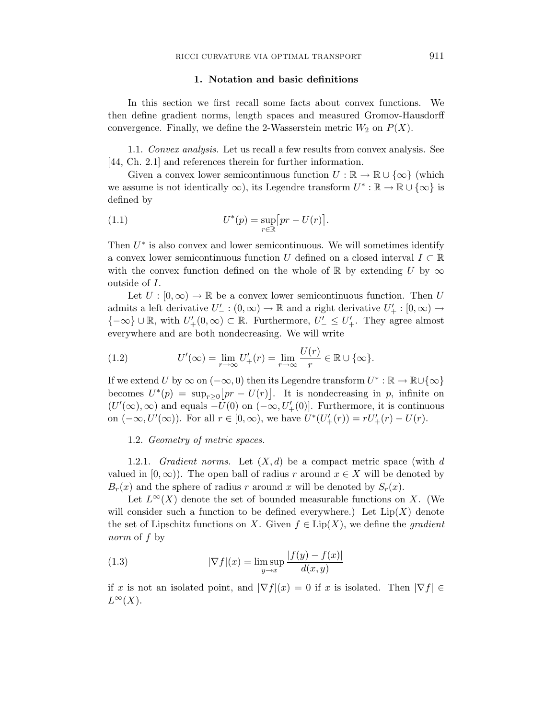### 1. Notation and basic definitions

In this section we first recall some facts about convex functions. We then define gradient norms, length spaces and measured Gromov-Hausdorff convergence. Finally, we define the 2-Wasserstein metric  $W_2$  on  $P(X)$ .

1.1. Convex analysis. Let us recall a few results from convex analysis. See [44, Ch. 2.1] and references therein for further information.

Given a convex lower semicontinuous function  $U : \mathbb{R} \to \mathbb{R} \cup {\infty}$  (which we assume is not identically  $\infty$ ), its Legendre transform  $U^* : \mathbb{R} \to \mathbb{R} \cup \{\infty\}$  is defined by

(1.1) 
$$
U^*(p) = \sup_{r \in \mathbb{R}} \left[ pr - U(r) \right].
$$

Then  $U^*$  is also convex and lower semicontinuous. We will sometimes identify a convex lower semicontinuous function U defined on a closed interval  $I \subset \mathbb{R}$ with the convex function defined on the whole of R by extending U by  $\infty$ outside of I.

Let  $U : [0, \infty) \to \mathbb{R}$  be a convex lower semicontinuous function. Then U admits a left derivative  $U'_{-} : (0, \infty) \to \mathbb{R}$  and a right derivative  $U'_{+} : [0, \infty) \to$  ${-\infty}$   $\cup \mathbb{R}$ , with  $U'_{+}(0,\infty) \subset \mathbb{R}$ . Furthermore,  $U'_{-} \leq U'_{+}$ . They agree almost everywhere and are both nondecreasing. We will write

(1.2) 
$$
U'(\infty) = \lim_{r \to \infty} U'_+(r) = \lim_{r \to \infty} \frac{U(r)}{r} \in \mathbb{R} \cup \{\infty\}.
$$

If we extend U by  $\infty$  on  $(-\infty, 0)$  then its Legendre transform  $U^* : \mathbb{R} \to \mathbb{R} \cup \{\infty\}$ becomes  $U^*(p) = \sup_{r>0} [pr - U(r)].$  It is nondecreasing in p, infinite on  $(U'(\infty), \infty)$  and equals  $-U(0)$  on  $(-\infty, U'_{+}(0)]$ . Furthermore, it is continuous on  $(-\infty, U'(\infty))$ . For all  $r \in [0, \infty)$ , we have  $U^*(U'_{+}(r)) = rU'_{+}(r) - U(r)$ .

#### 1.2. Geometry of metric spaces.

1.2.1. Gradient norms. Let  $(X,d)$  be a compact metric space (with d valued in  $[0, \infty)$ ). The open ball of radius r around  $x \in X$  will be denoted by  $B_r(x)$  and the sphere of radius r around x will be denoted by  $S_r(x)$ .

Let  $L^{\infty}(X)$  denote the set of bounded measurable functions on X. (We will consider such a function to be defined everywhere.) Let  $\text{Lip}(X)$  denote the set of Lipschitz functions on X. Given  $f \in Lip(X)$ , we define the *gradient* norm of f by

(1.3) 
$$
|\nabla f|(x) = \limsup_{y \to x} \frac{|f(y) - f(x)|}{d(x, y)}
$$

if x is not an isolated point, and  $|\nabla f|(x) = 0$  if x is isolated. Then  $|\nabla f| \in$  $L^{\infty}(X)$ .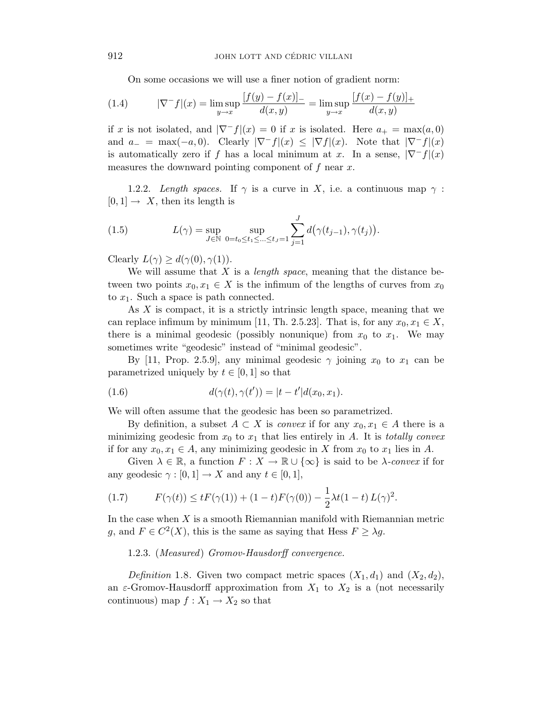On some occasions we will use a finer notion of gradient norm:

(1.4) 
$$
|\nabla^- f|(x) = \limsup_{y \to x} \frac{[f(y) - f(x)]}{d(x, y)} = \limsup_{y \to x} \frac{[f(x) - f(y)]_+}{d(x, y)}
$$

if x is not isolated, and  $|\nabla^- f|(x) = 0$  if x is isolated. Here  $a_+ = \max(a, 0)$ and  $a_-=\max(-a,0)$ . Clearly  $|\nabla^-f|(x) \leq |\nabla f|(x)$ . Note that  $|\nabla^-f|(x)$ is automatically zero if f has a local minimum at x. In a sense,  $|\nabla^- f|(x)$ measures the downward pointing component of  $f$  near  $x$ .

1.2.2. Length spaces. If  $\gamma$  is a curve in X, i.e. a continuous map  $\gamma$ :  $[0, 1] \rightarrow X$ , then its length is

(1.5) 
$$
L(\gamma) = \sup_{J \in \mathbb{N}} \sup_{0 = t_0 \le t_1 \le \dots \le t_J = 1} \sum_{j=1}^J d(\gamma(t_{j-1}), \gamma(t_j)).
$$

Clearly  $L(\gamma) \geq d(\gamma(0), \gamma(1)).$ 

We will assume that  $X$  is a *length space*, meaning that the distance between two points  $x_0, x_1 \in X$  is the infimum of the lengths of curves from  $x_0$ to  $x_1$ . Such a space is path connected.

As X is compact, it is a strictly intrinsic length space, meaning that we can replace infimum by minimum [11, Th. 2.5.23]. That is, for any  $x_0, x_1 \in X$ , there is a minimal geodesic (possibly nonunique) from  $x_0$  to  $x_1$ . We may sometimes write "geodesic" instead of "minimal geodesic".

By [11, Prop. 2.5.9], any minimal geodesic  $\gamma$  joining  $x_0$  to  $x_1$  can be parametrized uniquely by  $t \in [0, 1]$  so that

(1.6) 
$$
d(\gamma(t), \gamma(t')) = |t - t'| d(x_0, x_1).
$$

We will often assume that the geodesic has been so parametrized.

By definition, a subset  $A \subset X$  is *convex* if for any  $x_0, x_1 \in A$  there is a minimizing geodesic from  $x_0$  to  $x_1$  that lies entirely in A. It is *totally convex* if for any  $x_0, x_1 \in A$ , any minimizing geodesic in X from  $x_0$  to  $x_1$  lies in A.

Given  $\lambda \in \mathbb{R}$ , a function  $F: X \to \mathbb{R} \cup {\infty}$  is said to be  $\lambda$ -convex if for any geodesic  $\gamma : [0, 1] \to X$  and any  $t \in [0, 1]$ ,

(1.7) 
$$
F(\gamma(t)) \le tF(\gamma(1)) + (1-t)F(\gamma(0)) - \frac{1}{2}\lambda t(1-t)L(\gamma)^2.
$$

In the case when  $X$  is a smooth Riemannian manifold with Riemannian metric g, and  $F \in C^2(X)$ , this is the same as saying that Hess  $F \geq \lambda g$ .

1.2.3. (Measured) Gromov-Hausdorff convergence.

Definition 1.8. Given two compact metric spaces  $(X_1, d_1)$  and  $(X_2, d_2)$ , an  $\varepsilon$ -Gromov-Hausdorff approximation from  $X_1$  to  $X_2$  is a (not necessarily continuous) map  $f: X_1 \to X_2$  so that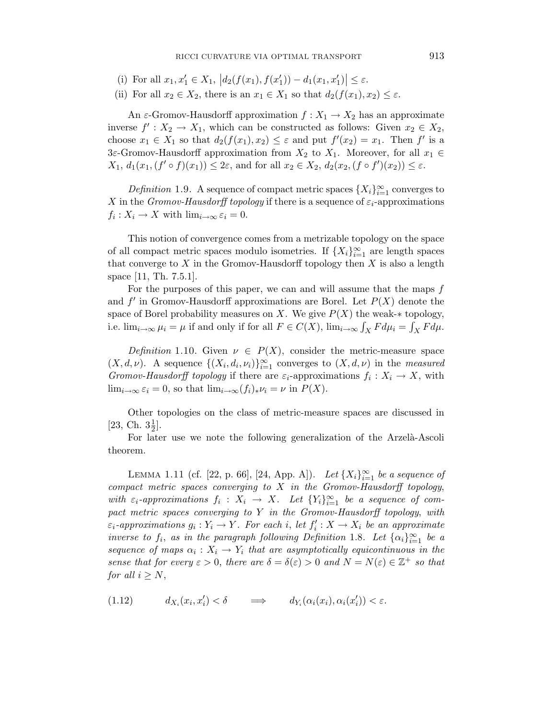- (i) For all  $x_1, x_1' \in X_1$ ,  $|d_2(f(x_1), f(x_1')) d_1(x_1, x_1')| \leq \varepsilon$ .
- (ii) For all  $x_2 \in X_2$ , there is an  $x_1 \in X_1$  so that  $d_2(f(x_1), x_2) \leq \varepsilon$ .

An  $\varepsilon$ -Gromov-Hausdorff approximation  $f: X_1 \to X_2$  has an approximate inverse  $f': X_2 \to X_1$ , which can be constructed as follows: Given  $x_2 \in X_2$ , choose  $x_1 \in X_1$  so that  $d_2(f(x_1), x_2) \leq \varepsilon$  and put  $f'(x_2) = x_1$ . Then f' is a 3ε-Gromov-Hausdorff approximation from  $X_2$  to  $X_1$ . Moreover, for all  $x_1 \in$  $X_1, d_1(x_1, (f' \circ f)(x_1)) \leq 2\varepsilon$ , and for all  $x_2 \in X_2, d_2(x_2, (f \circ f')(x_2)) \leq \varepsilon$ .

Definition 1.9. A sequence of compact metric spaces  $\{X_i\}_{i=1}^{\infty}$  converges to X in the Gromov-Hausdorff topology if there is a sequence of  $\varepsilon_i$ -approximations  $f_i: X_i \to X$  with  $\lim_{i \to \infty} \varepsilon_i = 0$ .

This notion of convergence comes from a metrizable topology on the space of all compact metric spaces modulo isometries. If  ${X_i}_{i=1}^{\infty}$  are length spaces that converge to  $X$  in the Gromov-Hausdorff topology then  $X$  is also a length space [11, Th. 7.5.1].

For the purposes of this paper, we can and will assume that the maps  $f$ and  $f'$  in Gromov-Hausdorff approximations are Borel. Let  $P(X)$  denote the space of Borel probability measures on X. We give  $P(X)$  the weak- $*$  topology, i.e.  $\lim_{i\to\infty}\mu_i=\mu$  if and only if for all  $F\in C(X)$ ,  $\lim_{i\to\infty}\int_X F d\mu_i=\int_X F d\mu$ .

Definition 1.10. Given  $\nu \in P(X)$ , consider the metric-measure space  $(X, d, \nu)$ . A sequence  $\{(X_i, d_i, \nu_i)\}_{i=1}^{\infty}$  converges to  $(X, d, \nu)$  in the measured Gromov-Hausdorff topology if there are  $\varepsilon_i$ -approximations  $f_i: X_i \to X$ , with  $\lim_{i\to\infty} \varepsilon_i = 0$ , so that  $\lim_{i\to\infty} (f_i)_*\nu_i = \nu$  in  $P(X)$ .

Other topologies on the class of metric-measure spaces are discussed in [23, Ch.  $3\frac{1}{2}$ ].

For later use we note the following generalization of the Arzelà-Ascoli theorem.

LEMMA 1.11 (cf. [22, p. 66], [24, App. A]). Let  $\{X_i\}_{i=1}^{\infty}$  be a sequence of compact metric spaces converging to  $X$  in the Gromov-Hausdorff topology, with  $\varepsilon_i$ -approximations  $f_i: X_i \to X$ . Let  $\{Y_i\}_{i=1}^{\infty}$  be a sequence of compact metric spaces converging to Y in the Gromov-Hausdorff topology, with  $\varepsilon_i$ -approximations  $g_i: Y_i \to Y$ . For each i, let  $f'_i: X \to X_i$  be an approximate inverse to  $f_i$ , as in the paragraph following Definition 1.8. Let  $\{\alpha_i\}_{i=1}^{\infty}$  be a sequence of maps  $\alpha_i : X_i \to Y_i$  that are asymptotically equicontinuous in the sense that for every  $\varepsilon > 0$ , there are  $\delta = \delta(\varepsilon) > 0$  and  $N = N(\varepsilon) \in \mathbb{Z}^+$  so that for all  $i \geq N$ ,

 $(1.12)$  $(x_i, x'_i) < \delta$   $\implies$   $d_{Y_i}(\alpha_i(x_i), \alpha_i(x'_i)) < \varepsilon.$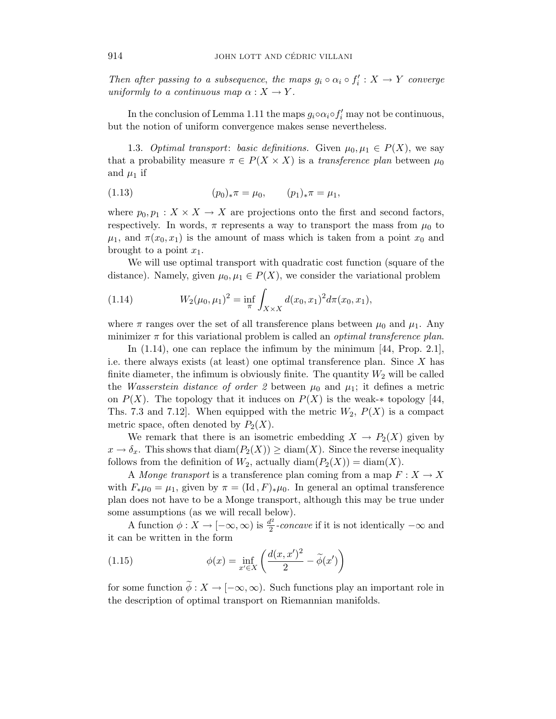Then after passing to a subsequence, the maps  $g_i \circ \alpha_i \circ f'_i : X \to Y$  converge uniformly to a continuous map  $\alpha: X \to Y$ .

In the conclusion of Lemma 1.11 the maps  $g_i \circ \alpha_i \circ f'_i$  may not be continuous, but the notion of uniform convergence makes sense nevertheless.

1.3. Optimal transport: basic definitions. Given  $\mu_0, \mu_1 \in P(X)$ , we say that a probability measure  $\pi \in P(X \times X)$  is a transference plan between  $\mu_0$ and  $\mu_1$  if

(1.13) 
$$
(p_0)_*\pi = \mu_0, \qquad (p_1)_*\pi = \mu_1,
$$

where  $p_0, p_1 : X \times X \to X$  are projections onto the first and second factors, respectively. In words,  $\pi$  represents a way to transport the mass from  $\mu_0$  to  $\mu_1$ , and  $\pi(x_0, x_1)$  is the amount of mass which is taken from a point  $x_0$  and brought to a point  $x_1$ .

We will use optimal transport with quadratic cost function (square of the distance). Namely, given  $\mu_0, \mu_1 \in P(X)$ , we consider the variational problem

(1.14) 
$$
W_2(\mu_0, \mu_1)^2 = \inf_{\pi} \int_{X \times X} d(x_0, x_1)^2 d\pi(x_0, x_1),
$$

where  $\pi$  ranges over the set of all transference plans between  $\mu_0$  and  $\mu_1$ . Any minimizer  $\pi$  for this variational problem is called an *optimal transference plan*.

In  $(1.14)$ , one can replace the infimum by the minimum [44, Prop. 2.1], i.e. there always exists (at least) one optimal transference plan. Since X has finite diameter, the infimum is obviously finite. The quantity  $W_2$  will be called the *Wasserstein distance of order 2* between  $\mu_0$  and  $\mu_1$ ; it defines a metric on  $P(X)$ . The topology that it induces on  $P(X)$  is the weak- $*$  topology [44, Ths. 7.3 and 7.12. When equipped with the metric  $W_2$ ,  $P(X)$  is a compact metric space, often denoted by  $P_2(X)$ .

We remark that there is an isometric embedding  $X \to P_2(X)$  given by  $x \to \delta_x$ . This shows that  $\text{diam}(P_2(X)) \ge \text{diam}(X)$ . Since the reverse inequality follows from the definition of  $W_2$ , actually diam $(P_2(X)) = \text{diam}(X)$ .

A Monge transport is a transference plan coming from a map  $F: X \to X$ with  $F_*\mu_0 = \mu_1$ , given by  $\pi = (\text{Id}, F)_*\mu_0$ . In general an optimal transference plan does not have to be a Monge transport, although this may be true under some assumptions (as we will recall below).

A function  $\phi: X \to [-\infty, \infty)$  is  $\frac{d^2}{2}$  $\frac{d^2}{2}$ -concave if it is not identically  $-\infty$  and it can be written in the form

(1.15) 
$$
\phi(x) = \inf_{x' \in X} \left( \frac{d(x, x')^2}{2} - \widetilde{\phi}(x') \right)
$$

for some function  $\widetilde{\phi}: X \to [-\infty, \infty)$ . Such functions play an important role in the description of optimal transport on Riemannian manifolds.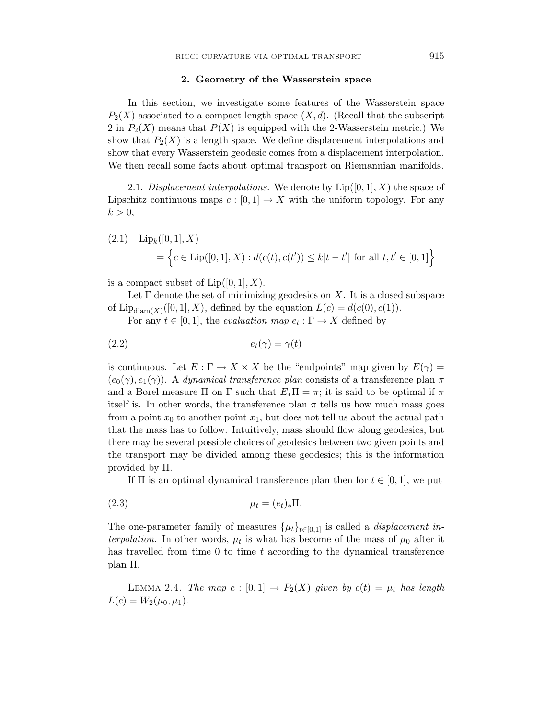## 2. Geometry of the Wasserstein space

In this section, we investigate some features of the Wasserstein space  $P_2(X)$  associated to a compact length space  $(X, d)$ . (Recall that the subscript 2 in  $P_2(X)$  means that  $P(X)$  is equipped with the 2-Wasserstein metric.) We show that  $P_2(X)$  is a length space. We define displacement interpolations and show that every Wasserstein geodesic comes from a displacement interpolation. We then recall some facts about optimal transport on Riemannian manifolds.

2.1. Displacement interpolations. We denote by  $\text{Lip}([0,1], X)$  the space of Lipschitz continuous maps  $c : [0, 1] \to X$  with the uniform topology. For any  $k > 0$ ,

(2.1) 
$$
\text{Lip}_k([0, 1], X)
$$
  
=  $\{c \in \text{Lip}([0, 1], X) : d(c(t), c(t')) \le k|t - t'| \text{ for all } t, t' \in [0, 1]\}$ 

is a compact subset of  $Lip([0, 1], X)$ .

Let  $\Gamma$  denote the set of minimizing geodesics on X. It is a closed subspace of  $\text{Lip}_{\text{diam}(X)}([0,1], X)$ , defined by the equation  $L(c) = d(c(0), c(1))$ .

For any  $t \in [0,1]$ , the *evaluation map*  $e_t : \Gamma \to X$  defined by

$$
(2.2) \t\t e_t(\gamma) = \gamma(t)
$$

is continuous. Let  $E : \Gamma \to X \times X$  be the "endpoints" map given by  $E(\gamma) =$  $(e_0(\gamma), e_1(\gamma))$ . A dynamical transference plan consists of a transference plan  $\pi$ and a Borel measure Π on Γ such that  $E_*\Pi = \pi$ ; it is said to be optimal if  $\pi$ itself is. In other words, the transference plan  $\pi$  tells us how much mass goes from a point  $x_0$  to another point  $x_1$ , but does not tell us about the actual path that the mass has to follow. Intuitively, mass should flow along geodesics, but there may be several possible choices of geodesics between two given points and the transport may be divided among these geodesics; this is the information provided by Π.

If  $\Pi$  is an optimal dynamical transference plan then for  $t \in [0, 1]$ , we put

$$
\mu_t = (e_t)_* \Pi.
$$

The one-parameter family of measures  $\{\mu_t\}_{t\in[0,1]}$  is called a *displacement in*terpolation. In other words,  $\mu_t$  is what has become of the mass of  $\mu_0$  after it has travelled from time  $\theta$  to time t according to the dynamical transference plan Π.

LEMMA 2.4. The map  $c : [0,1] \rightarrow P_2(X)$  given by  $c(t) = \mu_t$  has length  $L(c) = W_2(\mu_0, \mu_1).$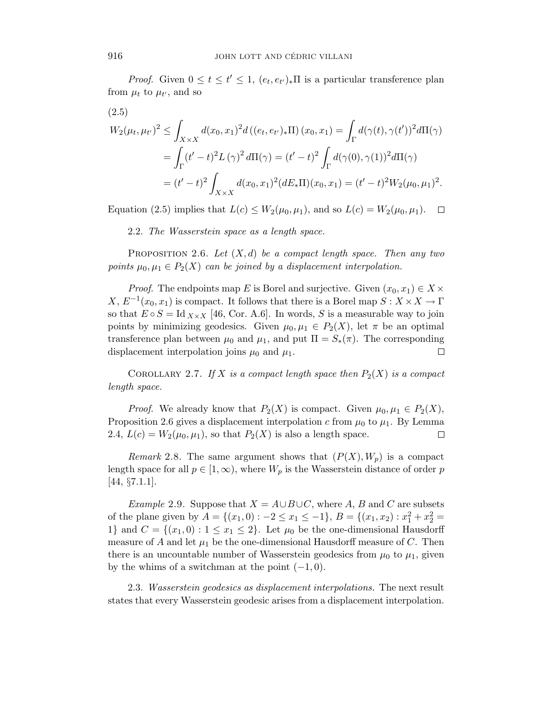*Proof.* Given  $0 \le t \le t' \le 1$ ,  $(e_t, e_{t'})_*$ II is a particular transference plan from  $\mu_t$  to  $\mu_{t'}$ , and so

(2.5)  
\n
$$
W_2(\mu_t, \mu_{t'})^2 \leq \int_{X \times X} d(x_0, x_1)^2 d((e_t, e_{t'})_* \Pi)(x_0, x_1) = \int_{\Gamma} d(\gamma(t), \gamma(t'))^2 d\Pi(\gamma)
$$
\n
$$
= \int_{\Gamma} (t'-t)^2 L(\gamma)^2 d\Pi(\gamma) = (t'-t)^2 \int_{\Gamma} d(\gamma(0), \gamma(1))^2 d\Pi(\gamma)
$$
\n
$$
= (t'-t)^2 \int_{X \times X} d(x_0, x_1)^2 (dE_* \Pi)(x_0, x_1) = (t'-t)^2 W_2(\mu_0, \mu_1)^2.
$$

Equation (2.5) implies that  $L(c) \leq W_2(\mu_0, \mu_1)$ , and so  $L(c) = W_2(\mu_0, \mu_1)$ .  $\Box$ 

2.2. The Wasserstein space as a length space.

PROPOSITION 2.6. Let  $(X, d)$  be a compact length space. Then any two points  $\mu_0, \mu_1 \in P_2(X)$  can be joined by a displacement interpolation.

*Proof.* The endpoints map E is Borel and surjective. Given  $(x_0, x_1) \in X \times$  $X, E^{-1}(x_0, x_1)$  is compact. It follows that there is a Borel map  $S: X \times X \to \Gamma$ so that  $E \circ S = \text{Id}_{X \times X}$  [46, Cor. A.6]. In words, S is a measurable way to join points by minimizing geodesics. Given  $\mu_0, \mu_1 \in P_2(X)$ , let  $\pi$  be an optimal transference plan between  $\mu_0$  and  $\mu_1$ , and put  $\Pi = S_*(\pi)$ . The corresponding displacement interpolation joins  $\mu_0$  and  $\mu_1$ .  $\Box$ 

COROLLARY 2.7. If X is a compact length space then  $P_2(X)$  is a compact length space.

*Proof.* We already know that  $P_2(X)$  is compact. Given  $\mu_0, \mu_1 \in P_2(X)$ , Proposition 2.6 gives a displacement interpolation c from  $\mu_0$  to  $\mu_1$ . By Lemma 2.4,  $L(c) = W_2(\mu_0, \mu_1)$ , so that  $P_2(X)$  is also a length space.  $\Box$ 

Remark 2.8. The same argument shows that  $(P(X), W_p)$  is a compact length space for all  $p \in [1,\infty)$ , where  $W_p$  is the Wasserstein distance of order p [44, §7.1.1].

Example 2.9. Suppose that  $X = A \cup B \cup C$ , where A, B and C are subsets of the plane given by  $A = \{(x_1, 0) : -2 \le x_1 \le -1\}$ ,  $B = \{(x_1, x_2) : x_1^2 + x_2^2 =$ 1} and  $C = \{(x_1, 0) : 1 \le x_1 \le 2\}$ . Let  $\mu_0$  be the one-dimensional Hausdorff measure of A and let  $\mu_1$  be the one-dimensional Hausdorff measure of C. Then there is an uncountable number of Wasserstein geodesics from  $\mu_0$  to  $\mu_1$ , given by the whims of a switchman at the point  $(-1, 0)$ .

2.3. Wasserstein geodesics as displacement interpolations. The next result states that every Wasserstein geodesic arises from a displacement interpolation.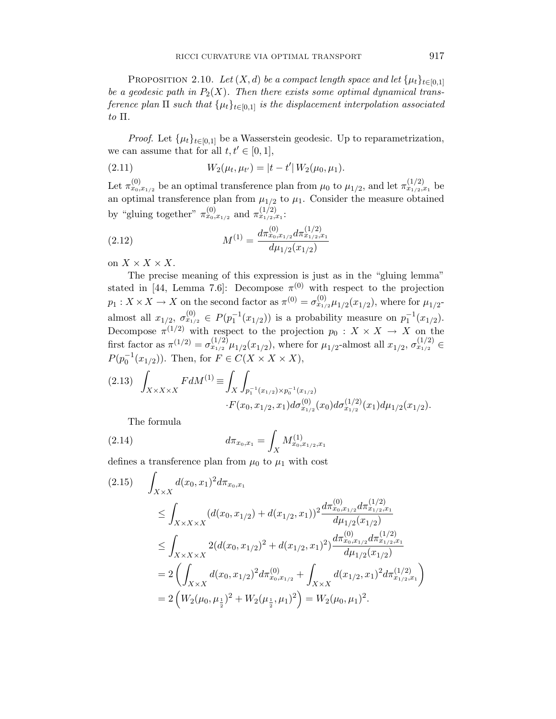PROPOSITION 2.10. Let  $(X, d)$  be a compact length space and let  $\{\mu_t\}_{t\in[0,1]}$ be a geodesic path in  $P_2(X)$ . Then there exists some optimal dynamical transference plan  $\Pi$  such that  $\{\mu_t\}_{t\in[0,1]}$  is the displacement interpolation associated to  $\Pi$ .

*Proof.* Let  $\{\mu_t\}_{t\in[0,1]}$  be a Wasserstein geodesic. Up to reparametrization, we can assume that for all  $t, t' \in [0, 1],$ 

(2.11) 
$$
W_2(\mu_t, \mu_{t'}) = |t - t'| W_2(\mu_0, \mu_1).
$$

Let  $\pi_{x_0,x_{1/2}}^{(0)}$  be an optimal transference plan from  $\mu_0$  to  $\mu_{1/2}$ , and let  $\pi_{x_{1/2},x_1}^{(1/2)}$  be an optimal transference plan from  $\mu_{1/2}$  to  $\mu_1$ . Consider the measure obtained by "gluing together"  $\pi_{x_0,x_{1/2}}^{(0)}$  and  $\pi_{x_{1/2},x_1}^{(1/2)}$ .

(2.12) 
$$
M^{(1)} = \frac{d\pi_{x_0, x_{1/2}}^{(0)} d\pi_{x_{1/2}, x_1}^{(1/2)}}{d\mu_{1/2}(x_{1/2})}
$$

on  $X \times X \times X$ .

The precise meaning of this expression is just as in the "gluing lemma" stated in [44, Lemma 7.6]: Decompose  $\pi^{(0)}$  with respect to the projection  $p_1: X \times X \to X$  on the second factor as  $\pi^{(0)} = \sigma_{x_{1/2}}^{(0)} \mu_{1/2}(x_{1/2})$ , where for  $\mu_{1/2}$ almost all  $x_{1/2}, \sigma_{x_{1/2}}^{(0)} \in P(p_1^{-1}(x_{1/2}))$  is a probability measure on  $p_1^{-1}(x_{1/2})$ . Decompose  $\pi^{(1/2)}$  with respect to the projection  $p_0: X \times X \to X$  on the first factor as  $\pi^{(1/2)} = \sigma_{x_{1/2}}^{(1/2)} \mu_{1/2}(x_{1/2})$ , where for  $\mu_{1/2}$ -almost all  $x_{1/2}, \sigma_{x_{1/2}}^{(1/2)} \in$  $P(p_0^{-1}(x_{1/2}))$ . Then, for  $F \in C(X \times X \times X)$ ,

$$
(2.13) \quad \int_{X \times X \times X} F dM^{(1)} \equiv \int_X \int_{p_1^{-1}(x_{1/2}) \times p_0^{-1}(x_{1/2})} F(x_0, x_{1/2}, x_1) d\sigma_{x_{1/2}}^{(0)}(x_0) d\sigma_{x_{1/2}}^{(1/2)}(x_1) d\mu_{1/2}(x_{1/2}).
$$

The formula

(2.14) 
$$
d\pi_{x_0,x_1} = \int_X M^{(1)}_{x_0,x_{1/2},x_1}
$$

defines a transference plan from  $\mu_0$  to  $\mu_1$  with cost

$$
(2.15) \quad \int_{X \times X} d(x_0, x_1)^2 d\pi_{x_0, x_1}
$$
\n
$$
\leq \int_{X \times X \times X} (d(x_0, x_{1/2}) + d(x_{1/2}, x_1))^2 \frac{d\pi_{x_0, x_{1/2}}^{(0)} d\pi_{x_{1/2}, x_1}^{(1/2)}}{d\mu_{1/2}(x_{1/2})}
$$
\n
$$
\leq \int_{X \times X \times X} 2 (d(x_0, x_{1/2})^2 + d(x_{1/2}, x_1)^2) \frac{d\pi_{x_0, x_{1/2}}^{(0)} d\pi_{x_{1/2}, x_1}^{(1/2)}}{d\mu_{1/2}(x_{1/2})}
$$
\n
$$
= 2 \left( \int_{X \times X} d(x_0, x_{1/2})^2 d\pi_{x_0, x_{1/2}}^{(0)} + \int_{X \times X} d(x_{1/2}, x_1)^2 d\pi_{x_{1/2}, x_1}^{(1/2)} \right)
$$
\n
$$
= 2 \left( W_2(\mu_0, \mu_{\frac{1}{2}})^2 + W_2(\mu_{\frac{1}{2}}, \mu_1)^2 \right) = W_2(\mu_0, \mu_1)^2.
$$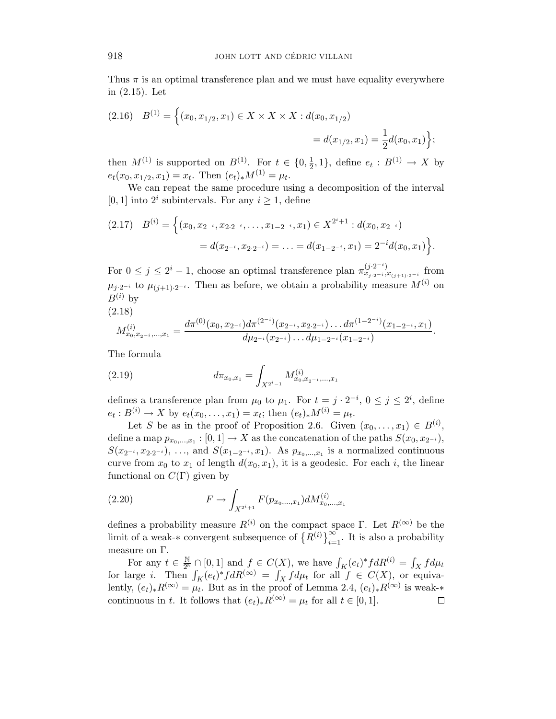Thus  $\pi$  is an optimal transference plan and we must have equality everywhere in (2.15). Let

$$
(2.16) \quad B^{(1)} = \left\{ (x_0, x_{1/2}, x_1) \in X \times X \times X : d(x_0, x_{1/2}) \right\}
$$
\n
$$
= d(x_{1/2}, x_1) = \frac{1}{2}d(x_0, x_1) \Big\};
$$

then  $M^{(1)}$  is supported on  $B^{(1)}$ . For  $t \in \{0, \frac{1}{2}\}$  $\frac{1}{2}$ , 1}, define  $e_t : B^{(1)} \to X$  by  $e_t(x_0, x_{1/2}, x_1) = x_t$ . Then  $(e_t)_* M^{(1)} = \mu_t$ .

We can repeat the same procedure using a decomposition of the interval [0, 1] into  $2^i$  subintervals. For any  $i \geq 1$ , define

$$
(2.17) \quad B^{(i)} = \Big\{ (x_0, x_{2^{-i}}, x_{2\cdot 2^{-i}}, \dots, x_{1-2^{-i}}, x_1) \in X^{2^i+1} : d(x_0, x_{2^{-i}})
$$
  
=  $d(x_{2^{-i}}, x_{2\cdot 2^{-i}}) = \dots = d(x_{1-2^{-i}}, x_1) = 2^{-i}d(x_0, x_1) \Big\}.$ 

For  $0 \leq j \leq 2^{i} - 1$ , choose an optimal transference plan  $\pi^{(j \cdot 2^{-i})}_{x_{j \cdot 2^{-i}}, x_{(j+1),2^{-i}}}$  from  $\mu_{i\cdot2^{-i}}$  to  $\mu_{(i+1)\cdot2^{-i}}$ . Then as before, we obtain a probability measure  $M^{(i)}$  on  $B^{(i)}$  by

(2.18)

$$
M_{x_0,x_2-i,\dots,x_1}^{(i)} = \frac{d\pi^{(0)}(x_0,x_2-i)d\pi^{(2-i)}(x_2-i,x_2\cdot 2-i)\dots d\pi^{(1-2-i)}(x_{1-2-i},x_1)}{d\mu_{2-i}(x_{2-i})\dots d\mu_{1-2-i}(x_{1-2-i})}.
$$

The formula

(2.19) 
$$
d\pi_{x_0,x_1} = \int_{X^{2^i-1}} M_{x_0,x_{2^{-i}},...,x_1}^{(i)}
$$

defines a transference plan from  $\mu_0$  to  $\mu_1$ . For  $t = j \cdot 2^{-i}$ ,  $0 \le j \le 2^i$ , define  $e_t : B^{(i)} \to X$  by  $e_t(x_0, \ldots, x_1) = x_t$ ; then  $(e_t)_* M^{(i)} = \mu_t$ .

Let S be as in the proof of Proposition 2.6. Given  $(x_0, \ldots, x_1) \in B^{(i)}$ , define a map  $p_{x_0,...,x_1} : [0,1] \to X$  as the concatenation of the paths  $S(x_0, x_{2^{-i}})$ ,  $S(x_{2^{-i}}, x_{2\cdot 2^{-i}}), \ldots, \text{ and } S(x_{1-2^{-i}}, x_1)$ . As  $p_{x_0,\ldots,x_1}$  is a normalized continuous curve from  $x_0$  to  $x_1$  of length  $d(x_0, x_1)$ , it is a geodesic. For each i, the linear functional on  $C(\Gamma)$  given by

(2.20) 
$$
F \to \int_{X^{2^i+1}} F(p_{x_0,\dots,x_1}) dM_{x_0,\dots,x_1}^{(i)}
$$

defines a probability measure  $R^{(i)}$  on the compact space Γ. Let  $R^{(\infty)}$  be the limit of a weak-\* convergent subsequence of  $\{R^{(i)}\}_{i=1}^{\infty}$ . It is also a probability measure on Γ.

For any  $t \in \frac{\mathbb{N}}{2^n}$  $\frac{\mathbb{N}}{2^{\mathbb{N}}} \cap [0,1]$  and  $f \in C(X)$ , we have  $\int_K (e_t)^* f dR^{(i)} = \int_X f d\mu_t$ for large *i*. Then  $\int_K (e_t)^* f dR^{(\infty)} = \int_X f d\mu_t$  for all  $f \in C(X)$ , or equivalently,  $(e_t)_* R^{(\infty)} = \mu_t$ . But as in the proof of Lemma 2.4,  $(e_t)_* R^{(\infty)}$  is weak-\* continuous in t. It follows that  $(e_t)_*R^{(\infty)} = \mu_t$  for all  $t \in [0,1]$ .  $\Box$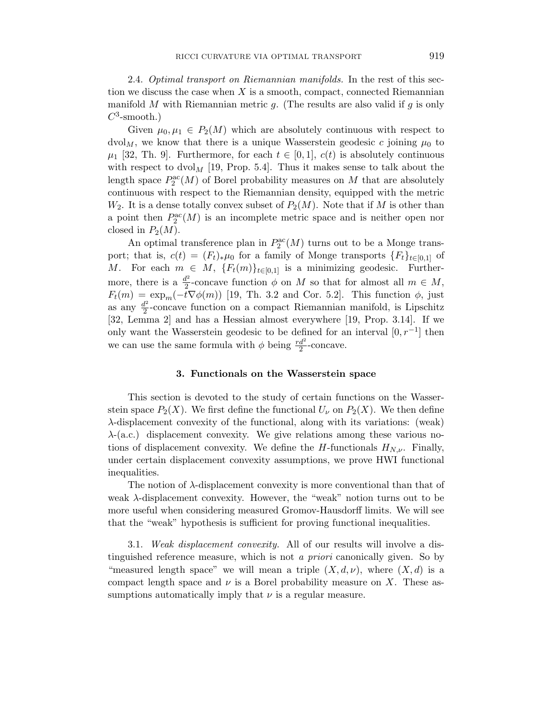2.4. Optimal transport on Riemannian manifolds. In the rest of this section we discuss the case when  $X$  is a smooth, compact, connected Riemannian manifold M with Riemannian metric  $g$ . (The results are also valid if  $g$  is only  $C^3$ -smooth.)

Given  $\mu_0, \mu_1 \in P_2(M)$  which are absolutely continuous with respect to  $dvol<sub>M</sub>$ , we know that there is a unique Wasserstein geodesic c joining  $\mu_0$  to  $\mu_1$  [32, Th. 9]. Furthermore, for each  $t \in [0,1]$ ,  $c(t)$  is absolutely continuous with respect to dvol<sub>M</sub> [19, Prop. 5.4]. Thus it makes sense to talk about the length space  $P_2^{\text{ac}}(M)$  of Borel probability measures on M that are absolutely continuous with respect to the Riemannian density, equipped with the metric  $W_2$ . It is a dense totally convex subset of  $P_2(M)$ . Note that if M is other than a point then  $P_2^{\text{ac}}(M)$  is an incomplete metric space and is neither open nor closed in  $P_2(M)$ .

An optimal transference plan in  $P_2^{\text{ac}}(M)$  turns out to be a Monge transport; that is,  $c(t) = (F_t)_*\mu_0$  for a family of Monge transports  $\{F_t\}_{t\in[0,1]}$  of M. For each  $m \in M$ ,  ${F_t(m)}_{t \in [0,1]}$  is a minimizing geodesic. Furthermore, there is a  $\frac{d^2}{2}$  $\frac{d^2}{2}$ -concave function  $\phi$  on M so that for almost all  $m \in M$ ,  $F_t(m) = \exp_m(-t\nabla\phi(m))$  [19, Th. 3.2 and Cor. 5.2]. This function  $\phi$ , just as any  $\frac{d^2}{2}$  $\frac{d^2}{2}$ -concave function on a compact Riemannian manifold, is Lipschitz [32, Lemma 2] and has a Hessian almost everywhere [19, Prop. 3.14]. If we only want the Wasserstein geodesic to be defined for an interval  $[0, r^{-1}]$  then we can use the same formula with  $\phi$  being  $\frac{rd^2}{2}$ -concave.

## 3. Functionals on the Wasserstein space

This section is devoted to the study of certain functions on the Wasserstein space  $P_2(X)$ . We first define the functional  $U_{\nu}$  on  $P_2(X)$ . We then define λ-displacement convexity of the functional, along with its variations: (weak)  $\lambda$ -(a.c.) displacement convexity. We give relations among these various notions of displacement convexity. We define the H-functionals  $H_{N,\nu}$ . Finally, under certain displacement convexity assumptions, we prove HWI functional inequalities.

The notion of  $\lambda$ -displacement convexity is more conventional than that of weak λ-displacement convexity. However, the "weak" notion turns out to be more useful when considering measured Gromov-Hausdorff limits. We will see that the "weak" hypothesis is sufficient for proving functional inequalities.

3.1. Weak displacement convexity. All of our results will involve a distinguished reference measure, which is not a priori canonically given. So by "measured length space" we will mean a triple  $(X, d, \nu)$ , where  $(X, d)$  is a compact length space and  $\nu$  is a Borel probability measure on X. These assumptions automatically imply that  $\nu$  is a regular measure.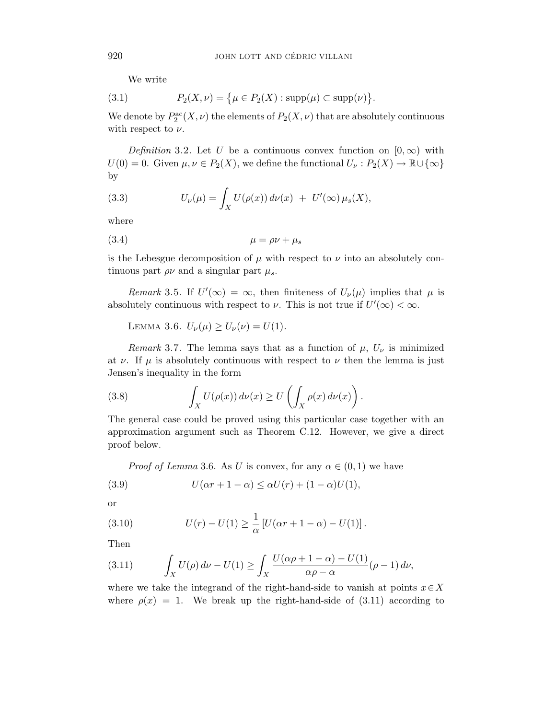We write

(3.1) 
$$
P_2(X,\nu) = \{ \mu \in P_2(X) : \text{supp}(\mu) \subset \text{supp}(\nu) \}.
$$

We denote by  $P_2^{\text{ac}}(X,\nu)$  the elements of  $P_2(X,\nu)$  that are absolutely continuous with respect to  $\nu$ .

Definition 3.2. Let U be a continuous convex function on  $[0, \infty)$  with  $U(0) = 0$ . Given  $\mu, \nu \in P_2(X)$ , we define the functional  $U_{\nu}: P_2(X) \to \mathbb{R} \cup {\infty}$ by

(3.3) 
$$
U_{\nu}(\mu) = \int_{X} U(\rho(x)) d\nu(x) + U'(\infty) \mu_{s}(X),
$$

where

$$
\mu = \rho \nu + \mu_s
$$

is the Lebesgue decomposition of  $\mu$  with respect to  $\nu$  into an absolutely continuous part  $\rho \nu$  and a singular part  $\mu_s$ .

Remark 3.5. If  $U'(\infty) = \infty$ , then finiteness of  $U_{\nu}(\mu)$  implies that  $\mu$  is absolutely continuous with respect to  $\nu$ . This is not true if  $U'(\infty) < \infty$ .

LEMMA 3.6.  $U_{\nu}(\mu) \ge U_{\nu}(\nu) = U(1)$ .

Remark 3.7. The lemma says that as a function of  $\mu$ ,  $U_{\nu}$  is minimized at  $\nu$ . If  $\mu$  is absolutely continuous with respect to  $\nu$  then the lemma is just Jensen's inequality in the form

(3.8) 
$$
\int_X U(\rho(x)) d\nu(x) \geq U\left(\int_X \rho(x) d\nu(x)\right).
$$

The general case could be proved using this particular case together with an approximation argument such as Theorem C.12. However, we give a direct proof below.

*Proof of Lemma* 3.6. As U is convex, for any  $\alpha \in (0,1)$  we have

(3.9) 
$$
U(\alpha r + 1 - \alpha) \leq \alpha U(r) + (1 - \alpha)U(1),
$$

or

(3.10) 
$$
U(r) - U(1) \geq \frac{1}{\alpha} \left[ U(\alpha r + 1 - \alpha) - U(1) \right].
$$

Then

(3.11) 
$$
\int_X U(\rho) \, d\nu - U(1) \ge \int_X \frac{U(\alpha \rho + 1 - \alpha) - U(1)}{\alpha \rho - \alpha} (\rho - 1) \, d\nu,
$$

where we take the integrand of the right-hand-side to vanish at points  $x \in X$ where  $\rho(x) = 1$ . We break up the right-hand-side of (3.11) according to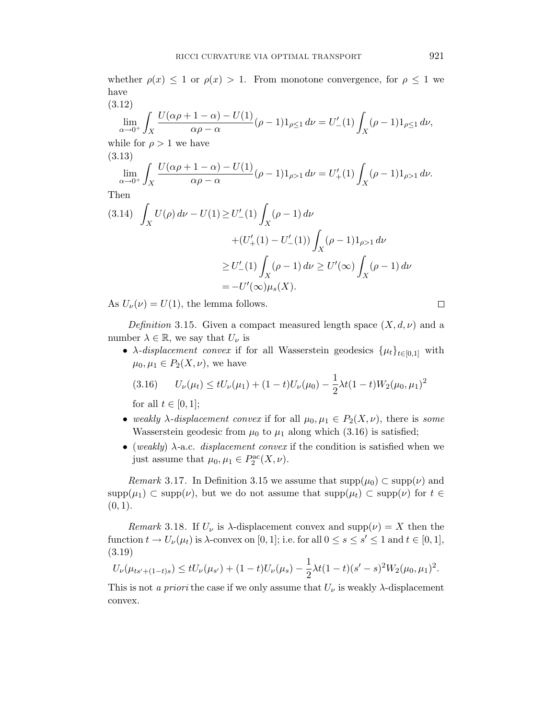whether  $\rho(x) \leq 1$  or  $\rho(x) > 1$ . From monotone convergence, for  $\rho \leq 1$  we have

$$
\lim_{\alpha \to 0^+} \int_X \frac{U(\alpha \rho + 1 - \alpha) - U(1)}{\alpha \rho - \alpha} (\rho - 1) 1_{\rho \le 1} d\nu = U'_{-}(1) \int_X
$$

while for  $\rho > 1$  we have

(3.13)  
\n
$$
\lim_{\alpha \to 0^+} \int_X \frac{U(\alpha \rho + 1 - \alpha) - U(1)}{\alpha \rho - \alpha} (\rho - 1) 1_{\rho > 1} d\nu = U'_+(1) \int_X (\rho - 1) 1_{\rho > 1} d\nu.
$$

Then

$$
(3.14) \quad \int_X U(\rho) \, d\nu - U(1) \ge U'_{-}(1) \int_X (\rho - 1) \, d\nu
$$

$$
+ (U'_+(1) - U'_-(1)) \int_X (\rho - 1) \mathbf{1}_{\rho > 1} \, d\nu
$$

$$
\ge U'_{-}(1) \int_X (\rho - 1) \, d\nu \ge U'(\infty) \int_X (\rho - 1) \, d\nu
$$

$$
= -U'(\infty) \mu_s(X).
$$

As  $U_{\nu}(\nu) = U(1)$ , the lemma follows.

Definition 3.15. Given a compact measured length space  $(X, d, \nu)$  and a number  $\lambda \in \mathbb{R}$ , we say that  $U_{\nu}$  is

•  $\lambda$ -displacement convex if for all Wasserstein geodesics  $\{\mu_t\}_{t\in[0,1]}$  with  $\mu_0, \mu_1 \in P_2(X, \nu)$ , we have

$$
(3.16) \qquad U_{\nu}(\mu_t) \le t U_{\nu}(\mu_1) + (1-t)U_{\nu}(\mu_0) - \frac{1}{2}\lambda t (1-t)W_2(\mu_0, \mu_1)^2
$$

for all  $t \in [0, 1]$ ;

- weakly  $\lambda$ -displacement convex if for all  $\mu_0, \mu_1 \in P_2(X, \nu)$ , there is some Wasserstein geodesic from  $\mu_0$  to  $\mu_1$  along which (3.16) is satisfied;
- (weakly)  $\lambda$ -a.c. displacement convex if the condition is satisfied when we just assume that  $\mu_0, \mu_1 \in P_2^{\rm ac}(X, \nu)$ .

Remark 3.17. In Definition 3.15 we assume that  $\text{supp}(\mu_0) \subset \text{supp}(\nu)$  and  $\text{supp}(\mu_1) \subset \text{supp}(\nu)$ , but we do not assume that  $\text{supp}(\mu_t) \subset \text{supp}(\nu)$  for  $t \in$  $(0, 1)$ .

Remark 3.18. If  $U_{\nu}$  is  $\lambda$ -displacement convex and supp $(\nu) = X$  then the function  $t \to U_{\nu}(\mu_t)$  is  $\lambda$ -convex on [0, 1]; i.e. for all  $0 \le s \le s' \le 1$  and  $t \in [0,1]$ , (3.19)

$$
U_{\nu}(\mu_{ts'+(1-t)s}) \le tU_{\nu}(\mu_{s'}) + (1-t)U_{\nu}(\mu_s) - \frac{1}{2}\lambda t(1-t)(s'-s)^2W_2(\mu_0, \mu_1)^2.
$$

This is not a priori the case if we only assume that  $U_{\nu}$  is weakly  $\lambda$ -displacement convex.

 $\Box$ 

 $(\rho - 1)1_{\rho \leq 1} d\nu$ ,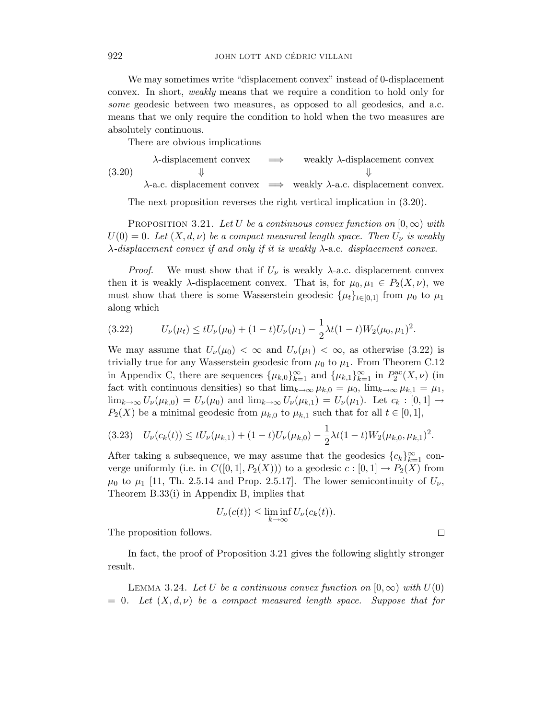We may sometimes write "displacement convex" instead of 0-displacement convex. In short, weakly means that we require a condition to hold only for some geodesic between two measures, as opposed to all geodesics, and a.c. means that we only require the condition to hold when the two measures are absolutely continuous.

There are obvious implications

$$
\lambda\text{-displacement convex} \implies \text{ weakly } \lambda\text{-displacement convex} \downarrow
$$
\n
$$
(3.20) \qquad \downarrow \qquad \downarrow
$$
\n
$$
\lambda\text{-a.c. displacement convex} \implies \text{ weakly } \lambda\text{-a.c. displacement convex}.
$$

The next proposition reverses the right vertical implication in (3.20).

PROPOSITION 3.21. Let U be a continuous convex function on  $[0,\infty)$  with  $U(0) = 0$ . Let  $(X, d, \nu)$  be a compact measured length space. Then  $U_{\nu}$  is weakly  $\lambda$ -displacement convex if and only if it is weakly  $\lambda$ -a.c. displacement convex.

*Proof.* We must show that if  $U_{\nu}$  is weakly  $\lambda$ -a.c. displacement convex then it is weakly  $\lambda$ -displacement convex. That is, for  $\mu_0, \mu_1 \in P_2(X, \nu)$ , we must show that there is some Wasserstein geodesic  $\{\mu_t\}_{t\in[0,1]}$  from  $\mu_0$  to  $\mu_1$ along which

$$
(3.22) \tU_{\nu}(\mu_t) \le tU_{\nu}(\mu_0) + (1-t)U_{\nu}(\mu_1) - \frac{1}{2}\lambda t(1-t)W_2(\mu_0, \mu_1)^2.
$$

We may assume that  $U_{\nu}(\mu_0) < \infty$  and  $U_{\nu}(\mu_1) < \infty$ , as otherwise (3.22) is trivially true for any Wasserstein geodesic from  $\mu_0$  to  $\mu_1$ . From Theorem C.12 in Appendix C, there are sequences  $\{\mu_{k,0}\}_{k=1}^{\infty}$  and  $\{\mu_{k,1}\}_{k=1}^{\infty}$  in  $P_2^{\text{ac}}(X,\nu)$  (in fact with continuous densities) so that  $\lim_{k\to\infty}\mu_{k,0} = \mu_0$ ,  $\lim_{k\to\infty}\mu_{k,1} = \mu_1$ ,  $\lim_{k\to\infty} U_{\nu}(\mu_{k,0}) = U_{\nu}(\mu_0)$  and  $\lim_{k\to\infty} U_{\nu}(\mu_{k,1}) = U_{\nu}(\mu_1)$ . Let  $c_k : [0,1] \to$  $P_2(X)$  be a minimal geodesic from  $\mu_{k,0}$  to  $\mu_{k,1}$  such that for all  $t \in [0,1],$ 

$$
(3.23) \quad U_{\nu}(c_k(t)) \leq tU_{\nu}(\mu_{k,1}) + (1-t)U_{\nu}(\mu_{k,0}) - \frac{1}{2}\lambda t(1-t)W_2(\mu_{k,0}, \mu_{k,1})^2.
$$

After taking a subsequence, we may assume that the geodesics  ${c_k}_{k=1}^{\infty}$  converge uniformly (i.e. in  $C([0, 1], P_2(X))$ ) to a geodesic  $c : [0, 1] \rightarrow P_2(X)$  from  $\mu_0$  to  $\mu_1$  [11, Th. 2.5.14 and Prop. 2.5.17]. The lower semicontinuity of  $U_{\nu}$ , Theorem B.33(i) in Appendix B, implies that

$$
U_{\nu}(c(t)) \leq \liminf_{k \to \infty} U_{\nu}(c_k(t)).
$$

The proposition follows.

In fact, the proof of Proposition 3.21 gives the following slightly stronger result.

LEMMA 3.24. Let U be a continuous convex function on  $[0,\infty)$  with  $U(0)$  $= 0.$  Let  $(X, d, \nu)$  be a compact measured length space. Suppose that for

$$
\overline{}
$$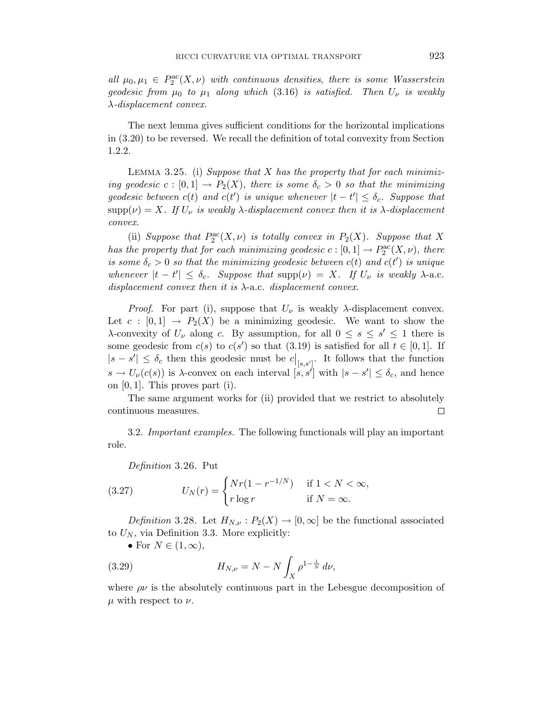all  $\mu_0, \mu_1 \in P_2^{\rm ac}(X, \nu)$  with continuous densities, there is some Wasserstein geodesic from  $\mu_0$  to  $\mu_1$  along which (3.16) is satisfied. Then  $U_{\nu}$  is weakly λ-displacement convex.

The next lemma gives sufficient conditions for the horizontal implications in (3.20) to be reversed. We recall the definition of total convexity from Section 1.2.2.

LEMMA 3.25. (i) Suppose that X has the property that for each minimizing geodesic  $c : [0,1] \to P_2(X)$ , there is some  $\delta_c > 0$  so that the minimizing geodesic between  $c(t)$  and  $c(t')$  is unique whenever  $|t-t'| \leq \delta_c$ . Suppose that  $\text{supp}(\nu) = X$ . If  $U_{\nu}$  is weakly  $\lambda$ -displacement convex then it is  $\lambda$ -displacement convex.

(ii) Suppose that  $P_2^{\text{ac}}(X,\nu)$  is totally convex in  $P_2(X)$ . Suppose that X has the property that for each minimizing geodesic  $c: [0,1] \to P_2^{\rm ac}(X,\nu)$ , there is some  $\delta_c > 0$  so that the minimizing geodesic between  $c(t)$  and  $c(t')$  is unique whenever  $|t - t'| \leq \delta_c$ . Suppose that supp $(\nu) = X$ . If  $U_{\nu}$  is weakly  $\lambda$ -a.c. displacement convex then it is  $\lambda$ -a.c. displacement convex.

*Proof.* For part (i), suppose that  $U_{\nu}$  is weakly  $\lambda$ -displacement convex. Let  $c : [0,1] \rightarrow P_2(X)$  be a minimizing geodesic. We want to show the  $\lambda$ -convexity of  $U_{\nu}$  along c. By assumption, for all  $0 \leq s \leq s' \leq 1$  there is some geodesic from  $c(s)$  to  $c(s')$  so that (3.19) is satisfied for all  $t \in [0,1]$ . If  $|s-s'|\leq \delta_c$  then this geodesic must be  $c|_{[s,s']}$ . It follows that the function  $s \to U_{\nu}(c(s))$  is  $\lambda$ -convex on each interval  $[s, s']$  with  $|s - s'| \leq \delta_c$ , and hence on  $[0, 1]$ . This proves part  $(i)$ .

The same argument works for (ii) provided that we restrict to absolutely continuous measures.  $\Box$ 

3.2. Important examples. The following functionals will play an important role.

Definition 3.26. Put

(3.27) 
$$
U_N(r) = \begin{cases} Nr(1 - r^{-1/N}) & \text{if } 1 < N < \infty, \\ r \log r & \text{if } N = \infty. \end{cases}
$$

Definition 3.28. Let  $H_{N,\nu}: P_2(X) \to [0,\infty]$  be the functional associated to  $U_N$ , via Definition 3.3. More explicitly:

• For  $N \in (1,\infty)$ ,

(3.29) 
$$
H_{N,\nu} = N - N \int_X \rho^{1-\frac{1}{N}} d\nu,
$$

where  $\rho\nu$  is the absolutely continuous part in the Lebesgue decomposition of  $\mu$  with respect to  $\nu$ .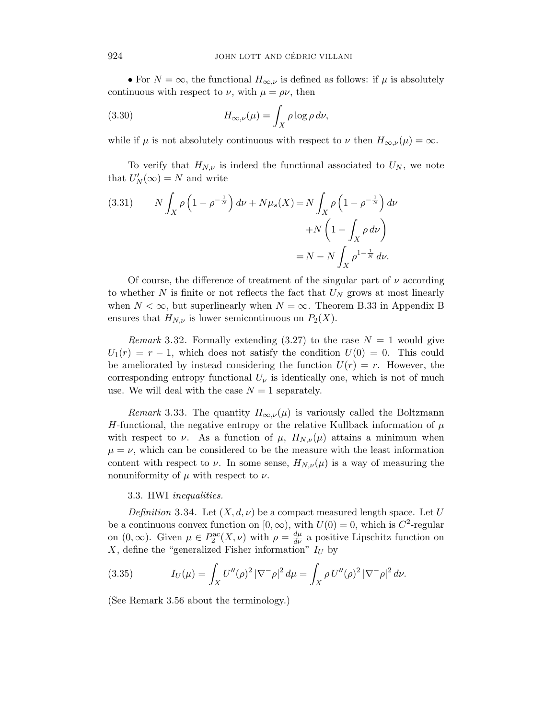• For  $N = \infty$ , the functional  $H_{\infty,\nu}$  is defined as follows: if  $\mu$  is absolutely continuous with respect to  $\nu$ , with  $\mu = \rho \nu$ , then

(3.30) 
$$
H_{\infty,\nu}(\mu) = \int_X \rho \log \rho \, d\nu,
$$

while if  $\mu$  is not absolutely continuous with respect to  $\nu$  then  $H_{\infty,\nu}(\mu) = \infty$ .

To verify that  $H_{N,\nu}$  is indeed the functional associated to  $U_N$ , we note that  $U_N'(\infty) = N$  and write

(3.31) 
$$
N \int_X \rho \left( 1 - \rho^{-\frac{1}{N}} \right) d\nu + N \mu_s(X) = N \int_X \rho \left( 1 - \rho^{-\frac{1}{N}} \right) d\nu + N \left( 1 - \int_X \rho d\nu \right)
$$

$$
= N - N \int_X \rho^{1 - \frac{1}{N}} d\nu.
$$

Of course, the difference of treatment of the singular part of  $\nu$  according to whether  $N$  is finite or not reflects the fact that  $U_N$  grows at most linearly when  $N < \infty$ , but superlinearly when  $N = \infty$ . Theorem B.33 in Appendix B ensures that  $H_{N,\nu}$  is lower semicontinuous on  $P_2(X)$ .

Remark 3.32. Formally extending (3.27) to the case  $N = 1$  would give  $U_1(r) = r - 1$ , which does not satisfy the condition  $U(0) = 0$ . This could be ameliorated by instead considering the function  $U(r) = r$ . However, the corresponding entropy functional  $U_{\nu}$  is identically one, which is not of much use. We will deal with the case  $N = 1$  separately.

Remark 3.33. The quantity  $H_{\infty,\nu}(\mu)$  is variously called the Boltzmann H-functional, the negative entropy or the relative Kullback information of  $\mu$ with respect to  $\nu$ . As a function of  $\mu$ ,  $H_{N,\nu}(\mu)$  attains a minimum when  $\mu = \nu$ , which can be considered to be the measure with the least information content with respect to  $\nu$ . In some sense,  $H_{N,\nu}(\mu)$  is a way of measuring the nonuniformity of  $\mu$  with respect to  $\nu$ .

#### 3.3. HWI inequalities.

Definition 3.34. Let  $(X, d, \nu)$  be a compact measured length space. Let U be a continuous convex function on  $[0, \infty)$ , with  $U(0) = 0$ , which is  $C^2$ -regular on  $(0, \infty)$ . Given  $\mu \in P_2^{\text{ac}}(X, \nu)$  with  $\rho = \frac{d\mu}{d\nu}$  a positive Lipschitz function on X, define the "generalized Fisher information"  $I_U$  by

(3.35) 
$$
I_U(\mu) = \int_X U''(\rho)^2 |\nabla^-\rho|^2 d\mu = \int_X \rho U''(\rho)^2 |\nabla^-\rho|^2 d\nu.
$$

(See Remark 3.56 about the terminology.)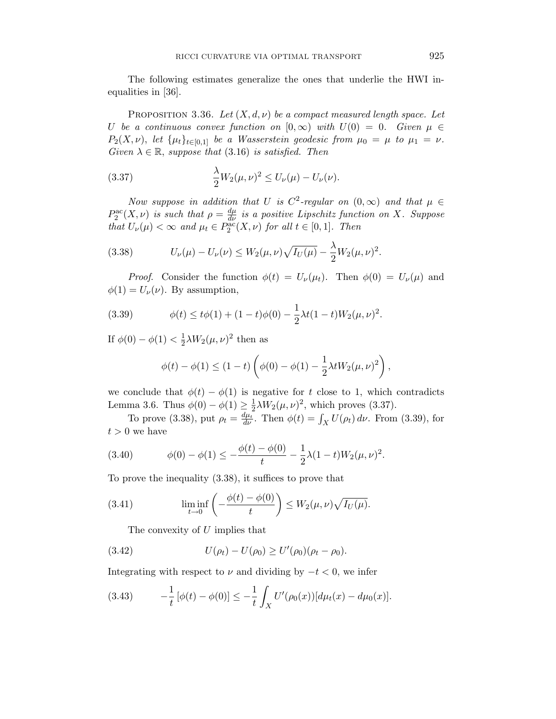The following estimates generalize the ones that underlie the HWI inequalities in [36].

PROPOSITION 3.36. Let  $(X, d, \nu)$  be a compact measured length space. Let U be a continuous convex function on  $[0,\infty)$  with  $U(0) = 0$ . Given  $\mu \in$  $P_2(X,\nu)$ , let  $\{\mu_t\}_{t\in[0,1]}$  be a Wasserstein geodesic from  $\mu_0 = \mu$  to  $\mu_1 = \nu$ . Given  $\lambda \in \mathbb{R}$ , suppose that (3.16) is satisfied. Then

(3.37) 
$$
\frac{\lambda}{2}W_2(\mu,\nu)^2 \le U_\nu(\mu) - U_\nu(\nu).
$$

Now suppose in addition that U is  $C^2$ -regular on  $(0, \infty)$  and that  $\mu \in$  $P_2^{\rm ac}(X,\nu)$  is such that  $\rho = \frac{d\mu}{d\nu}$  is a positive Lipschitz function on X. Suppose that  $U_{\nu}(\mu) < \infty$  and  $\mu_t \in P_2^{\rm ac}(X,\nu)$  for all  $t \in [0,1]$ . Then

(3.38) 
$$
U_{\nu}(\mu) - U_{\nu}(\nu) \le W_2(\mu, \nu) \sqrt{I_U(\mu)} - \frac{\lambda}{2} W_2(\mu, \nu)^2.
$$

*Proof.* Consider the function  $\phi(t) = U_{\nu}(\mu_t)$ . Then  $\phi(0) = U_{\nu}(\mu)$  and  $\phi(1) = U_{\nu}(\nu)$ . By assumption,

(3.39) 
$$
\phi(t) \le t\phi(1) + (1-t)\phi(0) - \frac{1}{2}\lambda t(1-t)W_2(\mu,\nu)^2.
$$

If  $\phi(0) - \phi(1) < \frac{1}{2}$  $\frac{1}{2}\lambda W_2(\mu,\nu)^2$  then as

$$
\phi(t) - \phi(1) \le (1 - t) \left( \phi(0) - \phi(1) - \frac{1}{2} \lambda t W_2(\mu, \nu)^2 \right),
$$

we conclude that  $\phi(t) - \phi(1)$  is negative for t close to 1, which contradicts Lemma 3.6. Thus  $\phi(0) - \phi(1) \ge \frac{1}{2}$  $\frac{1}{2}\lambda W_2(\mu,\nu)^2$ , which proves (3.37).

To prove (3.38), put  $\rho_t = \frac{d\mu_t}{d\nu}$ . Then  $\phi(t) = \int_X U(\rho_t) d\nu$ . From (3.39), for  $t > 0$  we have

(3.40) 
$$
\phi(0) - \phi(1) \leq -\frac{\phi(t) - \phi(0)}{t} - \frac{1}{2}\lambda(1-t)W_2(\mu, \nu)^2.
$$

To prove the inequality (3.38), it suffices to prove that

(3.41) 
$$
\liminf_{t \to 0} \left( -\frac{\phi(t) - \phi(0)}{t} \right) \leq W_2(\mu, \nu) \sqrt{I_U(\mu)}.
$$

The convexity of U implies that

(3.42) 
$$
U(\rho_t) - U(\rho_0) \geq U'(\rho_0)(\rho_t - \rho_0).
$$

Integrating with respect to  $\nu$  and dividing by  $-t < 0$ , we infer

(3.43) 
$$
-\frac{1}{t} [\phi(t) - \phi(0)] \leq -\frac{1}{t} \int_X U'(\rho_0(x)) [d\mu_t(x) - d\mu_0(x)].
$$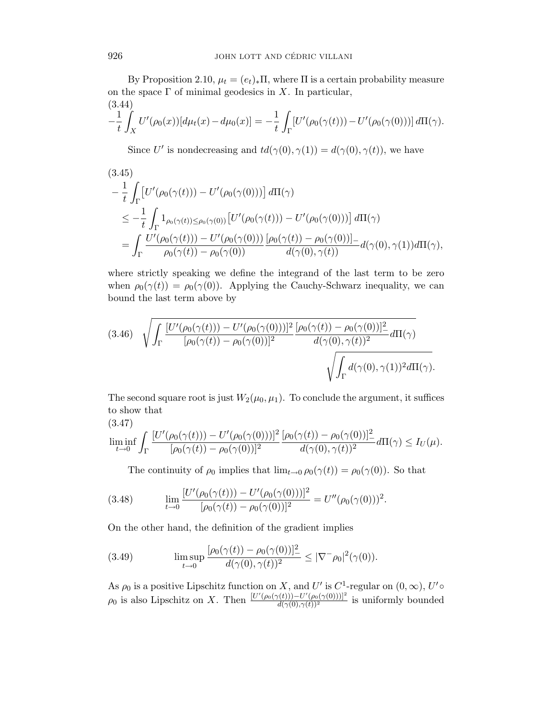By Proposition 2.10,  $\mu_t = (e_t)_* \Pi$ , where  $\Pi$  is a certain probability measure on the space  $\Gamma$  of minimal geodesics in X. In particular, (3.44)

$$
-\frac{1}{t}\int_X U'(\rho_0(x))[d\mu_t(x)-d\mu_0(x)]=-\frac{1}{t}\int_\Gamma [U'(\rho_0(\gamma(t)))-U'(\rho_0(\gamma(0)))]\,d\Pi(\gamma).
$$

Since U' is nondecreasing and  $td(\gamma(0), \gamma(1)) = d(\gamma(0), \gamma(t))$ , we have

$$
(3.45)
$$
\n
$$
-\frac{1}{t} \int_{\Gamma} \left[ U'(\rho_0(\gamma(t))) - U'(\rho_0(\gamma(0))) \right] d\Pi(\gamma)
$$
\n
$$
\leq -\frac{1}{t} \int_{\Gamma} 1_{\rho_0(\gamma(t)) \leq \rho_0(\gamma(0))} \left[ U'(\rho_0(\gamma(t))) - U'(\rho_0(\gamma(0))) \right] d\Pi(\gamma)
$$
\n
$$
= \int_{\Gamma} \frac{U'(\rho_0(\gamma(t))) - U'(\rho_0(\gamma(0)))}{\rho_0(\gamma(t)) - \rho_0(\gamma(0))} \frac{[\rho_0(\gamma(t)) - \rho_0(\gamma(0))] - d(\gamma(0), \gamma(1)) d\Pi(\gamma),
$$

where strictly speaking we define the integrand of the last term to be zero when  $\rho_0(\gamma(t)) = \rho_0(\gamma(0))$ . Applying the Cauchy-Schwarz inequality, we can bound the last term above by

$$
(3.46) \quad \sqrt{\int_{\Gamma} \frac{[U'(\rho_0(\gamma(t)))-U'(\rho_0(\gamma(0)))]^2}{[\rho_0(\gamma(t))-\rho_0(\gamma(0))]^2} \frac{[\rho_0(\gamma(t))-\rho_0(\gamma(0))]^2}{d(\gamma(0),\gamma(t))^2} d\Pi(\gamma)}{\sqrt{\int_{\Gamma} d(\gamma(0),\gamma(1))^2 d\Pi(\gamma)}}.
$$

The second square root is just  $W_2(\mu_0, \mu_1)$ . To conclude the argument, it suffices to show that

$$
(3.47)
$$
  

$$
\liminf_{t \to 0} \int_{\Gamma} \frac{[U'(\rho_0(\gamma(t)))-U'(\rho_0(\gamma(0)))]^2}{[\rho_0(\gamma(t))-\rho_0(\gamma(0))]^2} \frac{[\rho_0(\gamma(t))-\rho_0(\gamma(0))]^2}{d(\gamma(0),\gamma(t))^2} d\Pi(\gamma) \leq I_U(\mu).
$$

The continuity of  $\rho_0$  implies that  $\lim_{t\to 0} \rho_0(\gamma(t)) = \rho_0(\gamma(0))$ . So that

(3.48) 
$$
\lim_{t \to 0} \frac{[U'(\rho_0(\gamma(t))) - U'(\rho_0(\gamma(0)))]^2}{[\rho_0(\gamma(t)) - \rho_0(\gamma(0))]^2} = U''(\rho_0(\gamma(0)))^2.
$$

On the other hand, the definition of the gradient implies

(3.49) 
$$
\limsup_{t \to 0} \frac{[\rho_0(\gamma(t)) - \rho_0(\gamma(0))]^2}{d(\gamma(0), \gamma(t))^2} \leq |\nabla^{-} \rho_0|^2(\gamma(0)).
$$

As  $\rho_0$  is a positive Lipschitz function on X, and U' is C<sup>1</sup>-regular on  $(0, \infty)$ , U' $\circ$  $\rho_0$  is also Lipschitz on X. Then  $\frac{[U'(\rho_0(\gamma(t))) - U'(\rho_0(\gamma(0)))]^2}{d(\gamma(0), \gamma(t))^2}$  is uniformly bounded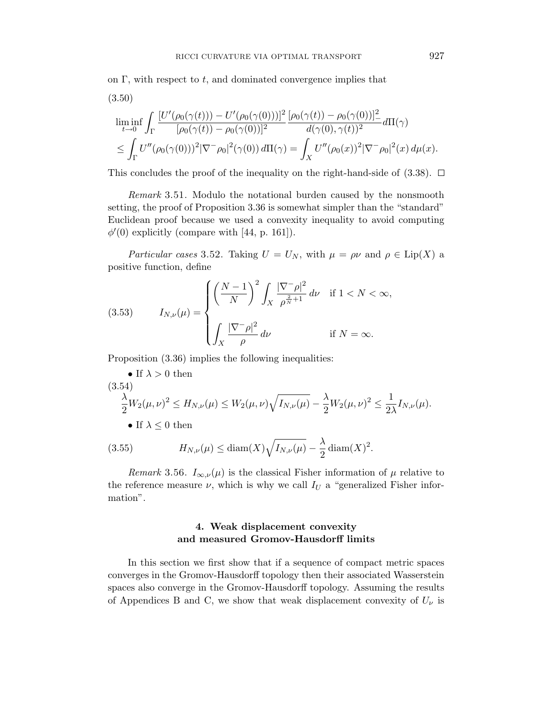on  $\Gamma$ , with respect to t, and dominated convergence implies that

$$
(3.50)
$$
  
\n
$$
\liminf_{t \to 0} \int_{\Gamma} \frac{[U'(\rho_0(\gamma(t)))-U'(\rho_0(\gamma(0)))]^2}{[\rho_0(\gamma(t))- \rho_0(\gamma(0))]^2} \frac{[\rho_0(\gamma(t)) - \rho_0(\gamma(0))]^2}{d(\gamma(0), \gamma(t))^2} d\Pi(\gamma)
$$
  
\n
$$
\leq \int_{\Gamma} U''(\rho_0(\gamma(0)))^2 |\nabla \rho_0|^2(\gamma(0)) d\Pi(\gamma) = \int_X U''(\rho_0(x))^2 |\nabla \rho_0|^2(x) d\mu(x).
$$

This concludes the proof of the inequality on the right-hand-side of  $(3.38)$ .  $\Box$ 

Remark 3.51. Modulo the notational burden caused by the nonsmooth setting, the proof of Proposition 3.36 is somewhat simpler than the "standard" Euclidean proof because we used a convexity inequality to avoid computing  $\phi'(0)$  explicitly (compare with [44, p. 161]).

Particular cases 3.52. Taking  $U = U_N$ , with  $\mu = \rho \nu$  and  $\rho \in \text{Lip}(X)$  a positive function, define

(3.53) 
$$
I_{N,\nu}(\mu) = \begin{cases} \left(\frac{N-1}{N}\right)^2 \int_X \frac{|\nabla^-\rho|^2}{\rho^{\frac{2}{N}+1}} d\nu & \text{if } 1 < N < \infty, \\ \int_X \frac{|\nabla^-\rho|^2}{\rho} d\nu & \text{if } N = \infty. \end{cases}
$$

Proposition (3.36) implies the following inequalities:

\n- \n (3.54)\n 
$$
\frac{\lambda}{2} W_2(\mu, \nu)^2 \leq H_{N,\nu}(\mu) \leq W_2(\mu, \nu) \sqrt{I_{N,\nu}(\mu)} - \frac{\lambda}{2} W_2(\mu, \nu)^2 \leq \frac{1}{2\lambda} I_{N,\nu}(\mu).
$$
\n
\n- \n If  $\lambda \leq 0$  then\n
\n

(3.55) 
$$
H_{N,\nu}(\mu) \leq \text{diam}(X) \sqrt{I_{N,\nu}(\mu)} - \frac{\lambda}{2} \text{diam}(X)^2.
$$

Remark 3.56.  $I_{\infty,\nu}(\mu)$  is the classical Fisher information of  $\mu$  relative to the reference measure  $\nu$ , which is why we call  $I_U$  a "generalized Fisher information".

# 4. Weak displacement convexity and measured Gromov-Hausdorff limits

In this section we first show that if a sequence of compact metric spaces converges in the Gromov-Hausdorff topology then their associated Wasserstein spaces also converge in the Gromov-Hausdorff topology. Assuming the results of Appendices B and C, we show that weak displacement convexity of  $U_{\nu}$  is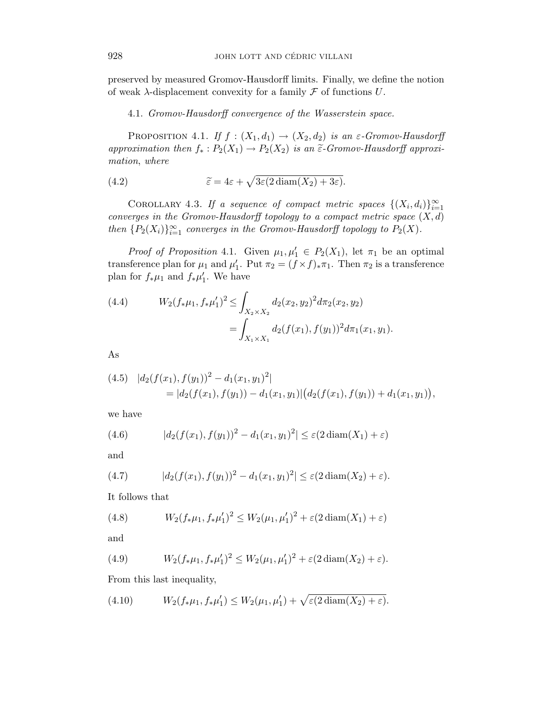preserved by measured Gromov-Hausdorff limits. Finally, we define the notion of weak  $\lambda$ -displacement convexity for a family  $\mathcal F$  of functions  $U$ .

# 4.1. Gromov-Hausdorff convergence of the Wasserstein space.

PROPOSITION 4.1. If  $f : (X_1, d_1) \rightarrow (X_2, d_2)$  is an  $\varepsilon$ -Gromov-Hausdorff approximation then  $f_* : P_2(X_1) \to P_2(X_2)$  is an  $\tilde{\varepsilon}$ -Gromov-Hausdorff approximation, where

(4.2) 
$$
\widetilde{\varepsilon} = 4\varepsilon + \sqrt{3\varepsilon (2 \operatorname{diam}(X_2) + 3\varepsilon)}.
$$

COROLLARY 4.3. If a sequence of compact metric spaces  $\{(X_i, d_i)\}_{i=1}^{\infty}$ converges in the Gromov-Hausdorff topology to a compact metric space  $(X,d)$ then  ${P_2(X_i)}_{i=1}^{\infty}$  converges in the Gromov-Hausdorff topology to  $P_2(X)$ .

*Proof of Proposition* 4.1. Given  $\mu_1, \mu'_1 \in P_2(X_1)$ , let  $\pi_1$  be an optimal transference plan for  $\mu_1$  and  $\mu'_1$ . Put  $\pi_2 = (f \times f)_* \pi_1$ . Then  $\pi_2$  is a transference plan for  $f_*\mu_1$  and  $f_*\mu'_1$ . We have

(4.4) 
$$
W_2(f_*\mu_1, f_*\mu'_1)^2 \le \int_{X_2 \times X_2} d_2(x_2, y_2)^2 d\pi_2(x_2, y_2)
$$

$$
= \int_{X_1 \times X_1} d_2(f(x_1), f(y_1))^2 d\pi_1(x_1, y_1).
$$

As

$$
(4.5) \quad |d_2(f(x_1), f(y_1))^2 - d_1(x_1, y_1)^2|
$$
  
=  $|d_2(f(x_1), f(y_1)) - d_1(x_1, y_1)| (d_2(f(x_1), f(y_1)) + d_1(x_1, y_1)),$ 

we have

(4.6) 
$$
|d_2(f(x_1), f(y_1))^2 - d_1(x_1, y_1)^2| \leq \varepsilon (2 \operatorname{diam}(X_1) + \varepsilon)
$$

and

(4.7) 
$$
|d_2(f(x_1), f(y_1))^2 - d_1(x_1, y_1)^2| \leq \varepsilon (2 \operatorname{diam}(X_2) + \varepsilon).
$$

It follows that

(4.8) 
$$
W_2(f_*\mu_1, f_*\mu'_1)^2 \le W_2(\mu_1, \mu'_1)^2 + \varepsilon(2\operatorname{diam}(X_1) + \varepsilon)
$$

and

(4.9) 
$$
W_2(f_*\mu_1, f_*\mu'_1)^2 \le W_2(\mu_1, \mu'_1)^2 + \varepsilon(2 \operatorname{diam}(X_2) + \varepsilon).
$$

From this last inequality,

(4.10) 
$$
W_2(f_*\mu_1, f_*\mu'_1) \le W_2(\mu_1, \mu'_1) + \sqrt{\varepsilon(2\operatorname{diam}(X_2) + \varepsilon)}.
$$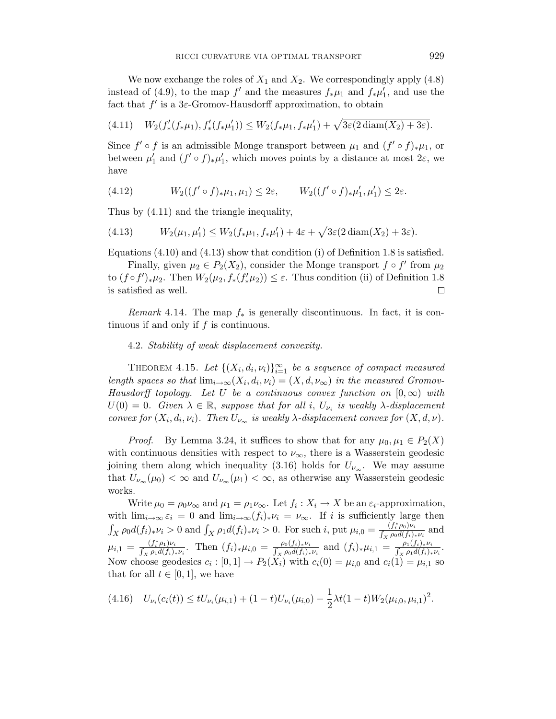We now exchange the roles of  $X_1$  and  $X_2$ . We correspondingly apply  $(4.8)$ instead of (4.9), to the map  $f'$  and the measures  $f_*\mu_1$  and  $f_*\mu'_1$ , and use the fact that  $f'$  is a 3 $\varepsilon$ -Gromov-Hausdorff approximation, to obtain

$$
(4.11) \quad W_2(f'_*(f_*\mu_1), f'_*(f_*\mu'_1)) \le W_2(f_*\mu_1, f_*\mu'_1) + \sqrt{3\varepsilon(2\operatorname{diam}(X_2) + 3\varepsilon)}.
$$

Since  $f' \circ f$  is an admissible Monge transport between  $\mu_1$  and  $(f' \circ f)_*\mu_1$ , or between  $\mu'_1$  and  $(f' \circ f)_*\mu'_1$ , which moves points by a distance at most  $2\varepsilon$ , we have

(4.12) 
$$
W_2((f'\circ f)_*\mu_1, \mu_1) \leq 2\varepsilon, \qquad W_2((f'\circ f)_*\mu'_1, \mu'_1) \leq 2\varepsilon.
$$

Thus by (4.11) and the triangle inequality,

(4.13) 
$$
W_2(\mu_1, \mu'_1) \le W_2(f_*\mu_1, f_*\mu'_1) + 4\varepsilon + \sqrt{3\varepsilon(2\operatorname{diam}(X_2) + 3\varepsilon)}.
$$

Equations (4.10) and (4.13) show that condition (i) of Definition 1.8 is satisfied.

Finally, given  $\mu_2 \in P_2(X_2)$ , consider the Monge transport  $f \circ f'$  from  $\mu_2$ to  $(f \circ f')_* \mu_2$ . Then  $W_2(\mu_2, f_*(f'_*\mu_2)) \leq \varepsilon$ . Thus condition (ii) of Definition 1.8 is satisfied as well.  $\Box$ 

Remark 4.14. The map  $f_*$  is generally discontinuous. In fact, it is continuous if and only if  $f$  is continuous.

4.2. Stability of weak displacement convexity.

THEOREM 4.15. Let  $\{(X_i, d_i, \nu_i)\}_{i=1}^{\infty}$  be a sequence of compact measured length spaces so that  $\lim_{i\to\infty}(X_i,d_i,\nu_i)=(X,d,\nu_\infty)$  in the measured Gromov-Hausdorff topology. Let U be a continuous convex function on  $[0,\infty)$  with  $U(0) = 0$ . Given  $\lambda \in \mathbb{R}$ , suppose that for all i,  $U_{\nu_i}$  is weakly  $\lambda$ -displacement convex for  $(X_i, d_i, \nu_i)$ . Then  $U_{\nu_{\infty}}$  is weakly  $\lambda$ -displacement convex for  $(X, d, \nu)$ .

*Proof.* By Lemma 3.24, it suffices to show that for any  $\mu_0, \mu_1 \in P_2(X)$ with continuous densities with respect to  $\nu_{\infty}$ , there is a Wasserstein geodesic joining them along which inequality (3.16) holds for  $U_{\nu_{\infty}}$ . We may assume that  $U_{\nu_{\infty}}(\mu_0) < \infty$  and  $U_{\nu_{\infty}}(\mu_1) < \infty$ , as otherwise any Wasserstein geodesic works.

Write  $\mu_0 = \rho_0 \nu_{\infty}$  and  $\mu_1 = \rho_1 \nu_{\infty}$ . Let  $f_i : X_i \to X$  be an  $\varepsilon_i$ -approximation, with  $\lim_{i\to\infty} \varepsilon_i = 0$  and  $\lim_{i\to\infty} (f_i)_*\nu_i = \nu_\infty$ . If i is sufficiently large then  $\int_X \rho_0 d(f_i)_*\nu_i > 0$  and  $\int_X \rho_1 d(f_i)_*\nu_i > 0$ . For such i, put  $\mu_{i,0} = \frac{(f_i^*\rho_0)\nu_i}{\int_X \rho_0 d(f_i)_*\nu_i}$  and  $\mu_{i,1} = \frac{(f_i^* \rho_1)\nu_i}{\int_X \rho_1 d(f_i)_*\nu_i}$ . Then  $(f_i)_*\mu_{i,0} = \frac{\rho_0(f_i)_*\nu_i}{\int_X \rho_0 d(f_i)_*}$  $\frac{\rho_0(f_i)_*\nu_i}{\int_X \rho_0 d(f_i)_*\nu_i}$  and  $(f_i)_*\mu_{i,1} = \frac{\rho_1(f_i)_*\nu_i}{\int_X \rho_1 d(f_i)_*}$  $\frac{\rho_1(j_i)_*\nu_i}{\int_X \rho_1 d(f_i)_*\nu_i}.$ Now choose geodesics  $c_i : [0,1] \to P_2(X_i)$  with  $c_i(0) = \mu_{i,0}$  and  $c_i(1) = \mu_{i,1}$  so that for all  $t \in [0, 1]$ , we have

$$
(4.16)\quad U_{\nu_i}(c_i(t)) \leq tU_{\nu_i}(\mu_{i,1}) + (1-t)U_{\nu_i}(\mu_{i,0}) - \frac{1}{2}\lambda t(1-t)W_2(\mu_{i,0},\mu_{i,1})^2.
$$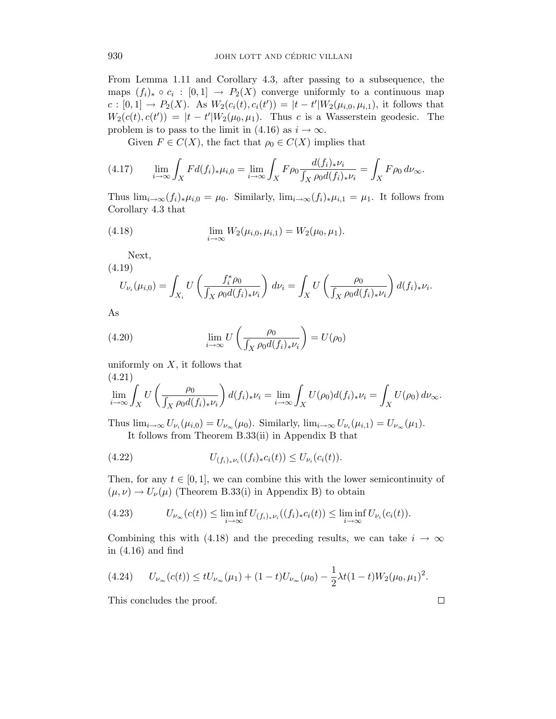From Lemma 1.11 and Corollary 4.3, after passing to a subsequence, the maps  $(f_i)_* \circ c_i : [0,1] \to P_2(X)$  converge uniformly to a continuous map  $c: [0,1] \to P_2(X)$ . As  $W_2(c_i(t), c_i(t')) = |t - t'|W_2(\mu_{i,0}, \mu_{i,1}),$  it follows that  $W_2(c(t), c(t')) = |t - t'|W_2(\mu_0, \mu_1)$ . Thus c is a Wasserstein geodesic. The problem is to pass to the limit in (4.16) as  $i \to \infty$ .

Given  $F \in C(X)$ , the fact that  $\rho_0 \in C(X)$  implies that

(4.17) 
$$
\lim_{i \to \infty} \int_X F d(f_i)_* \mu_{i,0} = \lim_{i \to \infty} \int_X F \rho_0 \frac{d(f_i)_* \nu_i}{\int_X \rho_0 d(f_i)_* \nu_i} = \int_X F \rho_0 d\nu_\infty.
$$

Thus  $\lim_{i\to\infty}(f_i)_*\mu_{i,0}=\mu_0$ . Similarly,  $\lim_{i\to\infty}(f_i)_*\mu_{i,1}=\mu_1$ . It follows from Corollary 4.3 that

(4.18) 
$$
\lim_{i \to \infty} W_2(\mu_{i,0}, \mu_{i,1}) = W_2(\mu_0, \mu_1).
$$

Next,

(4.19)

$$
U_{\nu_i}(\mu_{i,0}) = \int_{X_i} U\left(\frac{f_i^* \rho_0}{\int_X \rho_0 d(f_i)_* \nu_i}\right) d\nu_i = \int_X U\left(\frac{\rho_0}{\int_X \rho_0 d(f_i)_* \nu_i}\right) d(f_i)_* \nu_i.
$$

As

(4.20) 
$$
\lim_{i \to \infty} U\left(\frac{\rho_0}{\int_X \rho_0 d(f_i)_* \nu_i}\right) = U(\rho_0)
$$

uniformly on  $X$ , it follows that (4.21)

$$
\lim_{i \to \infty} \int_X U\left(\frac{\rho_0}{\int_X \rho_0 d(f_i)_*\nu_i}\right) d(f_i)_*\nu_i = \lim_{i \to \infty} \int_X U(\rho_0) d(f_i)_*\nu_i = \int_X U(\rho_0) d\nu_\infty.
$$

Thus  $\lim_{i\to\infty} U_{\nu_i}(\mu_{i,0}) = U_{\nu_\infty}(\mu_0)$ . Similarly,  $\lim_{i\to\infty} U_{\nu_i}(\mu_{i,1}) = U_{\nu_\infty}(\mu_1)$ . It follows from Theorem B.33(ii) in Appendix B that

(4.22) 
$$
U_{(f_i)_*\nu_i}((f_i)_*c_i(t)) \leq U_{\nu_i}(c_i(t)).
$$

Then, for any  $t \in [0,1]$ , we can combine this with the lower semicontinuity of  $(\mu, \nu) \rightarrow U_{\nu}(\mu)$  (Theorem B.33(i) in Appendix B) to obtain

(4.23) 
$$
U_{\nu_{\infty}}(c(t)) \leq \liminf_{i \to \infty} U_{(f_i)_{\ast} \nu_i}((f_i)_{\ast} c_i(t)) \leq \liminf_{i \to \infty} U_{\nu_i}(c_i(t)).
$$

Combining this with (4.18) and the preceding results, we can take  $i \to \infty$ in (4.16) and find

$$
(4.24) \tU_{\nu_{\infty}}(c(t)) \leq tU_{\nu_{\infty}}(\mu_1) + (1-t)U_{\nu_{\infty}}(\mu_0) - \frac{1}{2}\lambda t(1-t)W_2(\mu_0, \mu_1)^2.
$$

This concludes the proof.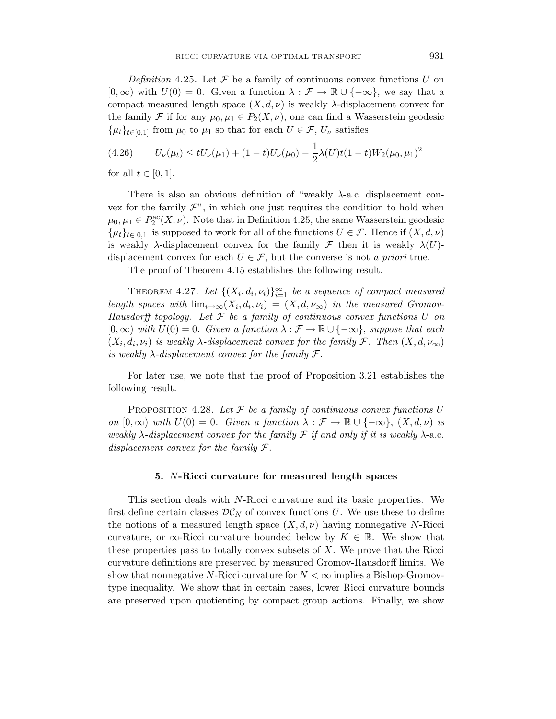Definition 4.25. Let  $\mathcal F$  be a family of continuous convex functions U on  $[0, \infty)$  with  $U(0) = 0$ . Given a function  $\lambda : \mathcal{F} \to \mathbb{R} \cup \{-\infty\}$ , we say that a compact measured length space  $(X, d, \nu)$  is weakly  $\lambda$ -displacement convex for the family F if for any  $\mu_0, \mu_1 \in P_2(X, \nu)$ , one can find a Wasserstein geodesic  $\{\mu_t\}_{t\in[0,1]}$  from  $\mu_0$  to  $\mu_1$  so that for each  $U \in \mathcal{F}$ ,  $U_{\nu}$  satisfies

(4.26) 
$$
U_{\nu}(\mu_t) \leq tU_{\nu}(\mu_1) + (1-t)U_{\nu}(\mu_0) - \frac{1}{2}\lambda(U)t(1-t)W_2(\mu_0, \mu_1)^2
$$

for all  $t \in [0, 1]$ .

There is also an obvious definition of "weakly  $\lambda$ -a.c. displacement convex for the family  $\mathcal{F}$ ", in which one just requires the condition to hold when  $\mu_0, \mu_1 \in P_2^{\rm ac}(X, \nu)$ . Note that in Definition 4.25, the same Wasserstein geodesic  $\{\mu_t\}_{t\in[0,1]}$  is supposed to work for all of the functions  $U\in\mathcal{F}$ . Hence if  $(X, d, \nu)$ is weakly  $\lambda$ -displacement convex for the family  $\mathcal F$  then it is weakly  $\lambda(U)$ displacement convex for each  $U \in \mathcal{F}$ , but the converse is not a priori true.

The proof of Theorem 4.15 establishes the following result.

THEOREM 4.27. Let  $\{(X_i, d_i, \nu_i)\}_{i=1}^{\infty}$  be a sequence of compact measured length spaces with  $\lim_{i\to\infty}(X_i,d_i,\nu_i)=(X,d,\nu_\infty)$  in the measured Gromov-Hausdorff topology. Let  $\mathcal F$  be a family of continuous convex functions U on  $[0, \infty)$  with  $U(0) = 0$ . Given a function  $\lambda : \mathcal{F} \to \mathbb{R} \cup \{-\infty\}$ , suppose that each  $(X_i, d_i, \nu_i)$  is weakly  $\lambda$ -displacement convex for the family F. Then  $(X, d, \nu_\infty)$ is weakly  $\lambda$ -displacement convex for the family  $\mathcal{F}.$ 

For later use, we note that the proof of Proposition 3.21 establishes the following result.

PROPOSITION 4.28. Let  $\mathcal F$  be a family of continuous convex functions U on  $[0, \infty)$  with  $U(0) = 0$ . Given a function  $\lambda : \mathcal{F} \to \mathbb{R} \cup \{-\infty\}, \ (X, d, \nu)$  is weakly  $\lambda$ -displacement convex for the family  $\mathcal F$  if and only if it is weakly  $\lambda$ -a.c. displacement convex for the family F.

#### 5. N-Ricci curvature for measured length spaces

This section deals with N-Ricci curvature and its basic properties. We first define certain classes  $DC_N$  of convex functions U. We use these to define the notions of a measured length space  $(X, d, \nu)$  having nonnegative N-Ricci curvature, or  $\infty$ -Ricci curvature bounded below by  $K \in \mathbb{R}$ . We show that these properties pass to totally convex subsets of X. We prove that the Ricci curvature definitions are preserved by measured Gromov-Hausdorff limits. We show that nonnegative N-Ricci curvature for  $N < \infty$  implies a Bishop-Gromovtype inequality. We show that in certain cases, lower Ricci curvature bounds are preserved upon quotienting by compact group actions. Finally, we show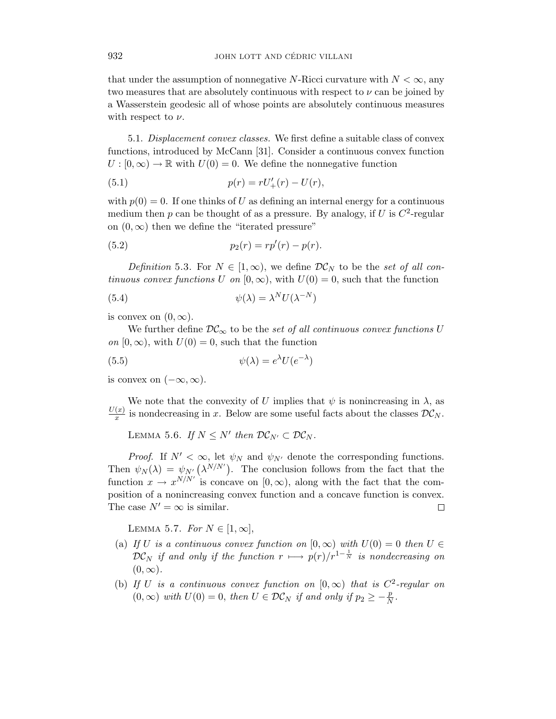that under the assumption of nonnegative N-Ricci curvature with  $N < \infty$ , any two measures that are absolutely continuous with respect to  $\nu$  can be joined by a Wasserstein geodesic all of whose points are absolutely continuous measures with respect to  $\nu$ .

5.1. Displacement convex classes. We first define a suitable class of convex functions, introduced by McCann [31]. Consider a continuous convex function  $U : [0, \infty) \to \mathbb{R}$  with  $U(0) = 0$ . We define the nonnegative function

(5.1) 
$$
p(r) = rU'_{+}(r) - U(r),
$$

with  $p(0) = 0$ . If one thinks of U as defining an internal energy for a continuous medium then p can be thought of as a pressure. By analogy, if U is  $C^2$ -regular on  $(0, \infty)$  then we define the "iterated pressure"

(5.2) 
$$
p_2(r) = rp'(r) - p(r).
$$

Definition 5.3. For  $N \in [1,\infty)$ , we define  $\mathcal{DC}_N$  to be the set of all continuous convex functions U on  $[0, \infty)$ , with  $U(0) = 0$ , such that the function

(5.4) 
$$
\psi(\lambda) = \lambda^N U(\lambda^{-N})
$$

is convex on  $(0, \infty)$ .

We further define  $DC_{\infty}$  to be the set of all continuous convex functions U on  $[0, \infty)$ , with  $U(0) = 0$ , such that the function

(5.5) 
$$
\psi(\lambda) = e^{\lambda} U(e^{-\lambda})
$$

is convex on  $(-\infty, \infty)$ .

We note that the convexity of U implies that  $\psi$  is nonincreasing in  $\lambda$ , as  $U(x)$  $\frac{f(x)}{x}$  is nondecreasing in x. Below are some useful facts about the classes  $DC_N$ .

LEMMA 5.6. If  $N \leq N'$  then  $DC_{N'} \subset DC_N$ .

*Proof.* If  $N' < \infty$ , let  $\psi_N$  and  $\psi_{N'}$  denote the corresponding functions. Then  $\psi_N(\lambda) = \psi_{N'}(\lambda^{N/N'})$ . The conclusion follows from the fact that the function  $x \to x^{N/N'}$  is concave on  $[0, \infty)$ , along with the fact that the composition of a nonincreasing convex function and a concave function is convex. The case  $N' = \infty$  is similar.  $\Box$ 

LEMMA 5.7. For  $N \in [1,\infty]$ ,

- (a) If U is a continuous convex function on  $[0,\infty)$  with  $U(0) = 0$  then  $U \in$  $\mathcal{DC}_N$  if and only if the function  $r \longmapsto p(r)/r^{1-\frac{1}{N}}$  is nondecreasing on  $(0, \infty)$ .
- (b) If U is a continuous convex function on  $[0,\infty)$  that is  $C^2$ -regular on  $(0, \infty)$  with  $U(0) = 0$ , then  $U \in \mathcal{DC}_N$  if and only if  $p_2 \geq -\frac{p}{N}$ .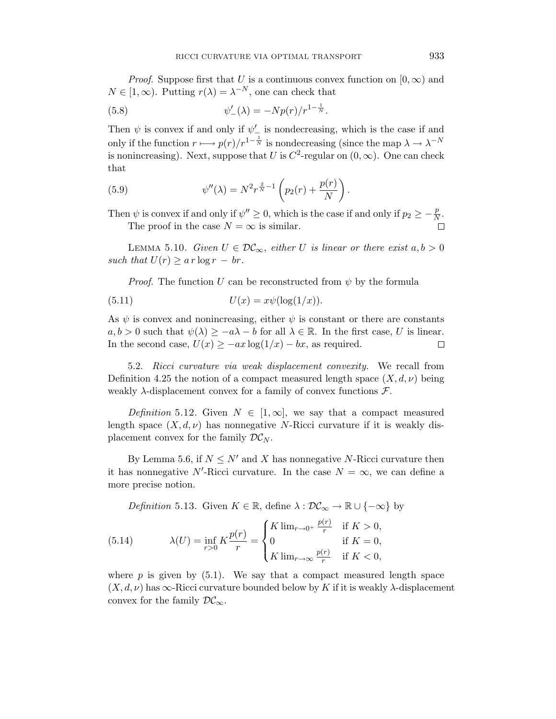*Proof.* Suppose first that U is a continuous convex function on  $[0, \infty)$  and  $N \in [1,\infty)$ . Putting  $r(\lambda) = \lambda^{-N}$ , one can check that

(5.8) 
$$
\psi'_{-}(\lambda) = -Np(r)/r^{1-\frac{1}{N}}.
$$

Then  $\psi$  is convex if and only if  $\psi'$  is nondecreasing, which is the case if and only if the function  $r \mapsto p(r)/r^{1-\frac{1}{N}}$  is nondecreasing (since the map  $\lambda \to \lambda^{-N}$ is nonincreasing). Next, suppose that U is  $C^2$ -regular on  $(0, \infty)$ . One can check that

(5.9) 
$$
\psi''(\lambda) = N^2 r^{\frac{2}{N}-1} \left( p_2(r) + \frac{p(r)}{N} \right).
$$

Then  $\psi$  is convex if and only if  $\psi'' \geq 0$ , which is the case if and only if  $p_2 \geq -\frac{p}{N}$ . The proof in the case  $N = \infty$  is similar.

LEMMA 5.10. Given  $U \in \mathcal{DC}_{\infty}$ , either U is linear or there exist  $a, b > 0$ such that  $U(r) \geq a r \log r - br$ .

*Proof.* The function U can be reconstructed from  $\psi$  by the formula

$$
(5.11) \t\t\t U(x) = x\psi(\log(1/x)).
$$

As  $\psi$  is convex and nonincreasing, either  $\psi$  is constant or there are constants  $a, b > 0$  such that  $\psi(\lambda) \ge -a\lambda - b$  for all  $\lambda \in \mathbb{R}$ . In the first case, U is linear. In the second case,  $U(x) \ge -ax \log(1/x) - bx$ , as required.  $\Box$ 

5.2. Ricci curvature via weak displacement convexity. We recall from Definition 4.25 the notion of a compact measured length space  $(X, d, \nu)$  being weakly  $\lambda$ -displacement convex for a family of convex functions  $\mathcal{F}$ .

Definition 5.12. Given  $N \in [1,\infty]$ , we say that a compact measured length space  $(X, d, \nu)$  has nonnegative N-Ricci curvature if it is weakly displacement convex for the family  $DC_N$ .

By Lemma 5.6, if  $N \leq N'$  and X has nonnegative N-Ricci curvature then it has nonnegative N'-Ricci curvature. In the case  $N = \infty$ , we can define a more precise notion.

Definition 5.13. Given  $K \in \mathbb{R}$ , define  $\lambda : \mathcal{DC}_{\infty} \to \mathbb{R} \cup \{-\infty\}$  by (5.14)  $\lambda(U) = \inf_{r>0} K \frac{p(r)}{r}$  $\frac{r}{r}$  =  $\sqrt{ }$  $\int$  $\overline{\mathcal{L}}$  $K\lim_{r\to 0^+}\frac{p(r)}{r}$  $\frac{(r)}{r}$  if  $K > 0$ , 0 if  $K = 0$ ,  $K\lim_{r\to\infty}\frac{p(r)}{r}$  $\frac{(r)}{r}$  if  $K < 0$ ,

where p is given by  $(5.1)$ . We say that a compact measured length space  $(X, d, \nu)$  has  $\infty$ -Ricci curvature bounded below by K if it is weakly  $\lambda$ -displacement convex for the family  $\mathcal{DC}_{\infty}$ .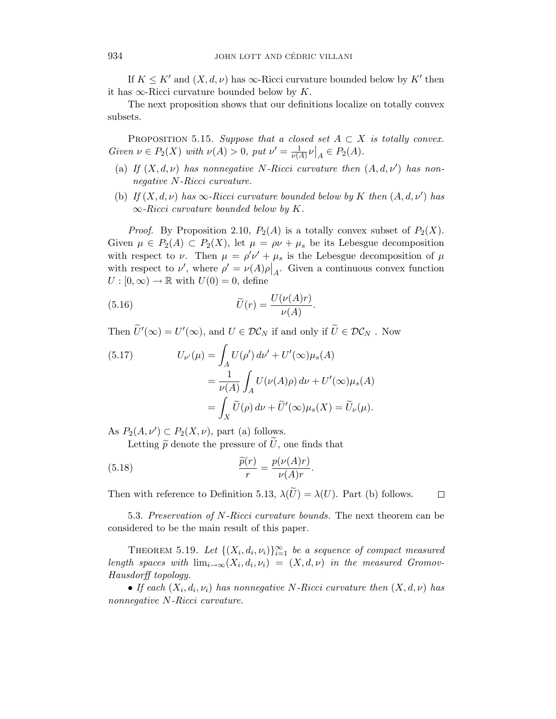If  $K \leq K'$  and  $(X, d, \nu)$  has  $\infty$ -Ricci curvature bounded below by K<sup>'</sup> then it has  $\infty$ -Ricci curvature bounded below by K.

The next proposition shows that our definitions localize on totally convex subsets.

PROPOSITION 5.15. Suppose that a closed set  $A \subset X$  is totally convex. Given  $\nu \in P_2(X)$  with  $\nu(A) > 0$ , put  $\nu' = \frac{1}{\nu(A)}$  $\frac{1}{\nu(A)}\nu\big|_A \in P_2(A).$ 

- (a) If  $(X, d, \nu)$  has nonnegative N-Ricci curvature then  $(A, d, \nu')$  has nonnegative N-Ricci curvature.
- (b) If  $(X, d, \nu)$  has  $\infty$ -Ricci curvature bounded below by K then  $(A, d, \nu')$  has  $\infty$ -Ricci curvature bounded below by K.

*Proof.* By Proposition 2.10,  $P_2(A)$  is a totally convex subset of  $P_2(X)$ . Given  $\mu \in P_2(A) \subset P_2(X)$ , let  $\mu = \rho \nu + \mu_s$  be its Lebesgue decomposition with respect to  $\nu$ . Then  $\mu = \rho' \nu' + \mu_s$  is the Lebesgue decomposition of  $\mu$ with respect to  $\nu'$ , where  $\rho' = \nu(A)\rho|_A$ . Given a continuous convex function  $U: [0, \infty) \to \mathbb{R}$  with  $U(0) = 0$ , define

(5.16) 
$$
\widetilde{U}(r) = \frac{U(\nu(A)r)}{\nu(A)}.
$$

Then  $\tilde{U}'(\infty) = U'(\infty)$ , and  $U \in \mathcal{DC}_N$  if and only if  $\tilde{U} \in \mathcal{DC}_N$ . Now

(5.17) 
$$
U_{\nu'}(\mu) = \int_A U(\rho') d\nu' + U'(\infty)\mu_s(A)
$$

$$
= \frac{1}{\nu(A)} \int_A U(\nu(A)\rho) d\nu + U'(\infty)\mu_s(A)
$$

$$
= \int_X \widetilde{U}(\rho) d\nu + \widetilde{U}'(\infty)\mu_s(X) = \widetilde{U}_{\nu}(\mu).
$$

As  $P_2(A, \nu') \subset P_2(X, \nu)$ , part (a) follows.

Letting  $\tilde{p}$  denote the pressure of U, one finds that

(5.18) 
$$
\frac{\widetilde{p}(r)}{r} = \frac{p(\nu(A)r)}{\nu(A)r}.
$$

Then with reference to Definition 5.13,  $\lambda(\tilde{U}) = \lambda(U)$ . Part (b) follows.  $\Box$ 

5.3. Preservation of N-Ricci curvature bounds. The next theorem can be considered to be the main result of this paper.

THEOREM 5.19. Let  $\{(X_i, d_i, \nu_i)\}_{i=1}^{\infty}$  be a sequence of compact measured length spaces with  $\lim_{i\to\infty}(X_i,d_i,\nu_i) = (X,d,\nu)$  in the measured Gromov-Hausdorff topology.

• If each  $(X_i, d_i, \nu_i)$  has nonnegative N-Ricci curvature then  $(X, d, \nu)$  has nonnegative N-Ricci curvature.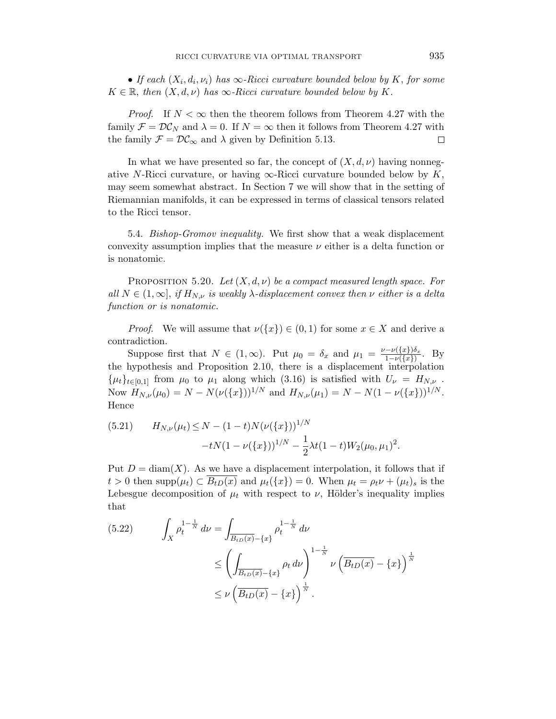• If each  $(X_i, d_i, \nu_i)$  has  $\infty$ -Ricci curvature bounded below by K, for some  $K \in \mathbb{R}$ , then  $(X, d, \nu)$  has  $\infty$ -Ricci curvature bounded below by K.

*Proof.* If  $N < \infty$  then the theorem follows from Theorem 4.27 with the family  $\mathcal{F} = \mathcal{D}\mathcal{C}_N$  and  $\lambda = 0$ . If  $N = \infty$  then it follows from Theorem 4.27 with the family  $\mathcal{F} = \mathcal{DC}_{\infty}$  and  $\lambda$  given by Definition 5.13.  $\Box$ 

In what we have presented so far, the concept of  $(X, d, \nu)$  having nonnegative N-Ricci curvature, or having  $\infty$ -Ricci curvature bounded below by K, may seem somewhat abstract. In Section 7 we will show that in the setting of Riemannian manifolds, it can be expressed in terms of classical tensors related to the Ricci tensor.

5.4. Bishop-Gromov inequality. We first show that a weak displacement convexity assumption implies that the measure  $\nu$  either is a delta function or is nonatomic.

PROPOSITION 5.20. Let  $(X, d, \nu)$  be a compact measured length space. For all  $N \in (1,\infty]$ , if  $H_{N,\nu}$  is weakly  $\lambda$ -displacement convex then  $\nu$  either is a delta function or is nonatomic.

*Proof.* We will assume that  $\nu({x}) \in (0,1)$  for some  $x \in X$  and derive a contradiction.

Suppose first that  $N \in (1,\infty)$ . Put  $\mu_0 = \delta_x$  and  $\mu_1 = \frac{\nu - \nu(\{x\})\delta_x}{1 - \nu(\{x\})}$  $\frac{(-\nu(\lbrace x\rbrace)^{\sigma_x}}{1-\nu(\lbrace x\rbrace)}.$  By the hypothesis and Proposition 2.10, there is a displacement interpolation  $\{\mu_t\}_{t\in[0,1]}$  from  $\mu_0$  to  $\mu_1$  along which (3.16) is satisfied with  $U_{\nu} = H_{N,\nu}$ . Now  $H_{N,\nu}(\mu_0) = N - N(\nu({x}))^{1/N}$  and  $H_{N,\nu}(\mu_1) = N - N(1 - \nu({x}))^{1/N}$ . Hence

(5.21) 
$$
H_{N,\nu}(\mu_t) \le N - (1-t)N(\nu({x}))^{1/N}
$$

$$
-tN(1-\nu({x}))^{1/N} - \frac{1}{2}\lambda t(1-t)W_2(\mu_0, \mu_1)^2.
$$

Put  $D = \text{diam}(X)$ . As we have a displacement interpolation, it follows that if  $t > 0$  then supp $(\mu_t) \subset B_{tD}(x)$  and  $\mu_t({x}) = 0$ . When  $\mu_t = \rho_t \nu + (\mu_t)_s$  is the Lebesgue decomposition of  $\mu_t$  with respect to  $\nu$ , Hölder's inequality implies that

(5.22) 
$$
\int_{X} \rho_{t}^{1-\frac{1}{N}} d\nu = \int_{\overline{B_{tD}(x)} - \{x\}} \rho_{t}^{1-\frac{1}{N}} d\nu \le \left( \int_{\overline{B_{tD}(x)} - \{x\}} \rho_{t} d\nu \right)^{1-\frac{1}{N}} \nu \left( \overline{B_{tD}(x)} - \{x\} \right)^{\frac{1}{N}} \le \nu \left( \overline{B_{tD}(x)} - \{x\} \right)^{\frac{1}{N}}.
$$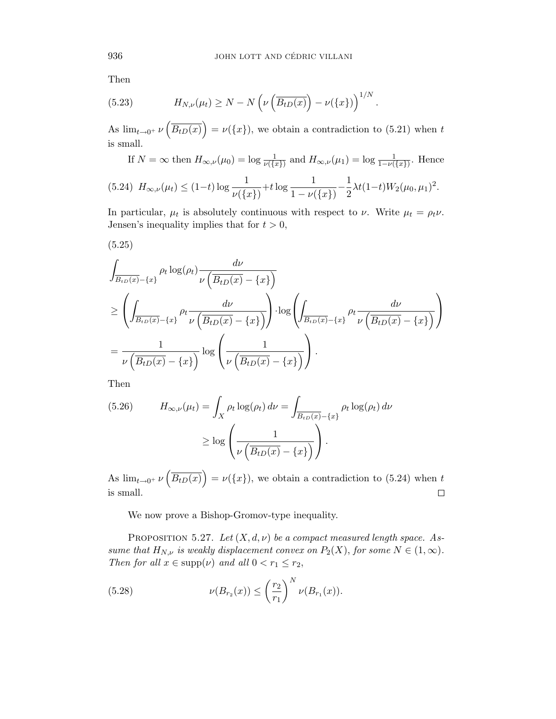Then

(5.23) 
$$
H_{N,\nu}(\mu_t) \ge N - N \left( \nu \left( \overline{B_{tD}(x)} \right) - \nu({x}) \right)^{1/N}.
$$

As  $\lim_{t\to 0^+} \nu\left(\overline{B_{tD}(x)}\right) = \nu(\lbrace x \rbrace)$ , we obtain a contradiction to (5.21) when t is small.

If 
$$
N = \infty
$$
 then  $H_{\infty,\nu}(\mu_0) = \log \frac{1}{\nu(\{x\})}$  and  $H_{\infty,\nu}(\mu_1) = \log \frac{1}{1-\nu(\{x\})}$ . Hence

$$
(5.24) \ H_{\infty,\nu}(\mu_t) \le (1-t) \log \frac{1}{\nu(\lbrace x \rbrace)} + t \log \frac{1}{1-\nu(\lbrace x \rbrace)} - \frac{1}{2} \lambda t (1-t) W_2(\mu_0, \mu_1)^2.
$$

In particular,  $\mu_t$  is absolutely continuous with respect to  $\nu$ . Write  $\mu_t = \rho_t \nu$ . Jensen's inequality implies that for  $t > 0$ ,

$$
(5.25)
$$

$$
\int_{\overline{B_{tD}(x)}-\{x\}} \rho_t \log(\rho_t) \frac{d\nu}{\nu \left(\overline{B_{tD}(x)} - \{x\}\right)}
$$
\n
$$
\geq \left( \int_{\overline{B_{tD}(x)}-\{x\}} \rho_t \frac{d\nu}{\nu \left(\overline{B_{tD}(x)} - \{x\}\right)} \right) \cdot \log \left( \int_{\overline{B_{tD}(x)}-\{x\}} \rho_t \frac{d\nu}{\nu \left(\overline{B_{tD}(x)} - \{x\}\right)} \right)
$$
\n
$$
= \frac{1}{\nu \left(\overline{B_{tD}(x)} - \{x\}\right)} \log \left( \frac{1}{\nu \left(\overline{B_{tD}(x)} - \{x\}\right)} \right).
$$

Then

(5.26) 
$$
H_{\infty,\nu}(\mu_t) = \int_X \rho_t \log(\rho_t) d\nu = \int_{\overline{B_{tD}(x)} - \{x\}} \rho_t \log(\rho_t) d\nu
$$

$$
\geq \log \left( \frac{1}{\nu \left( \overline{B_{tD}(x)} - \{x\} \right)} \right).
$$

As  $\lim_{t\to 0^+} \nu\left(\overline{B_{tD}(x)}\right) = \nu(\lbrace x \rbrace)$ , we obtain a contradiction to (5.24) when t is small.  $\Box$ 

We now prove a Bishop-Gromov-type inequality.

PROPOSITION 5.27. Let  $(X, d, \nu)$  be a compact measured length space. Assume that  $H_{N,\nu}$  is weakly displacement convex on  $P_2(X)$ , for some  $N \in (1,\infty)$ . Then for all  $x \in \text{supp}(\nu)$  and all  $0 < r_1 \le r_2$ ,

(5.28) 
$$
\nu(B_{r_2}(x)) \leq \left(\frac{r_2}{r_1}\right)^N \nu(B_{r_1}(x)).
$$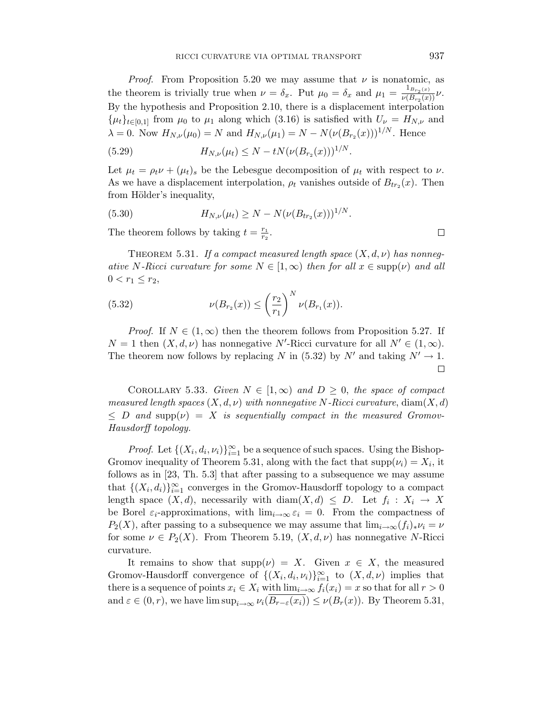*Proof.* From Proposition 5.20 we may assume that  $\nu$  is nonatomic, as the theorem is trivially true when  $\nu = \delta_x$ . Put  $\mu_0 = \delta_x$  and  $\mu_1 = \frac{1_{B_{r_2}(x)}}{\nu(B_{r_2}(x))}\nu$ . By the hypothesis and Proposition 2.10, there is a displacement interpolation  $\{\mu_t\}_{t\in[0,1]}$  from  $\mu_0$  to  $\mu_1$  along which (3.16) is satisfied with  $U_{\nu} = H_{N,\nu}$  and  $\lambda = 0$ . Now  $H_{N,\nu}(\mu_0) = N$  and  $H_{N,\nu}(\mu_1) = N - N(\nu(B_{r_2}(x)))^{1/N}$ . Hence

(5.29) 
$$
H_{N,\nu}(\mu_t) \leq N - tN(\nu(B_{r_2}(x)))^{1/N}.
$$

Let  $\mu_t = \rho_t \nu + (\mu_t)_s$  be the Lebesgue decomposition of  $\mu_t$  with respect to  $\nu$ . As we have a displacement interpolation,  $\rho_t$  vanishes outside of  $B_{tr_2}(x)$ . Then from Hölder's inequality,

(5.30) 
$$
H_{N,\nu}(\mu_t) \geq N - N(\nu(B_{tr_2}(x)))^{1/N}.
$$

The theorem follows by taking  $t = \frac{r_1}{r_0}$  $\frac{r_1}{r_2}$ .

THEOREM 5.31. If a compact measured length space  $(X, d, \nu)$  has nonnegative N-Ricci curvature for some  $N \in [1,\infty)$  then for all  $x \in \text{supp}(\nu)$  and all  $0 < r_1 \leq r_2$ ,

(5.32) 
$$
\nu(B_{r_2}(x)) \leq \left(\frac{r_2}{r_1}\right)^N \nu(B_{r_1}(x)).
$$

*Proof.* If  $N \in (1,\infty)$  then the theorem follows from Proposition 5.27. If  $N = 1$  then  $(X, d, \nu)$  has nonnegative N'-Ricci curvature for all  $N' \in (1, \infty)$ . The theorem now follows by replacing N in (5.32) by N' and taking  $N' \rightarrow 1$ .  $\Box$ 

COROLLARY 5.33. Given  $N \in [1,\infty)$  and  $D \geq 0$ , the space of compact measured length spaces  $(X, d, \nu)$  with nonnegative N-Ricci curvature,  $\text{diam}(X, d)$  $\leq D$  and supp $(\nu) = X$  is sequentially compact in the measured Gromov-Hausdorff topology.

*Proof.* Let  $\{(X_i, d_i, \nu_i)\}_{i=1}^{\infty}$  be a sequence of such spaces. Using the Bishop-Gromov inequality of Theorem 5.31, along with the fact that  $\text{supp}(\nu_i) = X_i$ , it follows as in [23, Th. 5.3] that after passing to a subsequence we may assume that  $\{(X_i, d_i)\}_{i=1}^{\infty}$  converges in the Gromov-Hausdorff topology to a compact length space  $(X, d)$ , necessarily with  $\text{diam}(X, d) \leq D$ . Let  $f_i : X_i \to X$ be Borel  $\varepsilon_i$ -approximations, with  $\lim_{i\to\infty} \varepsilon_i = 0$ . From the compactness of  $P_2(X)$ , after passing to a subsequence we may assume that  $\lim_{i\to\infty} (f_i)_*\nu_i = \nu$ for some  $\nu \in P_2(X)$ . From Theorem 5.19,  $(X, d, \nu)$  has nonnegative N-Ricci curvature.

It remains to show that  $\text{supp}(\nu) = X$ . Given  $x \in X$ , the measured Gromov-Hausdorff convergence of  $\{(X_i, d_i, \nu_i)\}_{i=1}^{\infty}$  to  $(X, d, \nu)$  implies that there is a sequence of points  $x_i \in X_i$  with  $\lim_{i \to \infty} f_i(x_i) = x$  so that for all  $r > 0$ and  $\varepsilon \in (0, r)$ , we have  $\limsup_{i \to \infty} \nu_i(B_{r-\varepsilon}(x_i)) \leq \nu(B_r(x))$ . By Theorem 5.31,

 $\Box$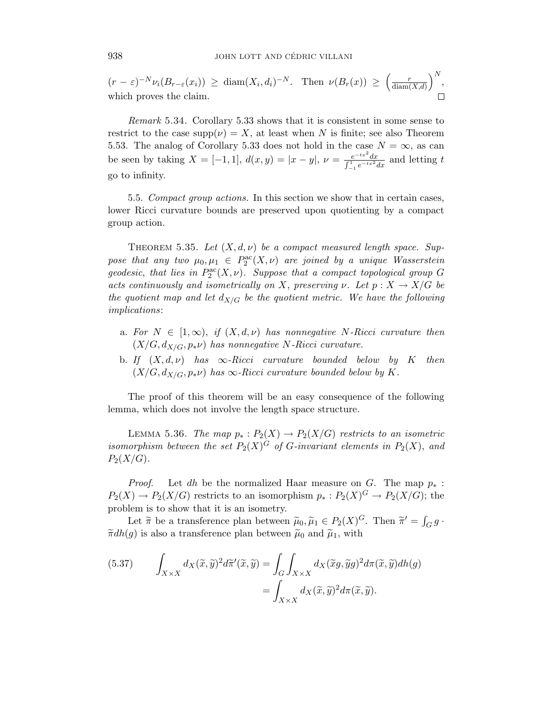$(r - \varepsilon)^{-N} \nu_i(B_{r-\varepsilon}(x_i)) \geq \text{diam}(X_i, d_i)^{-N}$ . Then  $\nu(B_r(x)) \geq \left(\frac{r}{\text{diam}(r)}\right)^{-N}$  $\frac{r}{\text{diam}(X,d)}\bigg)^N,$ which proves the claim.

Remark 5.34. Corollary 5.33 shows that it is consistent in some sense to restrict to the case  $supp(\nu) = X$ , at least when N is finite; see also Theorem 5.53. The analog of Corollary 5.33 does not hold in the case  $N = \infty$ , as can be seen by taking  $X = [-1, 1], d(x, y) = |x - y|, \nu = \frac{e^{-tx^2}dx}{\int_{-1}^{1} e^{-tx^2}dx}$  and letting t go to infinity.

5.5. Compact group actions. In this section we show that in certain cases, lower Ricci curvature bounds are preserved upon quotienting by a compact group action.

THEOREM 5.35. Let  $(X, d, \nu)$  be a compact measured length space. Suppose that any two  $\mu_0, \mu_1 \in P_2^{\text{ac}}(X, \nu)$  are joined by a unique Wasserstein geodesic, that lies in  $P_2^{\text{ac}}(X,\nu)$ . Suppose that a compact topological group G acts continuously and isometrically on X, preserving  $\nu$ . Let  $p: X \to X/G$  be the quotient map and let  $d_{X/G}$  be the quotient metric. We have the following implications:

- a. For  $N \in [1,\infty)$ , if  $(X,d,\nu)$  has nonnegative N-Ricci curvature then  $(X/G, d_{X/G}, p_*\nu)$  has nonnegative N-Ricci curvature.
- b. If  $(X, d, \nu)$  has  $\infty$ -Ricci curvature bounded below by K then  $(X/G, d_{X/G}, p_*\nu)$  has  $\infty$ -Ricci curvature bounded below by K.

The proof of this theorem will be an easy consequence of the following lemma, which does not involve the length space structure.

LEMMA 5.36. The map  $p_*: P_2(X) \to P_2(X/G)$  restricts to an isometric isomorphism between the set  $P_2(X)^G$  of G-invariant elements in  $P_2(X)$ , and  $P_2(X/G)$ .

*Proof.* Let dh be the normalized Haar measure on G. The map  $p_*$ :  $P_2(X) \to P_2(X/G)$  restricts to an isomorphism  $p_*: P_2(X)^G \to P_2(X/G)$ ; the problem is to show that it is an isometry.

Let  $\tilde{\pi}$  be a transference plan between  $\tilde{\mu}_0, \tilde{\mu}_1 \in P_2(X)^G$ . Then  $\tilde{\pi}' = \int_G g$ .  $\widetilde{\pi}dh(g)$  is also a transference plan between  $\widetilde{\mu}_0$  and  $\widetilde{\mu}_1$ , with

(5.37) 
$$
\int_{X \times X} d_X(\tilde{x}, \tilde{y})^2 d\tilde{\pi}'(\tilde{x}, \tilde{y}) = \int_G \int_{X \times X} d_X(\tilde{x}g, \tilde{y}g)^2 d\pi(\tilde{x}, \tilde{y}) dh(g)
$$

$$
= \int_{X \times X} d_X(\tilde{x}, \tilde{y})^2 d\pi(\tilde{x}, \tilde{y}).
$$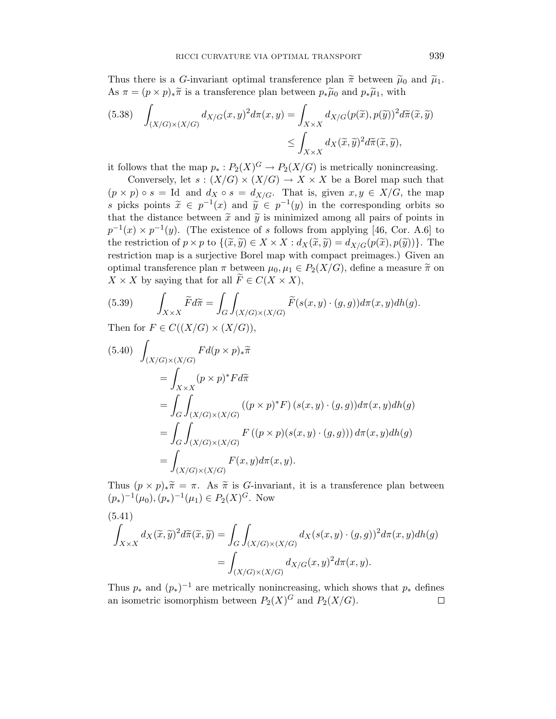Thus there is a G-invariant optimal transference plan  $\tilde{\pi}$  between  $\tilde{\mu}_0$  and  $\tilde{\mu}_1$ . As  $\pi = (p \times p)_{*} \tilde{\pi}$  is a transference plan between  $p_{*} \tilde{\mu}_{0}$  and  $p_{*} \tilde{\mu}_{1}$ , with

(5.38) 
$$
\int_{(X/G)\times(X/G)} d_{X/G}(x,y)^2 d\pi(x,y) = \int_{X\times X} d_{X/G}(p(\tilde{x}),p(\tilde{y}))^2 d\tilde{\pi}(\tilde{x},\tilde{y}) \leq \int_{X\times X} d_X(\tilde{x},\tilde{y})^2 d\tilde{\pi}(\tilde{x},\tilde{y}),
$$

it follows that the map  $p_*: P_2(X)^G \to P_2(X/G)$  is metrically nonincreasing.

Conversely, let  $s : (X/G) \times (X/G) \rightarrow X \times X$  be a Borel map such that  $(p \times p) \circ s = \text{Id}$  and  $d_X \circ s = d_{X/G}$ . That is, given  $x, y \in X/G$ , the map s picks points  $\tilde{x} \in p^{-1}(x)$  and  $\tilde{y} \in p^{-1}(y)$  in the corresponding orbits so<br>that the distance between  $\tilde{x}$  and  $\tilde{y}$  is minimized among all pairs of points in that the distance between  $\tilde{x}$  and  $\tilde{y}$  is minimized among all pairs of points in  $p^{-1}(x) \times p^{-1}(y)$ . (The existence of s follows from applying [46, Cor. A.6] to the restriction of  $p \times p$  to  $\{(\tilde{x}, \tilde{y}) \in X \times X : d_X(\tilde{x}, \tilde{y}) = d_{X/G}(p(\tilde{x}), p(\tilde{y}))\}$ . The restriction map is a surjective Borel map with compact preimages.) Given an optimal transference plan  $\pi$  between  $\mu_0, \mu_1 \in P_2(X/G)$ , define a measure  $\tilde{\pi}$  on  $X \times X$  by saying that for all  $\widetilde{F} \in C(X \times X)$ ,

(5.39) 
$$
\int_{X \times X} \widetilde{F} d\widetilde{\pi} = \int_{G} \int_{(X/G) \times (X/G)} \widetilde{F}(s(x,y) \cdot (g,g)) d\pi(x,y) dh(g).
$$

Then for  $F \in C((X/G) \times (X/G)),$ 

$$
(5.40) \quad \int_{(X/G)\times(X/G)} F d(p \times p)_*\tilde{\pi}
$$
  
= 
$$
\int_{X\times X} (p \times p)^* F d\tilde{\pi}
$$
  
= 
$$
\int_G \int_{(X/G)\times(X/G)} ((p \times p)^* F) (s(x, y) \cdot (g, g)) d\pi(x, y) dh(g)
$$
  
= 
$$
\int_G \int_{(X/G)\times(X/G)} F ((p \times p)(s(x, y) \cdot (g, g))) d\pi(x, y) dh(g)
$$
  
= 
$$
\int_{(X/G)\times(X/G)} F(x, y) d\pi(x, y).
$$

Thus  $(p \times p)_{\ast} \tilde{\pi} = \pi$ . As  $\tilde{\pi}$  is G-invariant, it is a transference plan between  $(p_*)^{-1}(\mu_0), (p_*)^{-1}(\mu_1) \in P_2(X)^G$ . Now

(5.41)  
\n
$$
\int_{X \times X} d_X(\tilde{x}, \tilde{y})^2 d\tilde{\pi}(\tilde{x}, \tilde{y}) = \int_G \int_{(X/G) \times (X/G)} d_X(s(x, y) \cdot (g, g))^2 d\pi(x, y) dh(g)
$$
\n
$$
= \int_{(X/G) \times (X/G)} d_{X/G}(x, y)^2 d\pi(x, y).
$$

Thus  $p_*$  and  $(p_*)^{-1}$  are metrically nonincreasing, which shows that  $p_*$  defines an isometric isomorphism between  $P_2(X)^G$  and  $P_2(X/G)$ .  $\Box$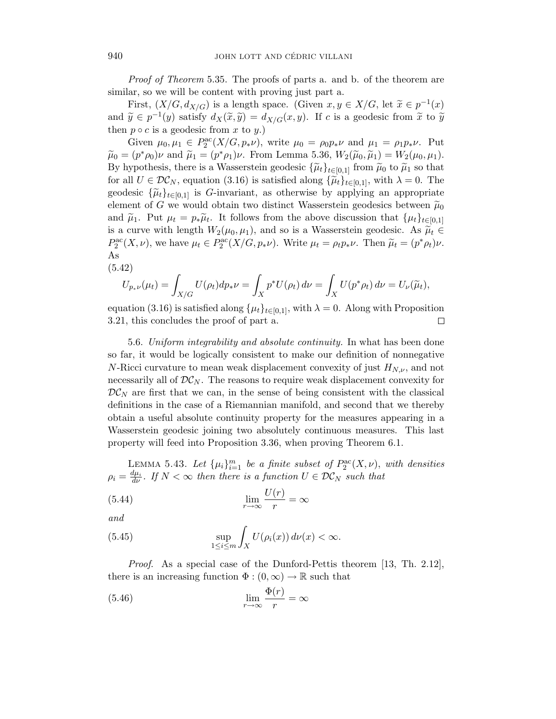Proof of Theorem 5.35. The proofs of parts a. and b. of the theorem are similar, so we will be content with proving just part a.

First,  $(X/G, d_{X/G})$  is a length space. (Given  $x, y \in X/G$ , let  $\tilde{x} \in p^{-1}(x)$ <br> $\tilde{y} \in \pi^{-1}(x)$  estisting  $d_{X/G}(\tilde{x}, \tilde{y}) = d_{X/G}(\tilde{x}, y)$ . If a is a graphesia from  $\tilde{y}$  to  $\tilde{y}$ and  $\widetilde{y} \in p^{-1}(y)$  satisfy  $d_X(\widetilde{x}, \widetilde{y}) = d_{X/G}(x, y)$ . If c is a geodesic from  $\widetilde{x}$  to  $\widetilde{y}$  then no c is a geodesic from  $x$  to  $\widetilde{y}$ then  $p \circ c$  is a geodesic from x to y.)

Given  $\mu_0, \mu_1 \in P_2^{\text{ac}}(X/G, p_*\nu)$ , write  $\mu_0 = \rho_0 p_*\nu$  and  $\mu_1 = \rho_1 p_*\nu$ . Put  $\widetilde{\mu}_0 = (p^*\rho_0)\nu$  and  $\widetilde{\mu}_1 = (p^*\rho_1)\nu$ . From Lemma 5.36,  $W_2(\widetilde{\mu}_0, \widetilde{\mu}_1) = W_2(\mu_0, \mu_1)$ .<br>By hypothesis, there is a Wessenstein geodesis  $\widetilde{\mu}_1$ , from  $\widetilde{\mu}_2$  to  $\widetilde{\mu}_2$  so that By hypothesis, there is a Wasserstein geodesic  $\{\tilde{\mu}_t\}_{t\in[0,1]}$  from  $\tilde{\mu}_0$  to  $\tilde{\mu}_1$  so that for all  $U \in \mathcal{DC}_N$ , equation (3.16) is satisfied along  $\{\widetilde{\mu}_t\}_{t\in[0,1]},$  with  $\lambda = 0$ . The geodesic  $\{\widetilde{\mu}_t\}_{t\in[0,1]}$  is G-invariant, as otherwise by applying an appropriate element of G we would obtain two distinct Wasserstein geodesics between  $\tilde{\mu}_0$ and  $\tilde{\mu}_1$ . Put  $\mu_t = p_* \tilde{\mu}_t$ . It follows from the above discussion that  $\{\mu_t\}_{t \in [0,1]}$ is a curve with length  $W_2(\mu_0, \mu_1)$ , and so is a Wasserstein geodesic. As  $\tilde{\mu}_t \in$  $P_2^{\text{ac}}(X,\nu)$ , we have  $\mu_t \in P_2^{\text{ac}}(X/G, p_*\nu)$ . Write  $\mu_t = \rho_t p_*\nu$ . Then  $\tilde{\mu}_t = (p^*\rho_t)\nu$ . As

$$
(5.42)
$$

$$
U_{p_{*}\nu}(\mu_t) = \int_{X/G} U(\rho_t) dp_{*}\nu = \int_{X} p^{*} U(\rho_t) d\nu = \int_{X} U(p^{*}\rho_t) d\nu = U_{\nu}(\tilde{\mu}_t),
$$

equation (3.16) is satisfied along  $\{\mu_t\}_{t\in[0,1]},$  with  $\lambda = 0$ . Along with Proposition 3.21, this concludes the proof of part a.  $\Box$ 

5.6. Uniform integrability and absolute continuity. In what has been done so far, it would be logically consistent to make our definition of nonnegative N-Ricci curvature to mean weak displacement convexity of just  $H_{N,\nu}$ , and not necessarily all of  $\mathcal{DC}_N$ . The reasons to require weak displacement convexity for  $DC_N$  are first that we can, in the sense of being consistent with the classical definitions in the case of a Riemannian manifold, and second that we thereby obtain a useful absolute continuity property for the measures appearing in a Wasserstein geodesic joining two absolutely continuous measures. This last property will feed into Proposition 3.36, when proving Theorem 6.1.

LEMMA 5.43. Let  $\{\mu_i\}_{i=1}^m$  be a finite subset of  $P_2^{\text{ac}}(X,\nu)$ , with densities  $\rho_i = \frac{d\mu_i}{d\nu}$ . If  $N < \infty$  then there is a function  $U \in \mathcal{DC}_N$  such that

(5.44) 
$$
\lim_{r \to \infty} \frac{U(r)}{r} = \infty
$$

and

(5.45) 
$$
\sup_{1 \le i \le m} \int_X U(\rho_i(x)) d\nu(x) < \infty.
$$

Proof. As a special case of the Dunford-Pettis theorem [13, Th. 2.12], there is an increasing function  $\Phi: (0,\infty) \to \mathbb{R}$  such that

(5.46) 
$$
\lim_{r \to \infty} \frac{\Phi(r)}{r} = \infty
$$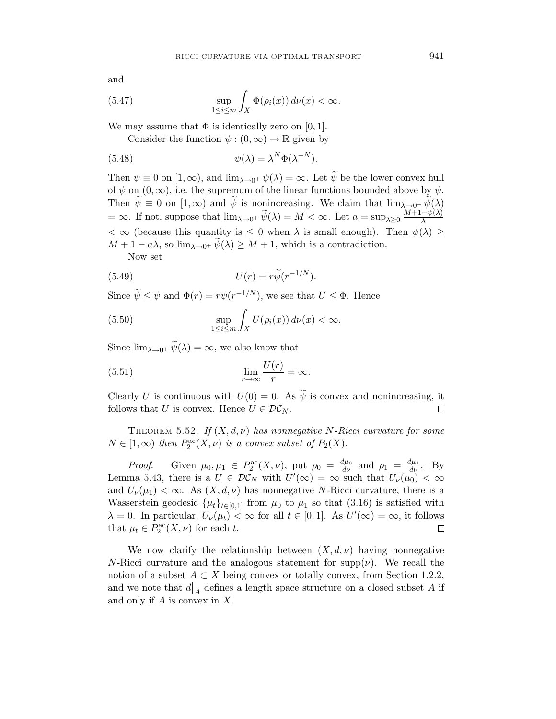and

(5.47) 
$$
\sup_{1 \le i \le m} \int_X \Phi(\rho_i(x)) d\nu(x) < \infty.
$$

We may assume that  $\Phi$  is identically zero on [0, 1].

Consider the function  $\psi : (0, \infty) \to \mathbb{R}$  given by

(5.48) 
$$
\psi(\lambda) = \lambda^N \Phi(\lambda^{-N}).
$$

Then  $\psi \equiv 0$  on  $[1, \infty)$ , and  $\lim_{\lambda \to 0^+} \psi(\lambda) = \infty$ . Let  $\widetilde{\psi}$  be the lower convex hull of  $\psi$  on  $(0, \infty)$ , i.e. the supremum of the linear functions bounded above by  $\psi$ . Then  $\widetilde{\psi} \equiv 0$  on  $[1, \infty)$  and  $\widetilde{\psi}$  is nonincreasing. We claim that  $\lim_{\lambda \to 0^+} \widetilde{\psi}(\lambda)$  $=\infty$ . If not, suppose that  $\lim_{\lambda\to 0^+}\tilde{\psi}(\lambda) = M < \infty$ . Let  $a = \sup_{\lambda\geq 0} \frac{M+1-\psi(\lambda)}{\lambda}$ λ  $< \infty$  (because this quantity is  $\leq 0$  when  $\lambda$  is small enough). Then  $\psi(\lambda)$  $M + 1 - a\lambda$ , so  $\lim_{\lambda \to 0^+} \psi(\lambda) \geq M + 1$ , which is a contradiction.

Now set

(5.49) 
$$
U(r) = r\widetilde{\psi}(r^{-1/N}).
$$

Since  $\widetilde{\psi} \leq \psi$  and  $\Phi(r) = r\psi(r^{-1/N})$ , we see that  $U \leq \Phi$ . Hence

(5.50) 
$$
\sup_{1 \le i \le m} \int_X U(\rho_i(x)) d\nu(x) < \infty.
$$

Since  $\lim_{\lambda \to 0^+} \widetilde{\psi}(\lambda) = \infty$ , we also know that

(5.51) 
$$
\lim_{r \to \infty} \frac{U(r)}{r} = \infty.
$$

Clearly U is continuous with  $U(0) = 0$ . As  $\tilde{\psi}$  is convex and nonincreasing, it follows that U is convex. Hence  $U \in \mathcal{DC}_N$ . follows that U is convex. Hence  $U \in \mathcal{DC}_N$ .

THEOREM 5.52. If  $(X, d, \nu)$  has nonnegative N-Ricci curvature for some  $N \in [1,\infty)$  then  $P_2^{\text{ac}}(X,\nu)$  is a convex subset of  $P_2(X)$ .

*Proof.* Given  $\mu_0, \mu_1 \in P_2^{\text{ac}}(X, \nu)$ , put  $\rho_0 = \frac{d\mu_0}{d\nu}$  and  $\rho_1 = \frac{d\mu_1}{d\nu}$ . By Lemma 5.43, there is a  $U \in \mathcal{DC}_N$  with  $U'(\infty) = \infty$  such that  $U_{\nu}(\mu_0) < \infty$ and  $U_{\nu}(\mu_1) < \infty$ . As  $(X, d, \nu)$  has nonnegative N-Ricci curvature, there is a Wasserstein geodesic  $\{\mu_t\}_{t\in[0,1]}$  from  $\mu_0$  to  $\mu_1$  so that (3.16) is satisfied with  $\lambda = 0$ . In particular,  $U_{\nu}(\mu_t) < \infty$  for all  $t \in [0,1]$ . As  $U'(\infty) = \infty$ , it follows that  $\mu_t \in P_2^{\rm ac}(X, \nu)$  for each t. Г

We now clarify the relationship between  $(X, d, \nu)$  having nonnegative N-Ricci curvature and the analogous statement for  $\text{supp}(\nu)$ . We recall the notion of a subset  $A \subset X$  being convex or totally convex, from Section 1.2.2, and we note that  $d|_A$  defines a length space structure on a closed subset A if and only if  $A$  is convex in  $X$ .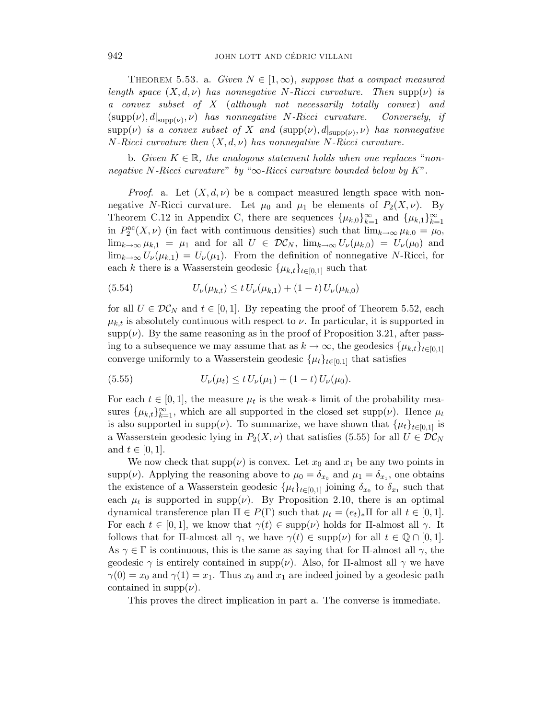THEOREM 5.53. a. Given  $N \in [1,\infty)$ , suppose that a compact measured length space  $(X, d, \nu)$  has nonnegative N-Ricci curvature. Then supp $(\nu)$  is  $a$  convex subset of  $X$  (although not necessarily totally convex) and  $(\text{supp}(\nu), d|_{\text{supp}(\nu)}, \nu)$  has nonnegative N-Ricci curvature. Conversely, if  $\mathrm{supp}(\nu)$  is a convex subset of X and  $(\mathrm{supp}(\nu),d|_{\mathrm{supp}(\nu)},\nu)$  has nonnegative N-Ricci curvature then  $(X, d, \nu)$  has nonnegative N-Ricci curvature.

b. Given  $K \in \mathbb{R}$ , the analogous statement holds when one replaces "nonnegative N-Ricci curvature" by "∞-Ricci curvature bounded below by  $K$ ".

*Proof.* a. Let  $(X, d, \nu)$  be a compact measured length space with nonnegative N-Ricci curvature. Let  $\mu_0$  and  $\mu_1$  be elements of  $P_2(X, \nu)$ . By Theorem C.12 in Appendix C, there are sequences  $\{\mu_{k,0}\}_{k=1}^{\infty}$  and  $\{\mu_{k,1}\}_{k=1}^{\infty}$ in  $P_2^{\text{ac}}(X,\nu)$  (in fact with continuous densities) such that  $\lim_{k\to\infty}\mu_{k,0}=\mu_0$ ,  $\lim_{k\to\infty}\mu_{k,1} = \mu_1$  and for all  $U \in \mathcal{DC}_N$ ,  $\lim_{k\to\infty}U_\nu(\mu_{k,0}) = U_\nu(\mu_0)$  and  $\lim_{k\to\infty} U_{\nu}(\mu_{k,1}) = U_{\nu}(\mu_1)$ . From the definition of nonnegative N-Ricci, for each k there is a Wasserstein geodesic  $\{\mu_{k,t}\}_{t\in[0,1]}$  such that

(5.54) 
$$
U_{\nu}(\mu_{k,t}) \leq t U_{\nu}(\mu_{k,1}) + (1-t) U_{\nu}(\mu_{k,0})
$$

for all  $U \in \mathcal{DC}_N$  and  $t \in [0,1]$ . By repeating the proof of Theorem 5.52, each  $\mu_{k,t}$  is absolutely continuous with respect to  $\nu$ . In particular, it is supported in supp $(\nu)$ . By the same reasoning as in the proof of Proposition 3.21, after passing to a subsequence we may assume that as  $k \to \infty$ , the geodesics  $\{\mu_{k,t}\}_{t \in [0,1]}$ converge uniformly to a Wasserstein geodesic  $\{\mu_t\}_{t\in[0,1]}$  that satisfies

(5.55) 
$$
U_{\nu}(\mu_t) \leq t U_{\nu}(\mu_1) + (1-t) U_{\nu}(\mu_0).
$$

For each  $t \in [0,1]$ , the measure  $\mu_t$  is the weak- $*$  limit of the probability measures  $\{\mu_{k,t}\}_{k=1}^{\infty}$ , which are all supported in the closed set supp $(\nu)$ . Hence  $\mu_t$ is also supported in supp( $\nu$ ). To summarize, we have shown that  $\{\mu_t\}_{t\in[0,1]}$  is a Wasserstein geodesic lying in  $P_2(X, \nu)$  that satisfies (5.55) for all  $U \in \mathcal{DC}_N$ and  $t \in [0,1]$ .

We now check that  $\text{supp}(\nu)$  is convex. Let  $x_0$  and  $x_1$  be any two points in supp( $\nu$ ). Applying the reasoning above to  $\mu_0 = \delta_{x_0}$  and  $\mu_1 = \delta_{x_1}$ , one obtains the existence of a Wasserstein geodesic  $\{\mu_t\}_{t\in[0,1]}$  joining  $\delta_{x_0}$  to  $\delta_{x_1}$  such that each  $\mu_t$  is supported in supp( $\nu$ ). By Proposition 2.10, there is an optimal dynamical transference plan  $\Pi \in P(\Gamma)$  such that  $\mu_t = (e_t)_* \Pi$  for all  $t \in [0,1]$ . For each  $t \in [0,1]$ , we know that  $\gamma(t) \in \text{supp}(\nu)$  holds for II-almost all  $\gamma$ . It follows that for  $\Pi$ -almost all  $\gamma$ , we have  $\gamma(t) \in \text{supp}(\nu)$  for all  $t \in \mathbb{Q} \cap [0,1].$ As  $\gamma \in \Gamma$  is continuous, this is the same as saying that for II-almost all  $\gamma$ , the geodesic  $\gamma$  is entirely contained in supp( $\nu$ ). Also, for II-almost all  $\gamma$  we have  $\gamma(0) = x_0$  and  $\gamma(1) = x_1$ . Thus  $x_0$  and  $x_1$  are indeed joined by a geodesic path contained in supp $(\nu)$ .

This proves the direct implication in part a. The converse is immediate.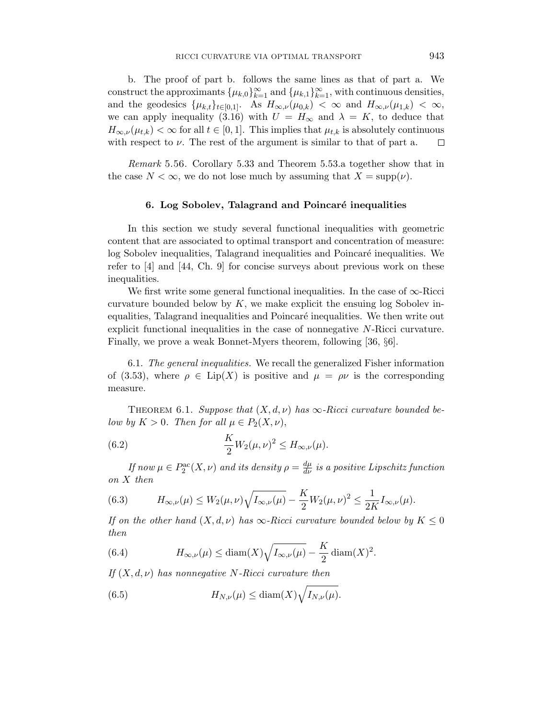b. The proof of part b. follows the same lines as that of part a. We construct the approximants  $\{\mu_{k,0}\}_{k=1}^{\infty}$  and  $\{\mu_{k,1}\}_{k=1}^{\infty}$ , with continuous densities, and the geodesics  $\{\mu_{k,t}\}_{t\in[0,1]}$ . As  $H_{\infty,\nu}(\mu_{0,k}) < \infty$  and  $H_{\infty,\nu}(\mu_{1,k}) < \infty$ , we can apply inequality (3.16) with  $U = H_{\infty}$  and  $\lambda = K$ , to deduce that  $H_{\infty,\nu}(\mu_{t,k}) < \infty$  for all  $t \in [0,1]$ . This implies that  $\mu_{t,k}$  is absolutely continuous with respect to  $\nu$ . The rest of the argument is similar to that of part a.  $\Box$ 

Remark 5.56. Corollary 5.33 and Theorem 5.53.a together show that in the case  $N < \infty$ , we do not lose much by assuming that  $X = \text{supp}(\nu)$ .

### 6. Log Sobolev, Talagrand and Poincaré inequalities

In this section we study several functional inequalities with geometric content that are associated to optimal transport and concentration of measure: log Sobolev inequalities, Talagrand inequalities and Poincaré inequalities. We refer to [4] and [44, Ch. 9] for concise surveys about previous work on these inequalities.

We first write some general functional inequalities. In the case of  $\infty$ -Ricci curvature bounded below by  $K$ , we make explicit the ensuing log Sobolev inequalities, Talagrand inequalities and Poincaré inequalities. We then write out explicit functional inequalities in the case of nonnegative N-Ricci curvature. Finally, we prove a weak Bonnet-Myers theorem, following [36, §6].

6.1. The general inequalities. We recall the generalized Fisher information of (3.53), where  $\rho \in \text{Lip}(X)$  is positive and  $\mu = \rho \nu$  is the corresponding measure.

THEOREM 6.1. Suppose that  $(X, d, \nu)$  has  $\infty$ -Ricci curvature bounded below by  $K > 0$ . Then for all  $\mu \in P_2(X, \nu)$ ,

(6.2) 
$$
\frac{K}{2}W_2(\mu,\nu)^2 \leq H_{\infty,\nu}(\mu).
$$

If now  $\mu \in P_2^{\rm ac}(X,\nu)$  and its density  $\rho = \frac{d\mu}{d\nu}$  is a positive Lipschitz function on X then

(6.3) 
$$
H_{\infty,\nu}(\mu) \le W_2(\mu,\nu)\sqrt{I_{\infty,\nu}(\mu)} - \frac{K}{2}W_2(\mu,\nu)^2 \le \frac{1}{2K}I_{\infty,\nu}(\mu).
$$

If on the other hand  $(X, d, \nu)$  has  $\infty$ -Ricci curvature bounded below by  $K \leq 0$ then

(6.4) 
$$
H_{\infty,\nu}(\mu) \leq \text{diam}(X)\sqrt{I_{\infty,\nu}(\mu)} - \frac{K}{2}\text{diam}(X)^2.
$$

If  $(X, d, \nu)$  has nonnegative N-Ricci curvature then

(6.5) 
$$
H_{N,\nu}(\mu) \leq \text{diam}(X) \sqrt{I_{N,\nu}(\mu)}.
$$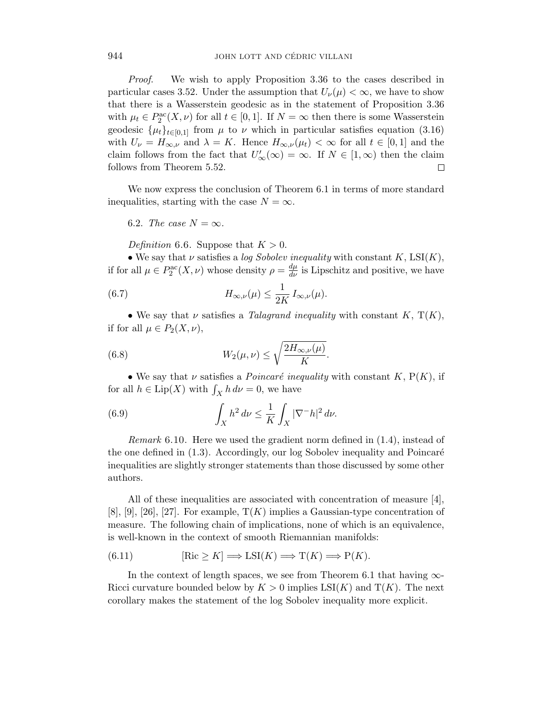Proof. We wish to apply Proposition 3.36 to the cases described in particular cases 3.52. Under the assumption that  $U_{\nu}(\mu) < \infty$ , we have to show that there is a Wasserstein geodesic as in the statement of Proposition 3.36 with  $\mu_t \in P_2^{\text{ac}}(X, \nu)$  for all  $t \in [0, 1]$ . If  $N = \infty$  then there is some Wasserstein geodesic  $\{\mu_t\}_{t\in[0,1]}$  from  $\mu$  to  $\nu$  which in particular satisfies equation (3.16) with  $U_{\nu} = H_{\infty,\nu}$  and  $\lambda = K$ . Hence  $H_{\infty,\nu}(\mu_t) < \infty$  for all  $t \in [0,1]$  and the claim follows from the fact that  $U'_{\infty}(\infty) = \infty$ . If  $N \in [1, \infty)$  then the claim follows from Theorem 5.52.  $\Box$ 

We now express the conclusion of Theorem 6.1 in terms of more standard inequalities, starting with the case  $N = \infty$ .

6.2. The case 
$$
N = \infty
$$
.

Definition 6.6. Suppose that  $K > 0$ .

• We say that  $\nu$  satisfies a *log Sobolev inequality* with constant  $K$ ,  $LSI(K)$ , if for all  $\mu \in P_2^{\text{ac}}(X, \nu)$  whose density  $\rho = \frac{d\mu}{d\nu}$  is Lipschitz and positive, we have

(6.7) 
$$
H_{\infty,\nu}(\mu) \leq \frac{1}{2K} I_{\infty,\nu}(\mu).
$$

• We say that  $\nu$  satisfies a *Talagrand inequality* with constant  $K, T(K)$ , if for all  $\mu \in P_2(X, \nu)$ ,

(6.8) 
$$
W_2(\mu,\nu) \leq \sqrt{\frac{2H_{\infty,\nu}(\mu)}{K}}.
$$

• We say that  $\nu$  satisfies a *Poincaré inequality* with constant K,  $P(K)$ , if for all  $h \in \text{Lip}(X)$  with  $\int_X h d\nu = 0$ , we have

(6.9) 
$$
\int_X h^2 d\nu \leq \frac{1}{K} \int_X |\nabla^- h|^2 d\nu.
$$

Remark 6.10. Here we used the gradient norm defined in (1.4), instead of the one defined in  $(1.3)$ . Accordingly, our log Sobolev inequality and Poincaré inequalities are slightly stronger statements than those discussed by some other authors.

All of these inequalities are associated with concentration of measure [4],  $[8]$ ,  $[9]$ ,  $[26]$ ,  $[27]$ . For example,  $T(K)$  implies a Gaussian-type concentration of measure. The following chain of implications, none of which is an equivalence, is well-known in the context of smooth Riemannian manifolds:

(6.11) 
$$
[\text{Ric} \ge K] \Longrightarrow \text{LSI}(K) \Longrightarrow \text{T}(K) \Longrightarrow \text{P}(K).
$$

In the context of length spaces, we see from Theorem 6.1 that having  $\infty$ -Ricci curvature bounded below by  $K > 0$  implies  $LSI(K)$  and  $T(K)$ . The next corollary makes the statement of the log Sobolev inequality more explicit.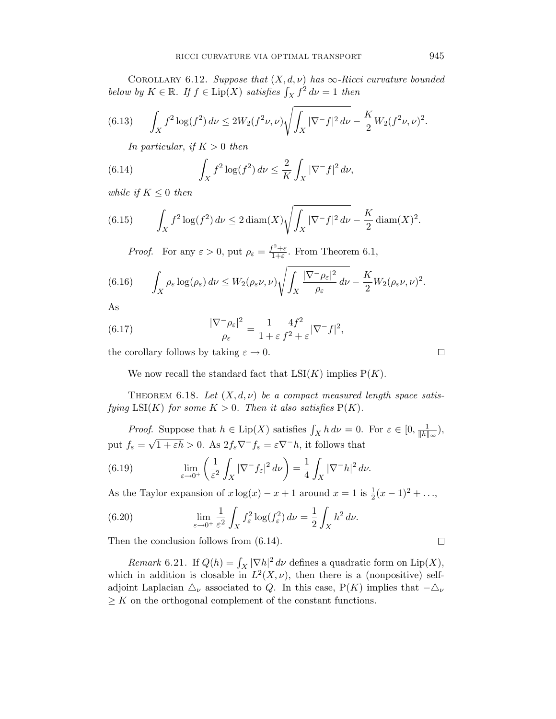COROLLARY 6.12. Suppose that  $(X, d, \nu)$  has  $\infty$ -Ricci curvature bounded below by  $K \in \mathbb{R}$ . If  $f \in \text{Lip}(X)$  satisfies  $\int_X f^2 d\nu = 1$  then

(6.13) 
$$
\int_X f^2 \log(f^2) \, d\nu \le 2W_2(f^2 \nu, \nu) \sqrt{\int_X |\nabla^- f|^2 \, d\nu} - \frac{K}{2} W_2(f^2 \nu, \nu)^2.
$$

In particular, if  $K > 0$  then

(6.14) 
$$
\int_X f^2 \log(f^2) \, d\nu \leq \frac{2}{K} \int_X |\nabla^{\dagger} f|^2 \, d\nu,
$$

while if  $K \leq 0$  then

(6.15) 
$$
\int_X f^2 \log(f^2) \, d\nu \le 2 \operatorname{diam}(X) \sqrt{\int_X |\nabla^- f|^2 \, d\nu} - \frac{K}{2} \operatorname{diam}(X)^2.
$$

*Proof.* For any  $\varepsilon > 0$ , put  $\rho_{\varepsilon} = \frac{f^2 + \varepsilon}{1 + \varepsilon}$  $\frac{t^2+\varepsilon}{1+\varepsilon}$ . From Theorem 6.1,

(6.16) 
$$
\int_X \rho_{\varepsilon} \log(\rho_{\varepsilon}) d\nu \leq W_2(\rho_{\varepsilon}\nu, \nu) \sqrt{\int_X \frac{|\nabla - \rho_{\varepsilon}|^2}{\rho_{\varepsilon}} d\nu} - \frac{K}{2} W_2(\rho_{\varepsilon}\nu, \nu)^2.
$$

As

(6.17) 
$$
\frac{|\nabla^-\rho_{\varepsilon}|^2}{\rho_{\varepsilon}} = \frac{1}{1+\varepsilon} \frac{4f^2}{f^2+\varepsilon} |\nabla^-f|^2,
$$

the corollary follows by taking  $\varepsilon \to 0$ .

We now recall the standard fact that  $LSI(K)$  implies  $P(K)$ .

THEOREM 6.18. Let  $(X, d, \nu)$  be a compact measured length space satisfying  $LSI(K)$  for some  $K > 0$ . Then it also satisfies  $P(K)$ .

*Proof.* Suppose that  $h \in \text{Lip}(X)$  satisfies  $\int_X h \, d\nu = 0$ . For  $\varepsilon \in [0, \frac{1}{\|h\|}]$ f. Suppose that  $h \in \text{Lip}(X)$  satisfies  $\int_X h \, d\nu = 0$ . For  $\varepsilon \in [0, \frac{1}{\|h\|_{\infty}})$ , put  $f_{\varepsilon} = \sqrt{1 + \varepsilon h} > 0$ . As  $2f_{\varepsilon} \nabla^{-} f_{\varepsilon} = \varepsilon \nabla^{-} h$ , it follows that

(6.19) 
$$
\lim_{\varepsilon \to 0^+} \left( \frac{1}{\varepsilon^2} \int_X |\nabla^- f_\varepsilon|^2 d\nu \right) = \frac{1}{4} \int_X |\nabla^- h|^2 d\nu.
$$

As the Taylor expansion of  $x \log(x) - x + 1$  around  $x = 1$  is  $\frac{1}{2}(x-1)^2 + \ldots$ ,

(6.20) 
$$
\lim_{\varepsilon \to 0^+} \frac{1}{\varepsilon^2} \int_X f_\varepsilon^2 \log(f_\varepsilon^2) \, d\nu = \frac{1}{2} \int_X h^2 \, d\nu.
$$

Then the conclusion follows from (6.14).

Remark 6.21. If  $Q(h) = \int_X |\nabla h|^2 d\nu$  defines a quadratic form on Lip(X), which in addition is closable in  $L^2(X, \nu)$ , then there is a (nonpositive) selfadjoint Laplacian  $\Delta_{\nu}$  associated to Q. In this case, P(K) implies that  $-\Delta_{\nu}$  $\geq K$  on the orthogonal complement of the constant functions.

 $\Box$ 

 $\Box$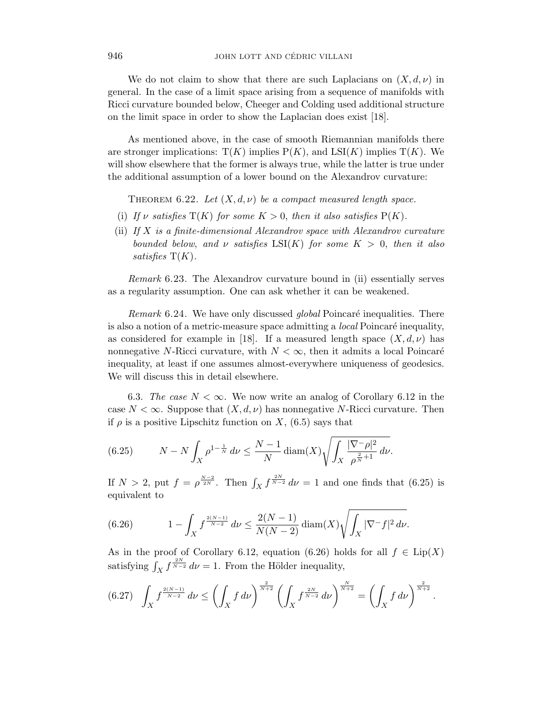We do not claim to show that there are such Laplacians on  $(X, d, \nu)$  in general. In the case of a limit space arising from a sequence of manifolds with Ricci curvature bounded below, Cheeger and Colding used additional structure on the limit space in order to show the Laplacian does exist [18].

As mentioned above, in the case of smooth Riemannian manifolds there are stronger implications:  $T(K)$  implies  $P(K)$ , and  $LSI(K)$  implies  $T(K)$ . We will show elsewhere that the former is always true, while the latter is true under the additional assumption of a lower bound on the Alexandrov curvature:

THEOREM 6.22. Let  $(X, d, \nu)$  be a compact measured length space.

- (i) If v satisfies  $T(K)$  for some  $K > 0$ , then it also satisfies  $P(K)$ .
- (ii) If  $X$  is a finite-dimensional Alexandrov space with Alexandrov curvature bounded below, and v satisfies  $LSI(K)$  for some  $K > 0$ , then it also satisfies  $T(K)$ .

Remark 6.23. The Alexandrov curvature bound in (ii) essentially serves as a regularity assumption. One can ask whether it can be weakened.

Remark  $6.24$ . We have only discussed global Poincaré inequalities. There is also a notion of a metric-measure space admitting a *local* Poincaré inequality, as considered for example in [18]. If a measured length space  $(X, d, \nu)$  has nonnegative N-Ricci curvature, with  $N < \infty$ , then it admits a local Poincaré inequality, at least if one assumes almost-everywhere uniqueness of geodesics. We will discuss this in detail elsewhere.

6.3. The case  $N < \infty$ . We now write an analog of Corollary 6.12 in the case  $N < \infty$ . Suppose that  $(X, d, \nu)$  has nonnegative N-Ricci curvature. Then if  $\rho$  is a positive Lipschitz function on X, (6.5) says that

(6.25) 
$$
N - N \int_X \rho^{1 - \frac{1}{N}} d\rho \le \frac{N - 1}{N} \operatorname{diam}(X) \sqrt{\int_X \frac{|\nabla - \rho|^2}{\rho^{\frac{2}{N} + 1}} d\rho}.
$$

If  $N > 2$ , put  $f = \rho^{\frac{N-2}{2N}}$ . Then  $\int_X f^{\frac{2N}{N-2}} d\nu = 1$  and one finds that (6.25) is equivalent to

(6.26) 
$$
1 - \int_X f^{\frac{2(N-1)}{N-2}} d\nu \leq \frac{2(N-1)}{N(N-2)} \operatorname{diam}(X) \sqrt{\int_X |\nabla^{\dagger} f|^2 d\nu}.
$$

As in the proof of Corollary 6.12, equation (6.26) holds for all  $f \in Lip(X)$ satisfying  $\int_X f^{\frac{2N}{N-2}} d\nu = 1$ . From the Hölder inequality,

$$
(6.27) \quad \int_X f^{\frac{2(N-1)}{N-2}} \, d\nu \le \left(\int_X f \, d\nu\right)^{\frac{2}{N+2}} \left(\int_X f^{\frac{2N}{N-2}} \, d\nu\right)^{\frac{N}{N+2}} = \left(\int_X f \, d\nu\right)^{\frac{2}{N+2}}.
$$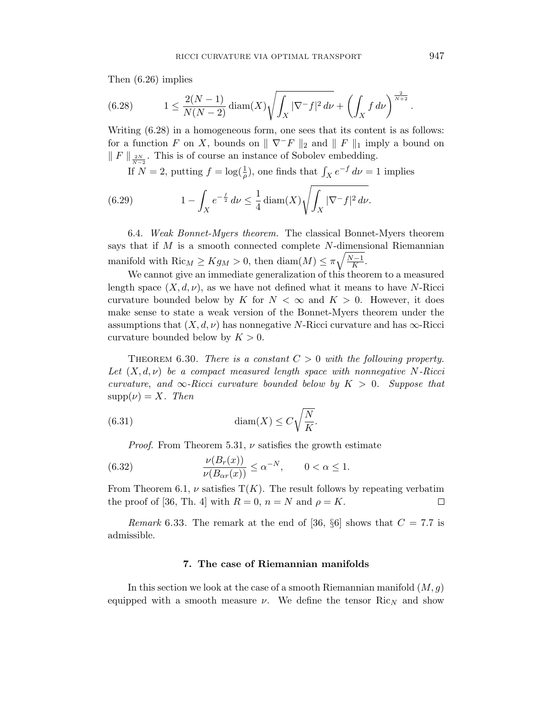Then (6.26) implies

(6.28) 
$$
1 \le \frac{2(N-1)}{N(N-2)} \operatorname{diam}(X) \sqrt{\int_X |\nabla^- f|^2 \, d\nu} + \left(\int_X f \, d\nu\right)^{\frac{2}{N+2}}.
$$

Writing (6.28) in a homogeneous form, one sees that its content is as follows: for a function F on X, bounds on  $\| \nabla F \|_2$  and  $\| F \|_1$  imply a bound on  $\| F \|_{\frac{2N}{N-2}}$ . This is of course an instance of Sobolev embedding.

If  $N = 2$ , putting  $f = \log(\frac{1}{\rho})$ , one finds that  $\int_X e^{-f} d\nu = 1$  implies

(6.29) 
$$
1 - \int_X e^{-\frac{t}{2}} \, d\nu \le \frac{1}{4} \operatorname{diam}(X) \sqrt{\int_X |\nabla^{\,-} f|^2 \, d\nu}.
$$

6.4. Weak Bonnet-Myers theorem. The classical Bonnet-Myers theorem says that if  $M$  is a smooth connected complete  $N$ -dimensional Riemannian manifold with  $\text{Ric}_M \geq Kg_M > 0$ , then  $\text{diam}(M) \leq \pi \sqrt{\frac{N-1}{K}}$  $\frac{(-1)}{K}$ .

We cannot give an immediate generalization of this theorem to a measured length space  $(X, d, \nu)$ , as we have not defined what it means to have N-Ricci curvature bounded below by K for  $N < \infty$  and  $K > 0$ . However, it does make sense to state a weak version of the Bonnet-Myers theorem under the assumptions that  $(X, d, \nu)$  has nonnegative N-Ricci curvature and has  $\infty$ -Ricci curvature bounded below by  $K > 0$ .

THEOREM 6.30. There is a constant  $C > 0$  with the following property. Let  $(X, d, \nu)$  be a compact measured length space with nonnegative N-Ricci curvature, and  $\infty$ -Ricci curvature bounded below by  $K > 0$ . Suppose that  $supp(\nu) = X$ . Then

(6.31) 
$$
\text{diam}(X) \leq C \sqrt{\frac{N}{K}}.
$$

*Proof.* From Theorem 5.31,  $\nu$  satisfies the growth estimate

(6.32) 
$$
\frac{\nu(B_r(x))}{\nu(B_{\alpha r}(x))} \le \alpha^{-N}, \qquad 0 < \alpha \le 1.
$$

From Theorem 6.1,  $\nu$  satisfies  $T(K)$ . The result follows by repeating verbatim the proof of [36, Th. 4] with  $R = 0$ ,  $n = N$  and  $\rho = K$ .  $\Box$ 

*Remark* 6.33. The remark at the end of [36,  $\S6$ ] shows that  $C = 7.7$  is admissible.

# 7. The case of Riemannian manifolds

In this section we look at the case of a smooth Riemannian manifold  $(M, g)$ equipped with a smooth measure  $\nu$ . We define the tensor Ric<sub>N</sub> and show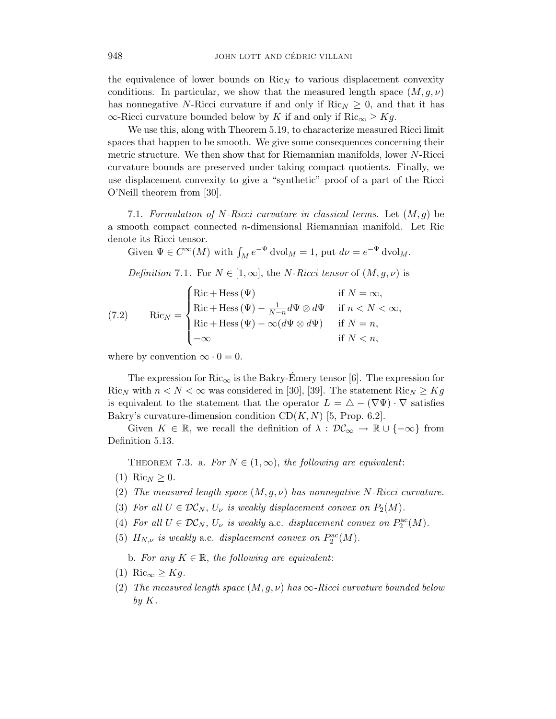the equivalence of lower bounds on  $Ric_N$  to various displacement convexity conditions. In particular, we show that the measured length space  $(M, g, \nu)$ has nonnegative N-Ricci curvature if and only if  $Ric_N \geq 0$ , and that it has  $\infty$ -Ricci curvature bounded below by K if and only if Ric<sub> $\infty \geq Kg$ .</sub>

We use this, along with Theorem 5.19, to characterize measured Ricci limit spaces that happen to be smooth. We give some consequences concerning their metric structure. We then show that for Riemannian manifolds, lower N-Ricci curvature bounds are preserved under taking compact quotients. Finally, we use displacement convexity to give a "synthetic" proof of a part of the Ricci O'Neill theorem from [30].

7.1. Formulation of N-Ricci curvature in classical terms. Let  $(M, g)$  be a smooth compact connected n-dimensional Riemannian manifold. Let Ric denote its Ricci tensor.

Given  $\Psi \in C^{\infty}(M)$  with  $\int_M e^{-\Psi} dvol_M = 1$ , put  $d\nu = e^{-\Psi} dvol_M$ .

Definition 7.1. For  $N \in [1,\infty]$ , the *N*-Ricci tensor of  $(M, g, \nu)$  is

(7.2) 
$$
Ric_N = \begin{cases} Ric + Hess(\Psi) & \text{if } N = \infty, \\ Ric + Hess(\Psi) - \frac{1}{N-n}d\Psi \otimes d\Psi & \text{if } n < N < \infty, \\ Ric + Hess(\Psi) - \infty(d\Psi \otimes d\Psi) & \text{if } N = n, \\ -\infty & \text{if } N < n, \end{cases}
$$

where by convention  $\infty \cdot 0 = 0$ .

The expression for  $\text{Ric}_{\infty}$  is the Bakry-Emery tensor [6]. The expression for Ric<sub>N</sub> with  $n < N < \infty$  was considered in [30], [39]. The statement Ric<sub>N</sub>  $\geq Kg$ is equivalent to the statement that the operator  $L = \triangle - (\nabla \Psi) \cdot \nabla$  satisfies Bakry's curvature-dimension condition  $CD(K, N)$  [5, Prop. 6.2].

Given  $K \in \mathbb{R}$ , we recall the definition of  $\lambda : \mathcal{DC}_{\infty} \to \mathbb{R} \cup \{-\infty\}$  from Definition 5.13.

THEOREM 7.3. a. For  $N \in (1,\infty)$ , the following are equivalent:

- (1) Ric<sub>N</sub>  $\geq$  0.
- (2) The measured length space  $(M, g, \nu)$  has nonnegative N-Ricci curvature.
- (3) For all  $U \in \mathcal{DC}_N$ ,  $U_{\nu}$  is weakly displacement convex on  $P_2(M)$ .
- (4) For all  $U \in \mathcal{DC}_N$ ,  $U_{\nu}$  is weakly a.c. displacement convex on  $P_2^{\text{ac}}(M)$ .
- (5)  $H_{N,\nu}$  is weakly a.c. displacement convex on  $P_2^{\text{ac}}(M)$ .

b. For any  $K \in \mathbb{R}$ , the following are equivalent:

- (1) Ric<sub>∞</sub>  $\geq$  Kg.
- (2) The measured length space  $(M, g, \nu)$  has  $\infty$ -Ricci curvature bounded below by  $K$ .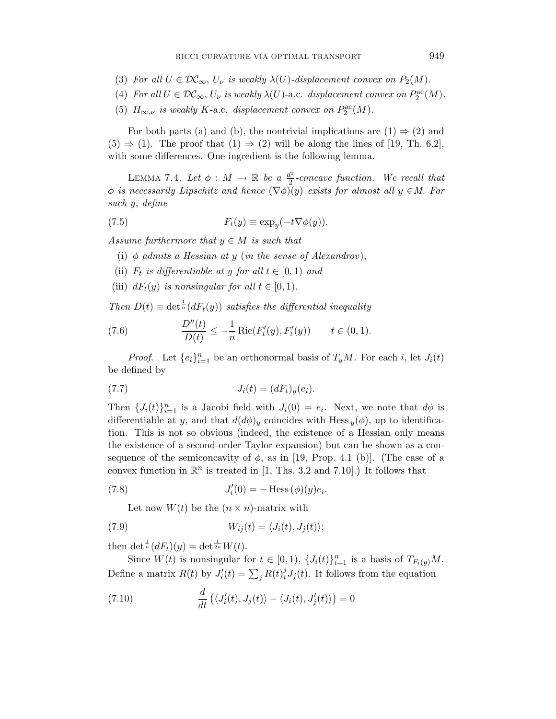- (3) For all  $U \in \mathcal{DC}_{\infty}$ ,  $U_{\nu}$  is weakly  $\lambda(U)$ -displacement convex on  $P_2(M)$ .
- (4) For all  $U \in \mathcal{DC}_{\infty}$ ,  $U_{\nu}$  is weakly  $\lambda(U)$ -a.c. displacement convex on  $P_2^{\rm ac}(M)$ .
- (5)  $H_{\infty,\nu}$  is weakly K-a.c. displacement convex on  $P_2^{\text{ac}}(M)$ .

For both parts (a) and (b), the nontrivial implications are  $(1) \Rightarrow (2)$  and  $(5) \Rightarrow (1)$ . The proof that  $(1) \Rightarrow (2)$  will be along the lines of [19, Th. 6.2], with some differences. One ingredient is the following lemma.

LEMMA 7.4. Let  $\phi : M \to \mathbb{R}$  be a  $\frac{d^2}{2}$  $\frac{d^2}{2}$ -concave function. We recall that  $\phi$  is necessarily Lipschitz and hence  $(\nabla \phi)(y)$  exists for almost all  $y \in M$ . For such y, define

(7.5) 
$$
F_t(y) \equiv \exp_y(-t\nabla\phi(y)).
$$

Assume furthermore that  $y \in M$  is such that

- (i)  $\phi$  admits a Hessian at y (in the sense of Alexandrov),
- (ii)  $F_t$  is differentiable at y for all  $t \in [0,1)$  and
- (iii)  $dF_t(y)$  is nonsingular for all  $t \in [0,1)$ .

Then  $D(t) \equiv \det^{\frac{1}{n}}(dF_t(y))$  satisfies the differential inequality

(7.6) 
$$
\frac{D''(t)}{D(t)} \leq -\frac{1}{n} \text{Ric}(F'_t(y), F'_t(y)) \qquad t \in (0, 1).
$$

*Proof.* Let  $\{e_i\}_{i=1}^n$  be an orthonormal basis of  $T_yM$ . For each i, let  $J_i(t)$ be defined by

$$
(7.7) \t\t\t J_i(t) = (dF_t)_y(e_i).
$$

Then  $\{J_i(t)\}_{i=1}^n$  is a Jacobi field with  $J_i(0) = e_i$ . Next, we note that  $d\phi$  is differentiable at y, and that  $d(d\phi)_y$  coincides with Hess  $_y(\phi)$ , up to identification. This is not so obvious (indeed, the existence of a Hessian only means the existence of a second-order Taylor expansion) but can be shown as a consequence of the semiconcavity of  $\phi$ , as in [19, Prop. 4.1 (b)]. (The case of a convex function in  $\mathbb{R}^n$  is treated in [1, Ths. 3.2 and 7.10].) It follows that

(7.8) 
$$
J_i'(0) = -\operatorname{Hess}(\phi)(y)e_i.
$$

Let now  $W(t)$  be the  $(n \times n)$ -matrix with

(7.9) 
$$
W_{ij}(t) = \langle J_i(t), J_j(t) \rangle;
$$

then  $\det^{\frac{1}{n}}(dF_t)(y) = \det^{\frac{1}{2n}}W(t)$ .

Since  $W(t)$  is nonsingular for  $t \in [0,1)$ ,  $\{J_i(t)\}_{i=1}^n$  is a basis of  $T_{F_t(y)}M$ . Define a matrix  $R(t)$  by  $J_i'(t) = \sum_j R(t)_{i,j}^{j'}$  $i<sup>j</sup> J<sub>j</sub>(t)$ . It follows from the equation

(7.10) 
$$
\frac{d}{dt} (\langle J'_i(t), J_j(t) \rangle - \langle J_i(t), J'_j(t) \rangle) = 0
$$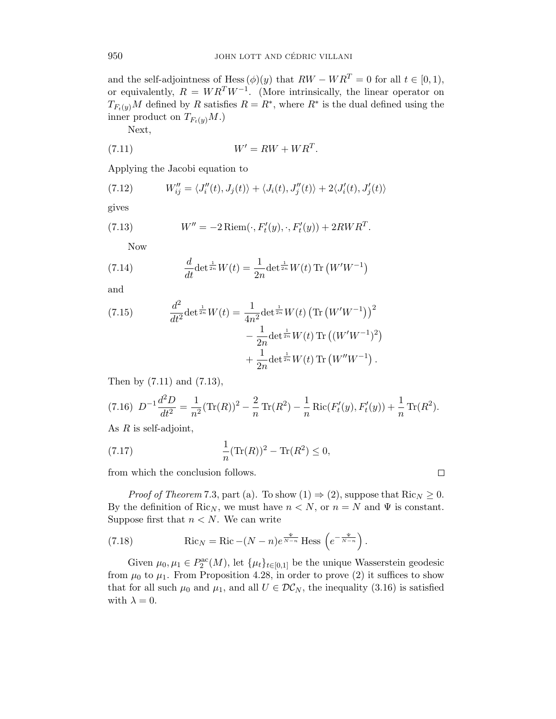and the self-adjointness of Hess  $(\phi)(y)$  that  $RW - WR^T = 0$  for all  $t \in [0, 1)$ , or equivalently,  $R = WR^T W^{-1}$ . (More intrinsically, the linear operator on  $T_{F_t(y)}M$  defined by R satisfies  $R = R^*$ , where  $R^*$  is the dual defined using the inner product on  $T_{F_t(y)}M$ .)

Next,

$$
(7.11) \t\t W' = RW + WR^T.
$$

Applying the Jacobi equation to

(7.12) 
$$
W''_{ij} = \langle J''_i(t), J_j(t) \rangle + \langle J_i(t), J''_j(t) \rangle + 2 \langle J'_i(t), J'_j(t) \rangle
$$

gives

(7.13) 
$$
W'' = -2 \text{Riem}(\cdot, F'_t(y), \cdot, F'_t(y)) + 2RWR^T.
$$

Now

(7.14) 
$$
\frac{d}{dt} \det^{\frac{1}{2n}} W(t) = \frac{1}{2n} \det^{\frac{1}{2n}} W(t) \operatorname{Tr} (W'W^{-1})
$$

and

(7.15) 
$$
\frac{d^2}{dt^2} \det^{\frac{1}{2n}} W(t) = \frac{1}{4n^2} \det^{\frac{1}{2n}} W(t) \left( \text{Tr} \left( W' W^{-1} \right) \right)^2 - \frac{1}{2n} \det^{\frac{1}{2n}} W(t) \text{ Tr} \left( (W' W^{-1})^2 \right) + \frac{1}{2n} \det^{\frac{1}{2n}} W(t) \text{ Tr} \left( W'' W^{-1} \right).
$$

Then by (7.11) and (7.13),

$$
(7.16)\ \ D^{-1}\frac{d^2D}{dt^2} = \frac{1}{n^2}(\text{Tr}(R))^2 - \frac{2}{n}\text{Tr}(R^2) - \frac{1}{n}\text{Ric}(F'_t(y), F'_t(y)) + \frac{1}{n}\text{Tr}(R^2).
$$

As  $R$  is self-adjoint,

(7.17) 
$$
\frac{1}{n}(\text{Tr}(R))^2 - \text{Tr}(R^2) \le 0,
$$

from which the conclusion follows.

*Proof of Theorem* 7.3, part (a). To show  $(1) \Rightarrow (2)$ , suppose that  $\text{Ric}_N \geq 0$ . By the definition of Ric<sub>N</sub>, we must have  $n < N$ , or  $n = N$  and  $\Psi$  is constant. Suppose first that  $n < N$ . We can write

(7.18) 
$$
\operatorname{Ric}_N = \operatorname{Ric} - (N - n)e^{\frac{\Psi}{N - n}} \operatorname{Hess} \left( e^{-\frac{\Psi}{N - n}} \right).
$$

Given  $\mu_0, \mu_1 \in P_2^{\text{ac}}(M)$ , let  $\{\mu_t\}_{t \in [0,1]}$  be the unique Wasserstein geodesic from  $\mu_0$  to  $\mu_1$ . From Proposition 4.28, in order to prove (2) it suffices to show that for all such  $\mu_0$  and  $\mu_1$ , and all  $U \in \mathcal{DC}_N$ , the inequality (3.16) is satisfied with  $\lambda = 0$ .

$$
\Box
$$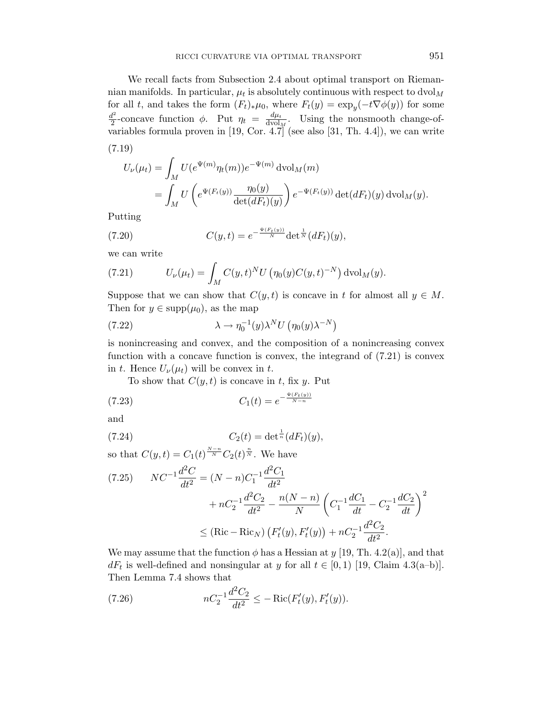We recall facts from Subsection 2.4 about optimal transport on Riemannian manifolds. In particular,  $\mu_t$  is absolutely continuous with respect to  $\text{dvol}_M$ for all t, and takes the form  $(F_t)_*\mu_0$ , where  $F_t(y) = \exp_y(-t\nabla\phi(y))$  for some  $d^2$  $\frac{d^2}{2}$ -concave function  $\phi$ . Put  $\eta_t = \frac{d\mu_t}{dvol_t}$  $\frac{d\mu_t}{d\text{vol}_M}$ . Using the nonsmooth change-ofvariables formula proven in  $[19, \text{Cor. } 4.7]$  (see also [31, Th. 4.4]), we can write (7.19)

$$
U_{\nu}(\mu_t) = \int_M U(e^{\Psi(m)} \eta_t(m)) e^{-\Psi(m)} dvol_M(m)
$$
  
= 
$$
\int_M U\left(e^{\Psi(F_t(y))} \frac{\eta_0(y)}{\det(dF_t)(y)}\right) e^{-\Psi(F_t(y))} \det(dF_t)(y) dvol_M(y).
$$

Putting

(7.20) 
$$
C(y,t) = e^{-\frac{\Psi(F_t(y))}{N}} \det^{\frac{1}{N}}(dF_t)(y),
$$

we can write

(7.21) 
$$
U_{\nu}(\mu_t) = \int_M C(y, t)^N U(\eta_0(y)C(y, t)^{-N}) \, \mathrm{dvol}_M(y).
$$

Suppose that we can show that  $C(y, t)$  is concave in t for almost all  $y \in M$ . Then for  $y \in \text{supp}(\mu_0)$ , as the map

(7.22) 
$$
\lambda \to \eta_0^{-1}(y) \lambda^N U(\eta_0(y) \lambda^{-N})
$$

is nonincreasing and convex, and the composition of a nonincreasing convex function with a concave function is convex, the integrand of (7.21) is convex in t. Hence  $U_{\nu}(\mu_t)$  will be convex in t.

To show that  $C(y, t)$  is concave in t, fix y. Put

(7.23) 
$$
C_1(t) = e^{-\frac{\Psi(F_t(y))}{N-n}}
$$

and

(7.24) 
$$
C_2(t) = \det^{\frac{1}{n}}(dF_t)(y),
$$

so that  $C(y,t) = C_1(t)^{\frac{N-n}{N}} C_2(t)^{\frac{n}{N}}$ . We have

$$
(7.25) \qquad NC^{-1}\frac{d^2C}{dt^2} = (N-n)C_1^{-1}\frac{d^2C_1}{dt^2} + nC_2^{-1}\frac{d^2C_2}{dt^2} - \frac{n(N-n)}{N}\left(C_1^{-1}\frac{dC_1}{dt} - C_2^{-1}\frac{dC_2}{dt}\right)^2 \leq (\text{Ric} - \text{Ric}_N)\left(F_t'(y), F_t'(y)\right) + nC_2^{-1}\frac{d^2C_2}{dt^2}.
$$

We may assume that the function  $\phi$  has a Hessian at y [19, Th. 4.2(a)], and that  $dF_t$  is well-defined and nonsingular at y for all  $t \in [0,1)$  [19, Claim 4.3(a-b)]. Then Lemma 7.4 shows that

(7.26) 
$$
nC_2^{-1}\frac{d^2C_2}{dt^2} \leq -\operatorname{Ric}(F'_t(y), F'_t(y)).
$$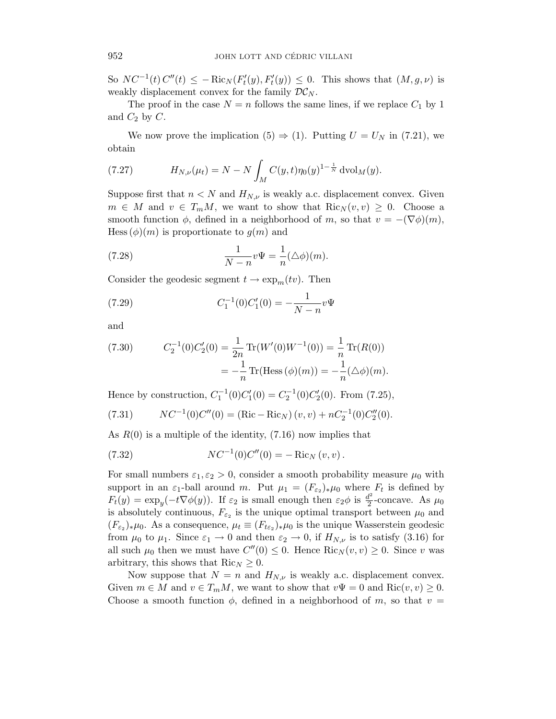So  $NC^{-1}(t)C''(t) \leq -Ric_N(F'_t(y), F'_t(y)) \leq 0$ . This shows that  $(M, g, \nu)$  is weakly displacement convex for the family  $DC_N$ .

The proof in the case  $N = n$  follows the same lines, if we replace  $C_1$  by 1 and  $C_2$  by  $C$ .

We now prove the implication  $(5) \Rightarrow (1)$ . Putting  $U = U_N$  in  $(7.21)$ , we obtain

(7.27) 
$$
H_{N,\nu}(\mu_t) = N - N \int_M C(y,t) \eta_0(y)^{1-\frac{1}{N}} \, \mathrm{dvol}_M(y).
$$

Suppose first that  $n < N$  and  $H_{N,\nu}$  is weakly a.c. displacement convex. Given  $m \in M$  and  $v \in T_mM$ , we want to show that  $\text{Ric}_N(v, v) \geq 0$ . Choose a smooth function  $\phi$ , defined in a neighborhood of m, so that  $v = -(\nabla \phi)(m)$ , Hess  $(\phi)(m)$  is proportionate to  $g(m)$  and

(7.28) 
$$
\frac{1}{N-n}v\Psi = \frac{1}{n}(\Delta\phi)(m).
$$

Consider the geodesic segment  $t \to \exp_m(tv)$ . Then

(7.29) 
$$
C_1^{-1}(0)C_1'(0) = -\frac{1}{N-n}v\Psi
$$

and

(7.30) 
$$
C_2^{-1}(0)C_2'(0) = \frac{1}{2n} \text{Tr}(W'(0)W^{-1}(0)) = \frac{1}{n} \text{Tr}(R(0))
$$

$$
= -\frac{1}{n} \text{Tr}(\text{Hess}(\phi)(m)) = -\frac{1}{n}(\Delta \phi)(m).
$$

Hence by construction,  $C_1^{-1}(0)C_1'(0) = C_2^{-1}(0)C_2'(0)$ . From (7.25),

(7.31) 
$$
NC^{-1}(0)C''(0) = (\text{Ric} - \text{Ric}_N)(v, v) + nC_2^{-1}(0)C_2''(0).
$$

As  $R(0)$  is a multiple of the identity, (7.16) now implies that

(7.32) 
$$
NC^{-1}(0)C''(0) = -\operatorname{Ric}_N(v,v).
$$

For small numbers  $\varepsilon_1, \varepsilon_2 > 0$ , consider a smooth probability measure  $\mu_0$  with support in an  $\varepsilon_1$ -ball around m. Put  $\mu_1 = (F_{\varepsilon_2})_*\mu_0$  where  $F_t$  is defined by  $F_t(y) = \exp_y(-t\nabla\phi(y))$ . If  $\varepsilon_2$  is small enough then  $\varepsilon_2\phi$  is  $\frac{d^2}{2}$  $\frac{d^2}{2}$ -concave. As  $\mu_0$ is absolutely continuous,  $F_{\varepsilon_2}$  is the unique optimal transport between  $\mu_0$  and  $(F_{\varepsilon_2})_*\mu_0$ . As a consequence,  $\mu_t \equiv (F_{t\varepsilon_2})_*\mu_0$  is the unique Wasserstein geodesic from  $\mu_0$  to  $\mu_1$ . Since  $\varepsilon_1 \to 0$  and then  $\varepsilon_2 \to 0$ , if  $H_{N,\nu}$  is to satisfy (3.16) for all such  $\mu_0$  then we must have  $C''(0) \leq 0$ . Hence  $\text{Ric}_N(v, v) \geq 0$ . Since v was arbitrary, this shows that  $Ric_N \geq 0$ .

Now suppose that  $N = n$  and  $H_{N,\nu}$  is weakly a.c. displacement convex. Given  $m \in M$  and  $v \in T_mM$ , we want to show that  $v\Psi = 0$  and  $\text{Ric}(v, v) \geq 0$ . Choose a smooth function  $\phi$ , defined in a neighborhood of m, so that  $v =$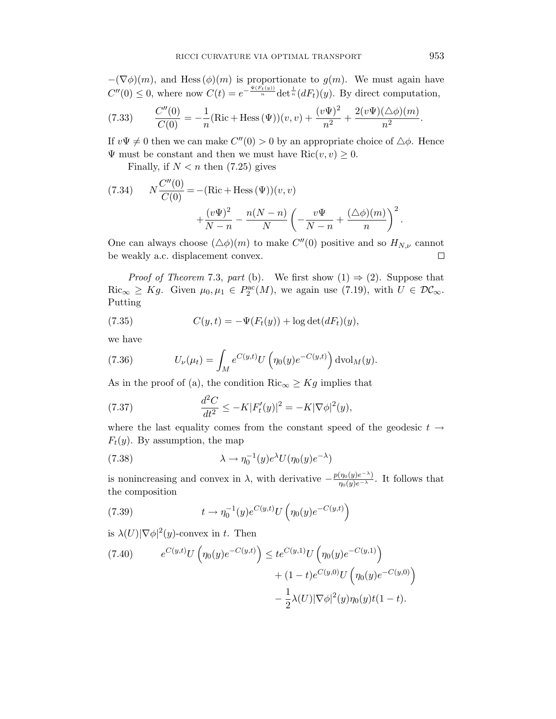$-(\nabla \phi)(m)$ , and Hess  $(\phi)(m)$  is proportionate to  $g(m)$ . We must again have  $C''(0) \leq 0$ , where now  $C(t) = e^{-\frac{\Psi(F_t(y))}{n}} \det^{\frac{1}{n}}(dF_t)(y)$ . By direct computation,

(7.33) 
$$
\frac{C''(0)}{C(0)} = -\frac{1}{n} (\text{Ric} + \text{Hess}(\Psi))(v, v) + \frac{(v\Psi)^2}{n^2} + \frac{2(v\Psi)(\triangle\phi)(m)}{n^2}
$$

If  $v\Psi \neq 0$  then we can make  $C''(0) > 0$  by an appropriate choice of  $\Delta \phi$ . Hence  $\Psi$  must be constant and then we must have  $\text{Ric}(v, v) \geq 0$ .

Finally, if  $N < n$  then  $(7.25)$  gives

<sup>00</sup>(0)

(7.34) 
$$
N \frac{C''(0)}{C(0)} = -(Ric + Hess(\Psi))(v, v) + \frac{(v\Psi)^2}{N - n} - \frac{n(N - n)}{N} \left( -\frac{v\Psi}{N - n} + \frac{(\Delta\phi)(m)}{n} \right)^2.
$$

One can always choose  $(\triangle \phi)(m)$  to make  $C''(0)$  positive and so  $H_{N,\nu}$  cannot be weakly a.c. displacement convex.  $\Box$ 

*Proof of Theorem 7.3, part* (b). We first show  $(1) \Rightarrow (2)$ . Suppose that  $\text{Ric}_{\infty} \geq Kg.$  Given  $\mu_0, \mu_1 \in P_2^{\text{ac}}(M)$ , we again use (7.19), with  $U \in \mathcal{DC}_{\infty}$ . Putting

(7.35) 
$$
C(y,t) = -\Psi(F_t(y)) + \log \det(dF_t)(y),
$$

we have

(7.36) 
$$
U_{\nu}(\mu_t) = \int_M e^{C(y,t)} U(\eta_0(y) e^{-C(y,t)}) \, \mathrm{dvol}_M(y).
$$

As in the proof of (a), the condition  $\text{Ric}_{\infty} \geq Kg$  implies that

(7.37) 
$$
\frac{d^2C}{dt^2} \le -K|F'_t(y)|^2 = -K|\nabla\phi|^2(y),
$$

where the last equality comes from the constant speed of the geodesic  $t \rightarrow$  $F_t(y)$ . By assumption, the map

(7.38) 
$$
\lambda \to \eta_0^{-1}(y) e^{\lambda} U(\eta_0(y) e^{-\lambda})
$$

is nonincreasing and convex in  $\lambda$ , with derivative  $-\frac{p(\eta_0(y)e^{-\lambda})}{\eta_0(y)e^{-\lambda}}$ . It follows that the composition

(7.39) 
$$
t \to \eta_0^{-1}(y) e^{C(y,t)} U(\eta_0(y) e^{-C(y,t)})
$$

is  $\lambda(U)|\nabla\phi|^2(y)$ -convex in t. Then

(7.40) 
$$
e^{C(y,t)}U(\eta_0(y)e^{-C(y,t)}) \le t e^{C(y,1)}U(\eta_0(y)e^{-C(y,1)}) + (1-t)e^{C(y,0)}U(\eta_0(y)e^{-C(y,0)}) - \frac{1}{2}\lambda(U)|\nabla\phi|^2(y)\eta_0(y)t(1-t).
$$

.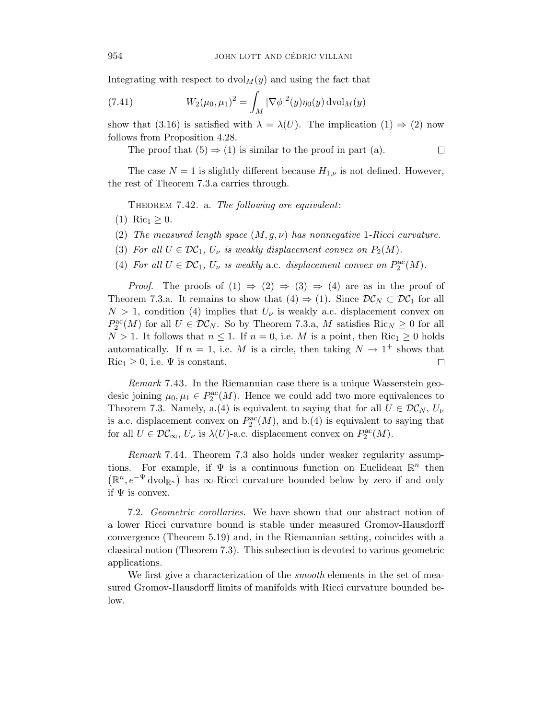Integrating with respect to  $dvol_M(y)$  and using the fact that

(7.41) 
$$
W_2(\mu_0, \mu_1)^2 = \int_M |\nabla \phi|^2(y) \eta_0(y) d\text{vol}_M(y)
$$

show that (3.16) is satisfied with  $\lambda = \lambda(U)$ . The implication (1)  $\Rightarrow$  (2) now follows from Proposition 4.28.

The proof that  $(5) \Rightarrow (1)$  is similar to the proof in part (a).  $\Box$ 

The case  $N = 1$  is slightly different because  $H_{1,\nu}$  is not defined. However, the rest of Theorem 7.3.a carries through.

THEOREM 7.42. a. The following are equivalent:

- (1)  $\text{Ric}_1 \geq 0$ .
- (2) The measured length space  $(M, g, \nu)$  has nonnegative 1-Ricci curvature.
- (3) For all  $U \in \mathcal{DC}_1$ ,  $U_{\nu}$  is weakly displacement convex on  $P_2(M)$ .
- (4) For all  $U \in \mathcal{DC}_1$ ,  $U_{\nu}$  is weakly a.c. displacement convex on  $P_2^{\text{ac}}(M)$ .

*Proof.* The proofs of  $(1) \Rightarrow (2) \Rightarrow (3) \Rightarrow (4)$  are as in the proof of Theorem 7.3.a. It remains to show that  $(4) \Rightarrow (1)$ . Since  $\mathcal{DC}_N \subset \mathcal{DC}_1$  for all  $N > 1$ , condition (4) implies that  $U_{\nu}$  is weakly a.c. displacement convex on  $P_2^{\rm ac}(M)$  for all  $U \in \mathcal{DC}_N$ . So by Theorem 7.3.a, M satisfies  $\text{Ric}_N \geq 0$  for all  $N > 1$ . It follows that  $n \leq 1$ . If  $n = 0$ , i.e. M is a point, then Ric<sub>1</sub>  $\geq 0$  holds automatically. If  $n = 1$ , i.e. M is a circle, then taking  $N \rightarrow 1^+$  shows that  $\text{Ric}_1 \geq 0$ , i.e.  $\Psi$  is constant.  $\Box$ 

Remark 7.43. In the Riemannian case there is a unique Wasserstein geodesic joining  $\mu_0, \mu_1 \in P_2^{\text{ac}}(M)$ . Hence we could add two more equivalences to Theorem 7.3. Namely, a.(4) is equivalent to saying that for all  $U \in \mathcal{DC}_N$ ,  $U_{\nu}$ is a.c. displacement convex on  $P_2^{\text{ac}}(M)$ , and b.(4) is equivalent to saying that for all  $U \in \mathcal{DC}_{\infty}$ ,  $U_{\nu}$  is  $\lambda(U)$ -a.c. displacement convex on  $P_2^{\text{ac}}(M)$ .

Remark 7.44. Theorem 7.3 also holds under weaker regularity assumptions. For example, if  $\Psi$  is a continuous function on Euclidean  $\mathbb{R}^n$  then  $(\mathbb{R}^n, e^{-\Psi}$  dvol $\mathbb{R}^n$ ) has  $\infty$ -Ricci curvature bounded below by zero if and only if  $\Psi$  is convex.

7.2. Geometric corollaries. We have shown that our abstract notion of a lower Ricci curvature bound is stable under measured Gromov-Hausdorff convergence (Theorem 5.19) and, in the Riemannian setting, coincides with a classical notion (Theorem 7.3). This subsection is devoted to various geometric applications.

We first give a characterization of the *smooth* elements in the set of measured Gromov-Hausdorff limits of manifolds with Ricci curvature bounded below.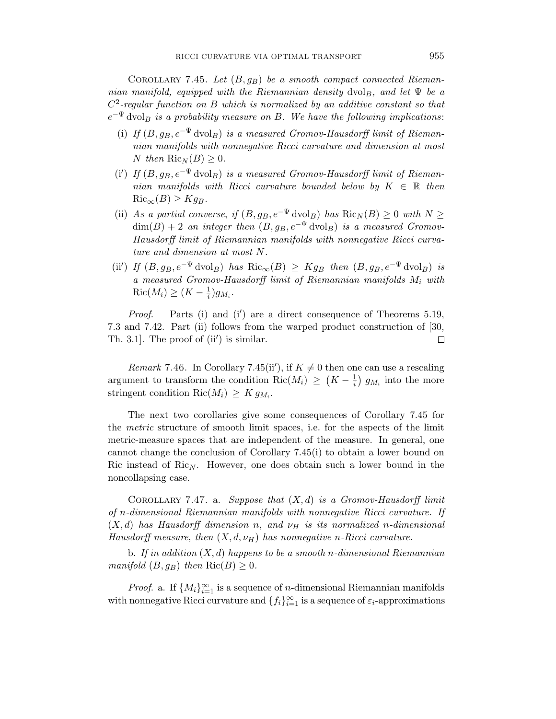COROLLARY 7.45. Let  $(B, g_B)$  be a smooth compact connected Riemannian manifold, equipped with the Riemannian density dvol<sub>B</sub>, and let  $\Psi$  be a  $C<sup>2</sup>$ -regular function on B which is normalized by an additive constant so that  $e^{-\Psi}$  dvol<sub>B</sub> is a probability measure on B. We have the following implications:

- (i) If  $(B, g_B, e^{-\Psi}$  dvol<sub>B</sub>) is a measured Gromov-Hausdorff limit of Riemannian manifolds with nonnegative Ricci curvature and dimension at most N then  $\text{Ric}_N(B) \geq 0$ .
- (i') If  $(B, g_B, e^{-\Psi} \text{dvol}_B)$  is a measured Gromov-Hausdorff limit of Riemannian manifolds with Ricci curvature bounded below by  $K \in \mathbb{R}$  then  $\text{Ric}_{\infty}(B) \geq K g_B.$
- (ii) As a partial converse, if  $(B, g_B, e^{-\Psi} \text{dvol}_B)$  has  $\text{Ric}_N(B) \geq 0$  with  $N \geq$  $\dim(B) + 2$  an integer then  $(B, g_B, e^{-\Psi} dvol_B)$  is a measured Gromov-Hausdorff limit of Riemannian manifolds with nonnegative Ricci curvature and dimension at most N.
- (ii') If  $(B, g_B, e^{-\Psi} \text{dvol}_B)$  has  $\text{Ric}_{\infty}(B) \geq K g_B$  then  $(B, g_B, e^{-\Psi} \text{dvol}_B)$  is a measured Gromov-Hausdorff limit of Riemannian manifolds  $M_i$  with  $\mathrm{Ric}(M_i) \geq (K - \frac{1}{i})$  $\frac{1}{i}$ ) $g_{M_i}$ .

*Proof.* Parts (i) and (i') are a direct consequence of Theorems  $5.19$ , 7.3 and 7.42. Part (ii) follows from the warped product construction of [30, Th. 3.1]. The proof of  $(ii')$  is similar.  $\Box$ 

Remark 7.46. In Corollary 7.45(ii'), if  $K \neq 0$  then one can use a rescaling argument to transform the condition Ric $(M_i) \geq (K - \frac{1}{i})$  $\frac{1}{i}$  *g*<sub>M<sub>i</sub></sub> into the more stringent condition Ric $(M_i) \geq K g_{M_i}$ .

The next two corollaries give some consequences of Corollary 7.45 for the metric structure of smooth limit spaces, i.e. for the aspects of the limit metric-measure spaces that are independent of the measure. In general, one cannot change the conclusion of Corollary 7.45(i) to obtain a lower bound on Ric instead of  $Ric_N$ . However, one does obtain such a lower bound in the noncollapsing case.

COROLLARY 7.47. a. Suppose that  $(X,d)$  is a Gromov-Hausdorff limit of n-dimensional Riemannian manifolds with nonnegative Ricci curvature. If  $(X, d)$  has Hausdorff dimension n, and  $\nu_H$  is its normalized n-dimensional Hausdorff measure, then  $(X, d, \nu_H)$  has nonnegative n-Ricci curvature.

b. If in addition  $(X, d)$  happens to be a smooth n-dimensional Riemannian manifold  $(B, g_B)$  then  $\text{Ric}(B) \geq 0$ .

*Proof.* a. If  $\{M_i\}_{i=1}^{\infty}$  is a sequence of *n*-dimensional Riemannian manifolds with nonnegative Ricci curvature and  $\{f_i\}_{i=1}^{\infty}$  is a sequence of  $\varepsilon_i$ -approximations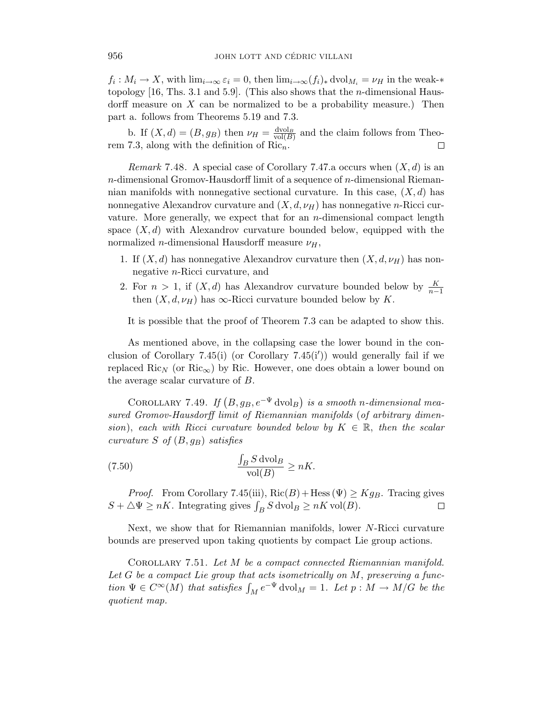$f_i: M_i \to X$ , with  $\lim_{i\to\infty} \varepsilon_i = 0$ , then  $\lim_{i\to\infty} (f_i)_*$  dvol $M_i = \nu_H$  in the weak-\* topology [16, Ths. 3.1 and 5.9]. (This also shows that the *n*-dimensional Hausdorff measure on  $X$  can be normalized to be a probability measure.) Then part a. follows from Theorems 5.19 and 7.3.

b. If  $(X, d) = (B, g_B)$  then  $\nu_H = \frac{\text{dvol}_B}{\text{vol}(B)}$  and the claim follows from Theorem 7.3, along with the definition of  $Ric_n$ .  $\Box$ 

*Remark* 7.48. A special case of Corollary 7.47.a occurs when  $(X, d)$  is an  $n$ -dimensional Gromov-Hausdorff limit of a sequence of  $n$ -dimensional Riemannian manifolds with nonnegative sectional curvature. In this case,  $(X, d)$  has nonnegative Alexandrov curvature and  $(X, d, \nu_H)$  has nonnegative *n*-Ricci curvature. More generally, we expect that for an  $n$ -dimensional compact length space  $(X, d)$  with Alexandrov curvature bounded below, equipped with the normalized *n*-dimensional Hausdorff measure  $\nu_H$ ,

- 1. If  $(X, d)$  has nonnegative Alexandrov curvature then  $(X, d, \nu_H)$  has nonnegative n-Ricci curvature, and
- 2. For  $n > 1$ , if  $(X, d)$  has Alexandrov curvature bounded below by  $\frac{K}{n-1}$ then  $(X, d, \nu_H)$  has  $\infty$ -Ricci curvature bounded below by K.

It is possible that the proof of Theorem 7.3 can be adapted to show this.

As mentioned above, in the collapsing case the lower bound in the conclusion of Corollary  $7.45(i)$  (or Corollary  $7.45(i')$ ) would generally fail if we replaced Ric<sub>N</sub> (or Ric<sub>∞</sub>) by Ric. However, one does obtain a lower bound on the average scalar curvature of B.

COROLLARY 7.49. If  $(B, g_B, e^{-\Psi} \text{dvol}_B)$  is a smooth n-dimensional measured Gromov-Hausdorff limit of Riemannian manifolds (of arbitrary dimension), each with Ricci curvature bounded below by  $K \in \mathbb{R}$ , then the scalar curvature S of  $(B, g_B)$  satisfies

(7.50) 
$$
\frac{\int_B S \, \text{dvol}_B}{\text{vol}(B)} \ge nK.
$$

*Proof.* From Corollary 7.45(iii),  $\text{Ric}(B) + \text{Hess}(\Psi) \geq Kg_B$ . Tracing gives  $S + \Delta \Psi \ge nK$ . Integrating gives  $\int_B S \, \text{dvol}_B \ge nK \text{ vol}(B)$ .  $\Box$ 

Next, we show that for Riemannian manifolds, lower N-Ricci curvature bounds are preserved upon taking quotients by compact Lie group actions.

Corollary 7.51. Let M be a compact connected Riemannian manifold. Let  $G$  be a compact Lie group that acts isometrically on  $M$ , preserving a function  $\Psi \in C^{\infty}(M)$  that satisfies  $\int_M e^{-\Psi} dvol_M = 1$ . Let  $p : M \to M/G$  be the quotient map.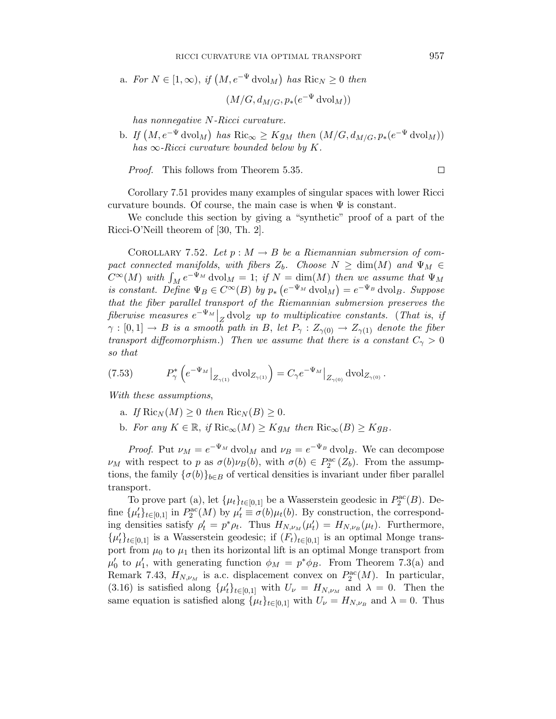a. For  $N \in [1,\infty)$ , if  $(M, e^{-\Psi} \text{dvol}_M)$  has  $\text{Ric}_N \geq 0$  then

 $(M/G, d_{M/G}, p_*(e^{-\Psi} \text{dvol}_M))$ 

has nonnegative N-Ricci curvature.

b. If  $(M, e^{-\Psi} \text{dvol}_M)$  has  $\text{Ric}_{\infty} \geq K g_M$  then  $(M/G, d_{M/G}, p_*(e^{-\Psi} \text{dvol}_M))$ has  $\infty$ -Ricci curvature bounded below by K.

Proof. This follows from Theorem 5.35.

Corollary 7.51 provides many examples of singular spaces with lower Ricci curvature bounds. Of course, the main case is when  $\Psi$  is constant.

We conclude this section by giving a "synthetic" proof of a part of the Ricci-O'Neill theorem of [30, Th. 2].

COROLLARY 7.52. Let  $p : M \to B$  be a Riemannian submersion of compact connected manifolds, with fibers  $Z_b$ . Choose  $N \geq \dim(M)$  and  $\Psi_M \in$  $C^{\infty}(M)$  with  $\int_M e^{-\Psi_M} dvol_M = 1$ ; if  $N = \dim(M)$  then we assume that  $\Psi_M$ is constant. Define  $\Psi_B \in C^{\infty}(B)$  by  $p_*\left(e^{-\Psi_M} \text{dvol}_M\right) = e^{-\Psi_B} \text{dvol}_B$ . Suppose that the fiber parallel transport of the Riemannian submersion preserves the fiberwise measures  $e^{-\Psi_M}|_Z \text{dvol}_Z$  up to multiplicative constants. (That is, if  $\gamma : [0,1] \to B$  is a smooth path in B, let  $P_{\gamma} : Z_{\gamma(0)} \to Z_{\gamma(1)}$  denote the fiber transport diffeomorphism.) Then we assume that there is a constant  $C_{\gamma} > 0$ so that

(7.53) 
$$
P_{\gamma}^* \left( e^{-\Psi_M} \big|_{Z_{\gamma(1)}} \mathrm{dvol}_{Z_{\gamma(1)}} \right) = C_{\gamma} e^{-\Psi_M} \big|_{Z_{\gamma(0)}} \mathrm{dvol}_{Z_{\gamma(0)}}.
$$

With these assumptions,

- a. If  $\text{Ric}_N(M) \geq 0$  then  $\text{Ric}_N(B) \geq 0$ .
- b. For any  $K \in \mathbb{R}$ , if  $\text{Ric}_{\infty}(M) \geq Kg_M$  then  $\text{Ric}_{\infty}(B) \geq Kg_B$ .

*Proof.* Put  $\nu_M = e^{-\Psi_M}$  dvol<sub>M</sub> and  $\nu_B = e^{-\Psi_B}$  dvol<sub>B</sub>. We can decompose  $\nu_M$  with respect to p as  $\sigma(b)\nu_B(b)$ , with  $\sigma(b) \in P_2^{\text{ac}}(Z_b)$ . From the assumptions, the family  $\{\sigma(b)\}_{b\in B}$  of vertical densities is invariant under fiber parallel transport.

To prove part (a), let  $\{\mu_t\}_{t\in[0,1]}$  be a Wasserstein geodesic in  $P_2^{\text{ac}}(B)$ . Define  $\{\mu_t'\}_{t\in[0,1]}$  in  $P_2^{\text{ac}}(M)$  by  $\mu_t' \equiv \sigma(b)\mu_t(b)$ . By construction, the corresponding densities satisfy  $\rho'_t = p^* \rho_t$ . Thus  $H_{N,\nu_M}(\mu'_t) = H_{N,\nu_B}(\mu_t)$ . Furthermore,  $\{\mu_t'\}_{t\in[0,1]}$  is a Wasserstein geodesic; if  $(F_t)_{t\in[0,1]}$  is an optimal Monge transport from  $\mu_0$  to  $\mu_1$  then its horizontal lift is an optimal Monge transport from  $\mu'_0$  to  $\mu'_1$ , with generating function  $\phi_M = p^* \phi_B$ . From Theorem 7.3(a) and Remark 7.43,  $H_{N,\nu_M}$  is a.c. displacement convex on  $P_2^{\text{ac}}(M)$ . In particular, (3.16) is satisfied along  $\{\mu_t'\}_{t\in[0,1]}$  with  $U_{\nu} = H_{N,\nu_M}$  and  $\lambda = 0$ . Then the same equation is satisfied along  $\{\mu_t\}_{t\in[0,1]}$  with  $U_{\nu} = H_{N,\nu_B}$  and  $\lambda = 0$ . Thus

 $\Box$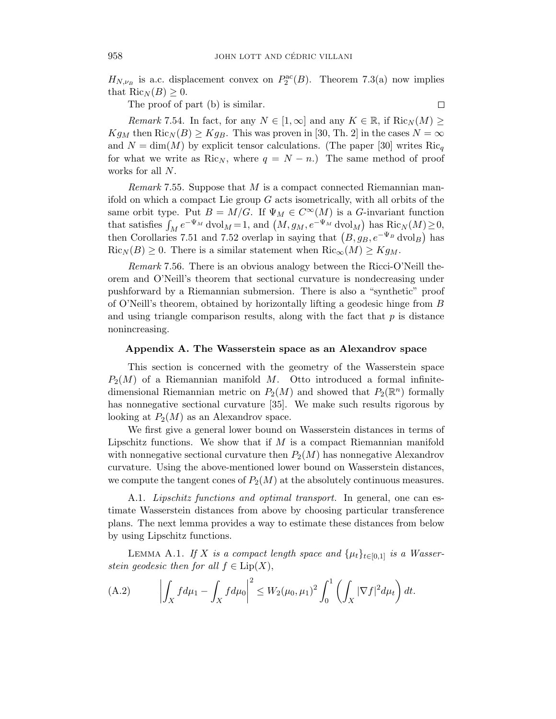$H_{N,\nu_B}$  is a.c. displacement convex on  $P_2^{\text{ac}}(B)$ . Theorem 7.3(a) now implies that  $\text{Ric}_N(B) \geq 0$ .

The proof of part (b) is similar.

 $\Box$ 

*Remark* 7.54. In fact, for any  $N \in [1,\infty]$  and any  $K \in \mathbb{R}$ , if  $\text{Ric}_N(M) \geq$  $Kg_M$  then  $\text{Ric}_N(B) \geq Kg_B$ . This was proven in [30, Th. 2] in the cases  $N = \infty$ and  $N = \dim(M)$  by explicit tensor calculations. (The paper [30] writes Ric<sub>q</sub> for what we write as Ric<sub>N</sub>, where  $q = N - n$ .) The same method of proof works for all N.

*Remark* 7.55. Suppose that  $M$  is a compact connected Riemannian manifold on which a compact Lie group  $G$  acts isometrically, with all orbits of the same orbit type. Put  $B = M/G$ . If  $\Psi_M \in C^{\infty}(M)$  is a G-invariant function that satisfies  $\int_M e^{-\Psi_M} dvol_M = 1$ , and  $(M, g_M, e^{-\Psi_M} dvol_M)$  has  $\text{Ric}_N(M) \geq 0$ , then Corollaries 7.51 and 7.52 overlap in saying that  $(B, g_B, e^{-\Psi_B} \text{dvol}_B)$  has  $\text{Ric}_N(B) \geq 0$ . There is a similar statement when  $\text{Ric}_{\infty}(M) \geq Kg_M$ .

Remark 7.56. There is an obvious analogy between the Ricci-O'Neill theorem and O'Neill's theorem that sectional curvature is nondecreasing under pushforward by a Riemannian submersion. There is also a "synthetic" proof of O'Neill's theorem, obtained by horizontally lifting a geodesic hinge from B and using triangle comparison results, along with the fact that  $p$  is distance nonincreasing.

### Appendix A. The Wasserstein space as an Alexandrov space

This section is concerned with the geometry of the Wasserstein space  $P_2(M)$  of a Riemannian manifold M. Otto introduced a formal infinitedimensional Riemannian metric on  $P_2(M)$  and showed that  $P_2(\mathbb{R}^n)$  formally has nonnegative sectional curvature [35]. We make such results rigorous by looking at  $P_2(M)$  as an Alexandrov space.

We first give a general lower bound on Wasserstein distances in terms of Lipschitz functions. We show that if  $M$  is a compact Riemannian manifold with nonnegative sectional curvature then  $P_2(M)$  has nonnegative Alexandrov curvature. Using the above-mentioned lower bound on Wasserstein distances, we compute the tangent cones of  $P_2(M)$  at the absolutely continuous measures.

A.1. Lipschitz functions and optimal transport. In general, one can estimate Wasserstein distances from above by choosing particular transference plans. The next lemma provides a way to estimate these distances from below by using Lipschitz functions.

LEMMA A.1. If X is a compact length space and  $\{\mu_t\}_{t\in[0,1]}$  is a Wasserstein geodesic then for all  $f \in \text{Lip}(X)$ ,

(A.2) 
$$
\left| \int_X f d\mu_1 - \int_X f d\mu_0 \right|^2 \leq W_2(\mu_0, \mu_1)^2 \int_0^1 \left( \int_X |\nabla f|^2 d\mu_t \right) dt.
$$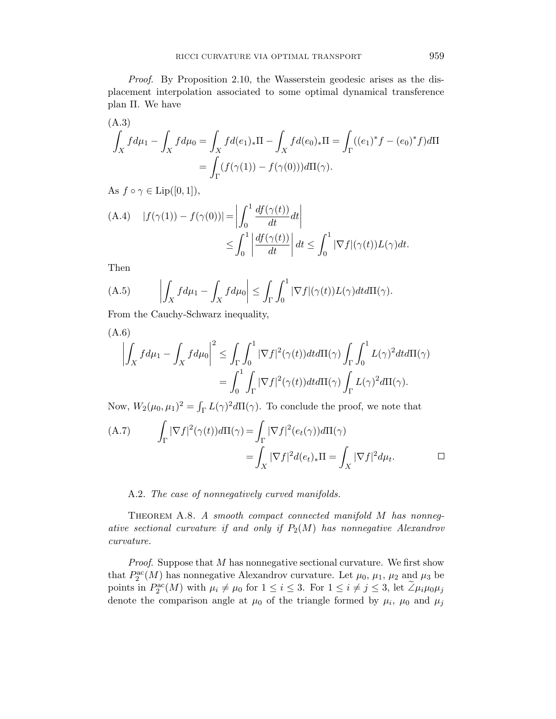Proof. By Proposition 2.10, the Wasserstein geodesic arises as the displacement interpolation associated to some optimal dynamical transference plan Π. We have

(A.3)  
\n
$$
\int_X f d\mu_1 - \int_X f d\mu_0 = \int_X f d(e_1)_* \Pi - \int_X f d(e_0)_* \Pi = \int_\Gamma ((e_1)^* f - (e_0)^* f) d\Pi
$$
\n
$$
= \int_\Gamma (f(\gamma(1)) - f(\gamma(0))) d\Pi(\gamma).
$$

As  $f \circ \gamma \in \text{Lip}([0,1]),$ 

(A.4) 
$$
|f(\gamma(1)) - f(\gamma(0))| = \left| \int_0^1 \frac{df(\gamma(t))}{dt} dt \right|
$$
  
\n $\leq \int_0^1 \left| \frac{df(\gamma(t))}{dt} \right| dt \leq \int_0^1 |\nabla f|(\gamma(t)) L(\gamma) dt.$ 

Then

(A.5) 
$$
\left| \int_X f d\mu_1 - \int_X f d\mu_0 \right| \leq \int_{\Gamma} \int_0^1 |\nabla f|(\gamma(t)) L(\gamma) dt d\Pi(\gamma).
$$

From the Cauchy-Schwarz inequality,

(A.6)  
\n
$$
\left| \int_X f d\mu_1 - \int_X f d\mu_0 \right|^2 \leq \int_{\Gamma} \int_0^1 |\nabla f|^2(\gamma(t)) dt d\Pi(\gamma) \int_{\Gamma} \int_0^1 L(\gamma)^2 dt d\Pi(\gamma)
$$
\n
$$
= \int_0^1 \int_{\Gamma} |\nabla f|^2(\gamma(t)) dt d\Pi(\gamma) \int_{\Gamma} L(\gamma)^2 d\Pi(\gamma).
$$

Now,  $W_2(\mu_0, \mu_1)^2 = \int_{\Gamma} L(\gamma)^2 d\Pi(\gamma)$ . To conclude the proof, we note that

(A.7) 
$$
\int_{\Gamma} |\nabla f|^2(\gamma(t))d\Pi(\gamma) = \int_{\Gamma} |\nabla f|^2(e_t(\gamma))d\Pi(\gamma)
$$

$$
= \int_X |\nabla f|^2 d(e_t)_* \Pi = \int_X |\nabla f|^2 d\mu_t.
$$

A.2. The case of nonnegatively curved manifolds.

THEOREM A.8. A smooth compact connected manifold M has nonnegative sectional curvature if and only if  $P_2(M)$  has nonnegative Alexandrov curvature.

Proof. Suppose that M has nonnegative sectional curvature. We first show that  $P_2^{\text{ac}}(M)$  has nonnegative Alexandrov curvature. Let  $\mu_0$ ,  $\mu_1$ ,  $\mu_2$  and  $\mu_3$  be points in  $P_2^{\text{ac}}(M)$  with  $\mu_i \neq \mu_0$  for  $1 \leq i \leq 3$ . For  $1 \leq i \neq j \leq 3$ , let  $\tilde{\angle} \mu_i \mu_0 \mu_j$ denote the comparison angle at  $\mu_0$  of the triangle formed by  $\mu_i$ ,  $\mu_0$  and  $\mu_j$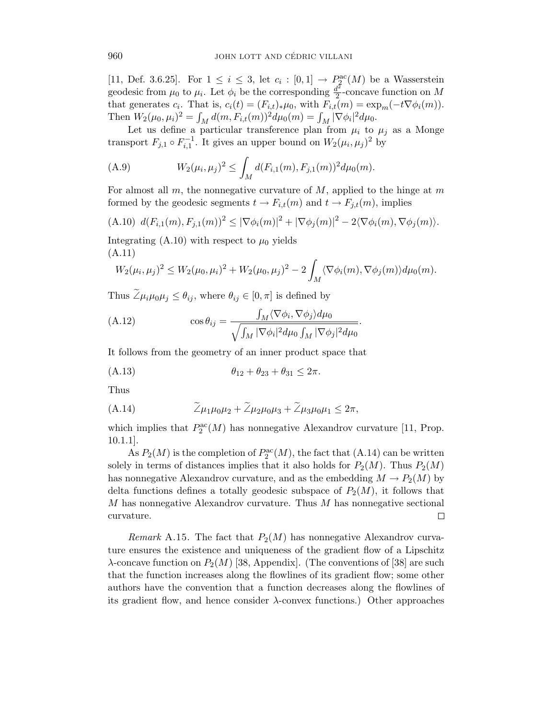[11, Def. 3.6.25]. For  $1 \leq i \leq 3$ , let  $c_i : [0,1] \rightarrow P^{\rm ac}_{\mathcal{Z}}(M)$  be a Wasserstein geodesic from  $\mu_0$  to  $\mu_i$ . Let  $\phi_i$  be the corresponding  $\frac{d^2}{2}$  $\frac{d^2}{2}$ -concave function on M that generates  $c_i$ . That is,  $c_i(t) = (F_{i,t})_* \mu_0$ , with  $F_{i,t}(m) = \exp_m(-t \nabla \phi_i(m))$ . Then  $W_2(\mu_0, \mu_i)^2 = \int_M d(m, F_{i,t}(m))^2 d\mu_0(m) = \int_M |\nabla \phi_i|^2 d\mu_0.$ 

Let us define a particular transference plan from  $\mu_i$  to  $\mu_j$  as a Monge transport  $F_{j,1} \circ F_{i,1}^{-1}$ . It gives an upper bound on  $W_2(\mu_i, \mu_j)^2$  by

(A.9) 
$$
W_2(\mu_i, \mu_j)^2 \leq \int_M d(F_{i,1}(m), F_{j,1}(m))^2 d\mu_0(m).
$$

For almost all m, the nonnegative curvature of  $M$ , applied to the hinge at m formed by the geodesic segments  $t \to F_{i,t}(m)$  and  $t \to F_{j,t}(m)$ , implies

(A.10) 
$$
d(F_{i,1}(m), F_{j,1}(m))^2 \leq |\nabla \phi_i(m)|^2 + |\nabla \phi_j(m)|^2 - 2\langle \nabla \phi_i(m), \nabla \phi_j(m) \rangle.
$$

Integrating  $(A.10)$  with respect to  $\mu_0$  yields (A.11)

$$
W_2(\mu_i, \mu_j)^2 \le W_2(\mu_0, \mu_i)^2 + W_2(\mu_0, \mu_j)^2 - 2 \int_M \langle \nabla \phi_i(m), \nabla \phi_j(m) \rangle d\mu_0(m).
$$

Thus  $\widetilde{\angle}\mu_i\mu_0\mu_j \leq \theta_{ij}$ , where  $\theta_{ij} \in [0, \pi]$  is defined by

(A.12) 
$$
\cos \theta_{ij} = \frac{\int_M \langle \nabla \phi_i, \nabla \phi_j \rangle d\mu_0}{\sqrt{\int_M |\nabla \phi_i|^2 d\mu_0 \int_M |\nabla \phi_j|^2 d\mu_0}}.
$$

It follows from the geometry of an inner product space that

(A.13) 
$$
\theta_{12} + \theta_{23} + \theta_{31} \leq 2\pi.
$$

Thus

(A.14) 
$$
\widetilde{\angle}\mu_1\mu_0\mu_2 + \widetilde{\angle}\mu_2\mu_0\mu_3 + \widetilde{\angle}\mu_3\mu_0\mu_1 \leq 2\pi,
$$

which implies that  $P_2^{\text{ac}}(M)$  has nonnegative Alexandrov curvature [11, Prop. 10.1.1].

As  $P_2(M)$  is the completion of  $P_2^{\text{ac}}(M)$ , the fact that (A.14) can be written solely in terms of distances implies that it also holds for  $P_2(M)$ . Thus  $P_2(M)$ has nonnegative Alexandrov curvature, and as the embedding  $M \to P_2(M)$  by delta functions defines a totally geodesic subspace of  $P_2(M)$ , it follows that  $M$  has nonnegative Alexandrov curvature. Thus  $M$  has nonnegative sectional curvature.  $\Box$ 

Remark A.15. The fact that  $P_2(M)$  has nonnegative Alexandrov curvature ensures the existence and uniqueness of the gradient flow of a Lipschitz  $\lambda$ -concave function on  $P_2(M)$  [38, Appendix]. (The conventions of [38] are such that the function increases along the flowlines of its gradient flow; some other authors have the convention that a function decreases along the flowlines of its gradient flow, and hence consider λ-convex functions.) Other approaches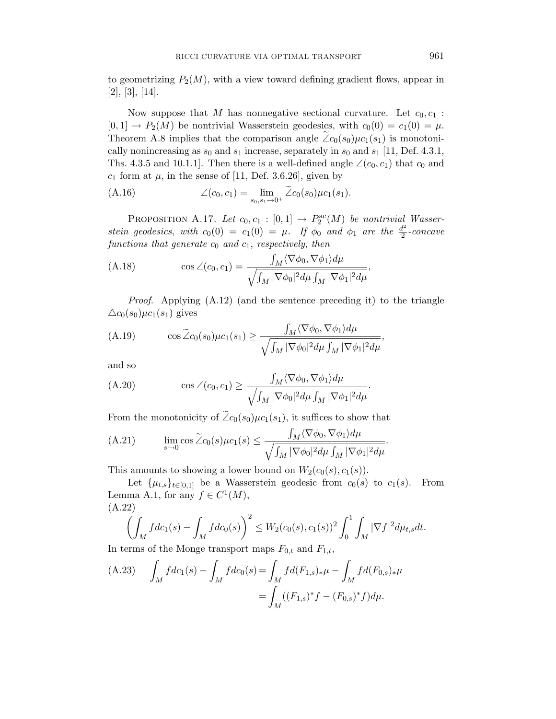to geometrizing  $P_2(M)$ , with a view toward defining gradient flows, appear in [2], [3], [14].

Now suppose that M has nonnegative sectional curvature. Let  $c_0, c_1$ :  $[0, 1] \rightarrow P_2(M)$  be nontrivial Wasserstein geodesics, with  $c_0(0) = c_1(0) = \mu$ . Theorem A.8 implies that the comparison angle  $\angle c_0(s_0)\mu c_1(s_1)$  is monotonically nonincreasing as  $s_0$  and  $s_1$  increase, separately in  $s_0$  and  $s_1$  [11, Def. 4.3.1, Ths. 4.3.5 and 10.1.1]. Then there is a well-defined angle  $\angle(c_0, c_1)$  that  $c_0$  and  $c_1$  form at  $\mu$ , in the sense of [11, Def. 3.6.26], given by

(A.16) 
$$
\angle(c_0, c_1) = \lim_{s_0, s_1 \to 0^+} \widetilde{\angle} c_0(s_0) \mu c_1(s_1).
$$

PROPOSITION A.17. Let  $c_0, c_1 : [0,1] \rightarrow P_2^{\text{ac}}(M)$  be nontrivial Wasserstein geodesics, with  $c_0(0) = c_1(0) = \mu$ . If  $\phi_0$  and  $\phi_1$  are the  $\frac{d^2}{2}$  $rac{t^2}{2}$ -concave functions that generate  $c_0$  and  $c_1$ , respectively, then

(A.18) 
$$
\cos \angle (c_0, c_1) = \frac{\int_M \langle \nabla \phi_0, \nabla \phi_1 \rangle d\mu}{\sqrt{\int_M |\nabla \phi_0|^2 d\mu \int_M |\nabla \phi_1|^2 d\mu}},
$$

Proof. Applying (A.12) (and the sentence preceding it) to the triangle  $\triangle c_0(s_0)\mu c_1(s_1)$  gives

(A.19) 
$$
\cos \widetilde{\angle} c_0(s_0) \mu c_1(s_1) \ge \frac{\int_M \langle \nabla \phi_0, \nabla \phi_1 \rangle d\mu}{\sqrt{\int_M |\nabla \phi_0|^2 d\mu \int_M |\nabla \phi_1|^2 d\mu}},
$$

and so

(A.20) 
$$
\cos \angle (c_0, c_1) \ge \frac{\int_M \langle \nabla \phi_0, \nabla \phi_1 \rangle d\mu}{\sqrt{\int_M |\nabla \phi_0|^2 d\mu \int_M |\nabla \phi_1|^2 d\mu}}.
$$

From the monotonicity of  $\tilde{\angle} c_0(s_0)\mu c_1(s_1)$ , it suffices to show that

(A.21) 
$$
\lim_{s \to 0} \cos \widetilde{\angle} c_0(s) \mu c_1(s) \le \frac{\int_M \langle \nabla \phi_0, \nabla \phi_1 \rangle d\mu}{\sqrt{\int_M |\nabla \phi_0|^2 d\mu \int_M |\nabla \phi_1|^2 d\mu}}.
$$

This amounts to showing a lower bound on  $W_2(c_0(s), c_1(s))$ .

Let  $\{\mu_{t,s}\}_{t\in[0,1]}$  be a Wasserstein geodesic from  $c_0(s)$  to  $c_1(s)$ . From Lemma A.1, for any  $f \in C^1(M)$ , (A.22)

$$
\left(\int_M f d c_1(s) - \int_M f d c_0(s)\right)^2 \leq W_2(c_0(s), c_1(s))^2 \int_0^1 \int_M |\nabla f|^2 d\mu_{t,s} dt.
$$

In terms of the Monge transport maps  $F_{0,t}$  and  $F_{1,t}$ ,

(A.23) 
$$
\int_M f d c_1(s) - \int_M f d c_0(s) = \int_M f d(F_{1,s})_* \mu - \int_M f d(F_{0,s})_* \mu
$$

$$
= \int_M ((F_{1,s})^* f - (F_{0,s})^* f) d\mu.
$$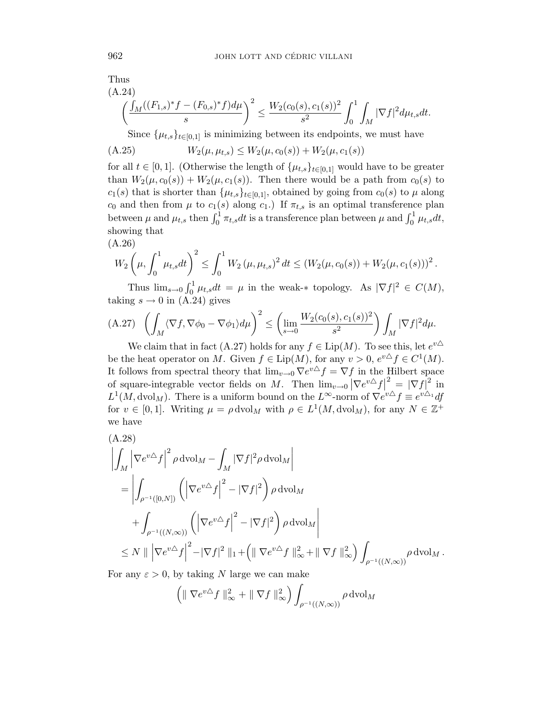Thus

(A.24)  

$$
\left(\frac{\int_M ((F_{1,s})^* f - (F_{0,s})^* f) d\mu}{s}\right)^2 \le \frac{W_2(c_0(s), c_1(s))^2}{s^2} \int_0^1 \int_M |\nabla f|^2 d\mu_{t,s} dt.
$$

Since  $\{\mu_{t,s}\}_{t\in[0,1]}$  is minimizing between its endpoints, we must have

(A.25) 
$$
W_2(\mu, \mu_{t,s}) \le W_2(\mu, c_0(s)) + W_2(\mu, c_1(s))
$$

for all  $t \in [0,1]$ . (Otherwise the length of  $\{\mu_{t,s}\}_{t \in [0,1]}$  would have to be greater than  $W_2(\mu, c_0(s)) + W_2(\mu, c_1(s))$ . Then there would be a path from  $c_0(s)$  to  $c_1(s)$  that is shorter than  $\{\mu_{t,s}\}_{t\in[0,1]},$  obtained by going from  $c_0(s)$  to  $\mu$  along  $c_0$  and then from  $\mu$  to  $c_1(s)$  along  $c_1$ .) If  $\pi_{t,s}$  is an optimal transference plan between  $\mu$  and  $\mu_{t,s}$  then  $\int_0^1 \pi_{t,s} dt$  is a transference plan between  $\mu$  and  $\int_0^1 \mu_{t,s} dt$ , showing that

(A.26)  
\n
$$
W_2 \left(\mu, \int_0^1 \mu_{t,s} dt\right)^2 \le \int_0^1 W_2 \left(\mu, \mu_{t,s}\right)^2 dt \le (W_2(\mu, c_0(s)) + W_2(\mu, c_1(s)))^2.
$$

Thus  $\lim_{s\to 0} \int_0^1 \mu_{t,s} dt = \mu$  in the weak-\* topology. As  $|\nabla f|^2 \in C(M)$ , taking  $s \to 0$  in (A.24) gives

$$
(A.27)\left(\int_M \langle \nabla f, \nabla \phi_0 - \nabla \phi_1 \rangle d\mu\right)^2 \le \left(\lim_{s \to 0} \frac{W_2(c_0(s), c_1(s))^2}{s^2}\right) \int_M |\nabla f|^2 d\mu.
$$

We claim that in fact (A.27) holds for any  $f \in Lip(M)$ . To see this, let  $e^{v\Delta}$ be the heat operator on M. Given  $f \in \text{Lip}(M)$ , for any  $v > 0$ ,  $e^{v\Delta} f \in C^1(M)$ . It follows from spectral theory that  $\lim_{v\to 0} \nabla e^{v\Delta} f = \nabla f$  in the Hilbert space of square-integrable vector fields on M. Then  $\lim_{v\to 0} |\nabla e^{v\Delta} f|^2 = |\nabla f|^2$  in  $L^1(M, dvol_M)$ . There is a uniform bound on the  $L^{\infty}$ -norm of  $\nabla e^{v\Delta} f \equiv e^{v\Delta_1} df$ for  $v \in [0,1]$ . Writing  $\mu = \rho \, \text{dvol}_M$  with  $\rho \in L^1(M, \text{dvol}_M)$ , for any  $N \in \mathbb{Z}^+$ we have

(A.28)  
\n
$$
\left| \int_M |\nabla e^{v\Delta} f \right|^2 \rho \, \mathrm{d} \mathrm{vol}_M - \int_M |\nabla f|^2 \rho \, \mathrm{d} \mathrm{vol}_M \right|
$$
\n
$$
= \left| \int_{\rho^{-1}([0,N])} \left( \left| \nabla e^{v\Delta} f \right|^2 - |\nabla f|^2 \right) \rho \, \mathrm{d} \mathrm{vol}_M + \int_{\rho^{-1}((N,\infty))} \left( \left| \nabla e^{v\Delta} f \right|^2 - |\nabla f|^2 \right) \rho \, \mathrm{d} \mathrm{vol}_M \right|
$$
\n
$$
\leq N \parallel \left| \nabla e^{v\Delta} f \right|^2 - \left| \nabla f \right|^2 \parallel_1 + \left( \parallel \nabla e^{v\Delta} f \parallel_\infty^2 + \parallel \nabla f \parallel_\infty^2 \right) \int_{\rho^{-1}((N,\infty))} \rho \, \mathrm{d} \mathrm{vol}_M.
$$

For any  $\varepsilon > 0$ , by taking N large we can make

$$
\left( \|\nabla e^{v\triangle} f\|_{\infty}^2 + \|\nabla f\|_{\infty}^2 \right) \int_{\rho^{-1}((N,\infty))} \rho \, \mathrm{d} \mathrm{vol}_M
$$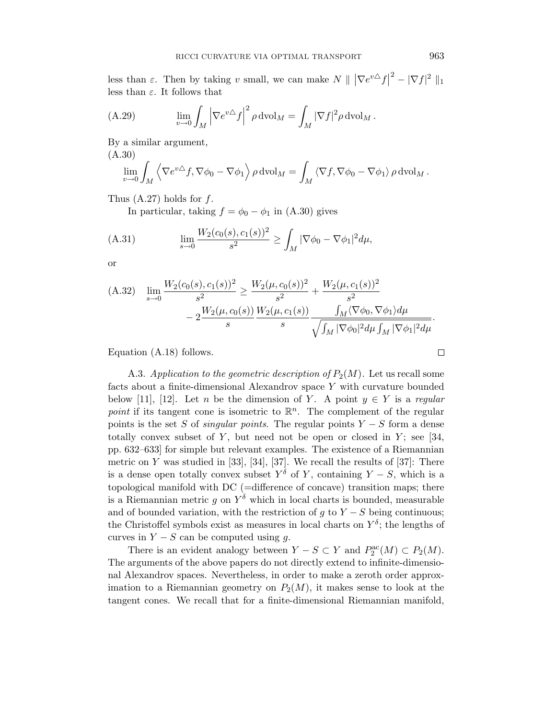less than  $\varepsilon$ . Then by taking v small, we can make  $N \parallel |\nabla e^{v\Delta} f|^2 - |\nabla f|^2 \parallel_1$ less than  $\varepsilon$ . It follows that

(A.29) 
$$
\lim_{v \to 0} \int_M \left| \nabla e^{v\Delta} f \right|^2 \rho \, \mathrm{d} \mathrm{vol}_M = \int_M |\nabla f|^2 \rho \, \mathrm{d} \mathrm{vol}_M.
$$

By a similar argument,

(A.30)  

$$
\lim_{v \to 0} \int_M \left\langle \nabla e^{v\Delta} f, \nabla \phi_0 - \nabla \phi_1 \right\rangle \rho \, \mathrm{d} \mathrm{vol}_M = \int_M \left\langle \nabla f, \nabla \phi_0 - \nabla \phi_1 \right\rangle \rho \, \mathrm{d} \mathrm{vol}_M.
$$

Thus  $(A.27)$  holds for f.

In particular, taking  $f = \phi_0 - \phi_1$  in (A.30) gives

(A.31) 
$$
\lim_{s \to 0} \frac{W_2(c_0(s), c_1(s))^2}{s^2} \ge \int_M |\nabla \phi_0 - \nabla \phi_1|^2 d\mu,
$$

or

$$
\begin{aligned} \text{(A.32)} \quad & \lim_{s \to 0} \frac{W_2(c_0(s), c_1(s))^2}{s^2} \ge \frac{W_2(\mu, c_0(s))^2}{s^2} + \frac{W_2(\mu, c_1(s))^2}{s^2} \\ &- 2 \frac{W_2(\mu, c_0(s))}{s} \frac{W_2(\mu, c_1(s))}{s} \frac{\int_M \langle \nabla \phi_0, \nabla \phi_1 \rangle d\mu}{\sqrt{\int_M |\nabla \phi_0|^2 d\mu \int_M |\nabla \phi_1|^2 d\mu}}. \end{aligned}
$$

Equation (A.18) follows.

A.3. Application to the geometric description of  $P_2(M)$ . Let us recall some facts about a finite-dimensional Alexandrov space Y with curvature bounded below [11], [12]. Let n be the dimension of Y. A point  $y \in Y$  is a regular point if its tangent cone is isometric to  $\mathbb{R}^n$ . The complement of the regular points is the set S of *singular points*. The regular points  $Y - S$  form a dense totally convex subset of Y, but need not be open or closed in Y; see [34, pp. 632–633] for simple but relevant examples. The existence of a Riemannian metric on Y was studied in  $[33]$ ,  $[34]$ ,  $[37]$ . We recall the results of  $[37]$ : There is a dense open totally convex subset  $Y^{\delta}$  of Y, containing  $Y - S$ , which is a topological manifold with DC (=difference of concave) transition maps; there is a Riemannian metric g on  $Y^{\delta}$  which in local charts is bounded, measurable and of bounded variation, with the restriction of  $g$  to  $Y - S$  being continuous; the Christoffel symbols exist as measures in local charts on  $Y^{\delta}$ ; the lengths of curves in  $Y - S$  can be computed using g.

There is an evident analogy between  $Y - S \subset Y$  and  $P_2^{\text{ac}}(M) \subset P_2(M)$ . The arguments of the above papers do not directly extend to infinite-dimensional Alexandrov spaces. Nevertheless, in order to make a zeroth order approximation to a Riemannian geometry on  $P_2(M)$ , it makes sense to look at the tangent cones. We recall that for a finite-dimensional Riemannian manifold,

 $\Box$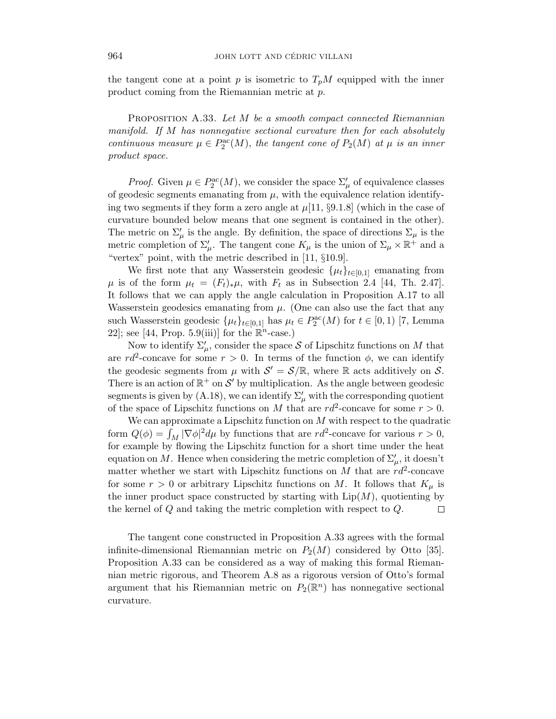the tangent cone at a point p is isometric to  $T_pM$  equipped with the inner product coming from the Riemannian metric at p.

PROPOSITION A.33. Let M be a smooth compact connected Riemannian manifold. If M has nonnegative sectional curvature then for each absolutely continuous measure  $\mu \in P_2^{\text{ac}}(M)$ , the tangent cone of  $P_2(M)$  at  $\mu$  is an inner product space.

*Proof.* Given  $\mu \in P_2^{\text{ac}}(M)$ , we consider the space  $\Sigma_{\mu}^{\prime}$  of equivalence classes of geodesic segments emanating from  $\mu$ , with the equivalence relation identifying two segments if they form a zero angle at  $\mu$ [11, §9.1.8] (which in the case of curvature bounded below means that one segment is contained in the other). The metric on  $\Sigma_{\mu}$  is the angle. By definition, the space of directions  $\Sigma_{\mu}$  is the metric completion of  $\Sigma_{\mu}'$ . The tangent cone  $K_{\mu}$  is the union of  $\Sigma_{\mu} \times \mathbb{R}^+$  and a "vertex" point, with the metric described in [11, §10.9].

We first note that any Wasserstein geodesic  $\{\mu_t\}_{t\in[0,1]}$  emanating from  $\mu$  is of the form  $\mu_t = (F_t)_*\mu$ , with  $F_t$  as in Subsection 2.4 [44, Th. 2.47]. It follows that we can apply the angle calculation in Proposition A.17 to all Wasserstein geodesics emanating from  $\mu$ . (One can also use the fact that any such Wasserstein geodesic  $\{\mu_t\}_{t\in[0,1]}$  has  $\mu_t \in P_2^{\text{ac}}(M)$  for  $t \in [0,1)$  [7, Lemma 22]; see [44, Prop. 5.9(iii)] for the  $\mathbb{R}^n$ -case.)

Now to identify  $\Sigma_{\mu}^{\prime}$ , consider the space S of Lipschitz functions on M that are rd<sup>2</sup>-concave for some  $r > 0$ . In terms of the function  $\phi$ , we can identify the geodesic segments from  $\mu$  with  $\mathcal{S}' = \mathcal{S}/\mathbb{R}$ , where  $\mathbb R$  acts additively on  $\mathcal{S}$ . There is an action of  $\mathbb{R}^+$  on  $\mathcal{S}'$  by multiplication. As the angle between geodesic segments is given by (A.18), we can identify  $\Sigma_{\mu}^{\prime}$  with the corresponding quotient of the space of Lipschitz functions on M that are  $rd^2$ -concave for some  $r > 0$ .

We can approximate a Lipschitz function on  $M$  with respect to the quadratic form  $Q(\phi) = \int_M |\nabla \phi|^2 d\mu$  by functions that are  $rd^2$ -concave for various  $r > 0$ , for example by flowing the Lipschitz function for a short time under the heat equation on M. Hence when considering the metric completion of  $\Sigma_{\mu}^{\prime}$ , it doesn't matter whether we start with Lipschitz functions on M that are  $rd^2$ -concave for some  $r > 0$  or arbitrary Lipschitz functions on M. It follows that  $K_{\mu}$  is the inner product space constructed by starting with  $\text{Lip}(M)$ , quotienting by the kernel of Q and taking the metric completion with respect to Q.  $\Box$ 

The tangent cone constructed in Proposition A.33 agrees with the formal infinite-dimensional Riemannian metric on  $P_2(M)$  considered by Otto [35]. Proposition A.33 can be considered as a way of making this formal Riemannian metric rigorous, and Theorem A.8 as a rigorous version of Otto's formal argument that his Riemannian metric on  $P_2(\mathbb{R}^n)$  has nonnegative sectional curvature.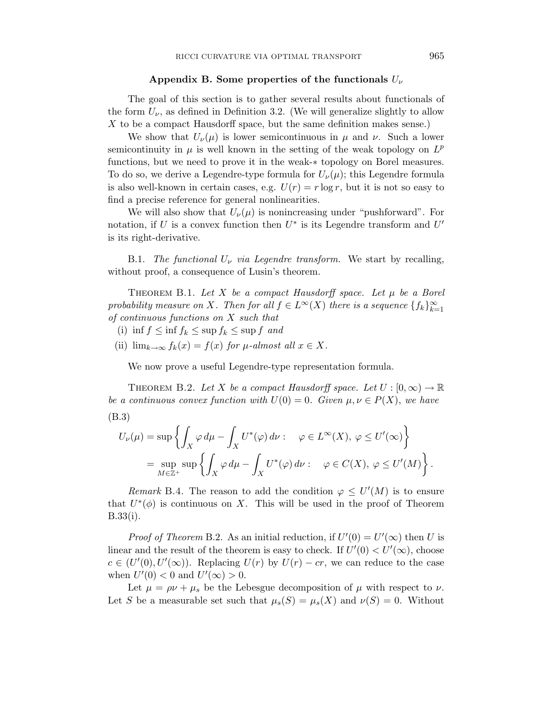#### Appendix B. Some properties of the functionals  $U_{\nu}$

The goal of this section is to gather several results about functionals of the form  $U_{\nu}$ , as defined in Definition 3.2. (We will generalize slightly to allow  $X$  to be a compact Hausdorff space, but the same definition makes sense.)

We show that  $U_{\nu}(\mu)$  is lower semicontinuous in  $\mu$  and  $\nu$ . Such a lower semicontinuity in  $\mu$  is well known in the setting of the weak topology on  $L^p$ functions, but we need to prove it in the weak-∗ topology on Borel measures. To do so, we derive a Legendre-type formula for  $U_{\nu}(\mu)$ ; this Legendre formula is also well-known in certain cases, e.g.  $U(r) = r \log r$ , but it is not so easy to find a precise reference for general nonlinearities.

We will also show that  $U_{\nu}(\mu)$  is nonincreasing under "pushforward". For notation, if U is a convex function then  $U^*$  is its Legendre transform and  $U'$ is its right-derivative.

B.1. The functional  $U_{\nu}$  via Legendre transform. We start by recalling, without proof, a consequence of Lusin's theorem.

THEOREM B.1. Let X be a compact Hausdorff space. Let  $\mu$  be a Borel probability measure on X. Then for all  $f \in L^{\infty}(X)$  there is a sequence  $\{f_k\}_{k=1}^{\infty}$ of continuous functions on X such that

- (i) inf  $f \leq \inf f_k \leq \sup f_k \leq \sup f$  and
- (ii)  $\lim_{k\to\infty} f_k(x) = f(x)$  for  $\mu$ -almost all  $x \in X$ .

We now prove a useful Legendre-type representation formula.

THEOREM B.2. Let X be a compact Hausdorff space. Let  $U : [0, \infty) \to \mathbb{R}$ be a continuous convex function with  $U(0) = 0$ . Given  $\mu, \nu \in P(X)$ , we have (B.3)

$$
U_{\nu}(\mu) = \sup \left\{ \int_X \varphi \, d\mu - \int_X U^*(\varphi) \, d\nu : \varphi \in L^{\infty}(X), \, \varphi \le U'(\infty) \right\}
$$
  
= 
$$
\sup_{M \in \mathbb{Z}^+} \sup \left\{ \int_X \varphi \, d\mu - \int_X U^*(\varphi) \, d\nu : \varphi \in C(X), \, \varphi \le U'(M) \right\}.
$$

Remark B.4. The reason to add the condition  $\varphi \leq U'(M)$  is to ensure that  $U^*(\phi)$  is continuous on X. This will be used in the proof of Theorem B.33(i).

*Proof of Theorem* B.2. As an initial reduction, if  $U'(0) = U'(\infty)$  then U is linear and the result of the theorem is easy to check. If  $U'(0) < U'(\infty)$ , choose  $c \in (U'(0), U'(\infty))$ . Replacing  $U(r)$  by  $U(r) - cr$ , we can reduce to the case when  $U'(0) < 0$  and  $U'(\infty) > 0$ .

Let  $\mu = \rho \nu + \mu_s$  be the Lebesgue decomposition of  $\mu$  with respect to  $\nu$ . Let S be a measurable set such that  $\mu_s(S) = \mu_s(X)$  and  $\nu(S) = 0$ . Without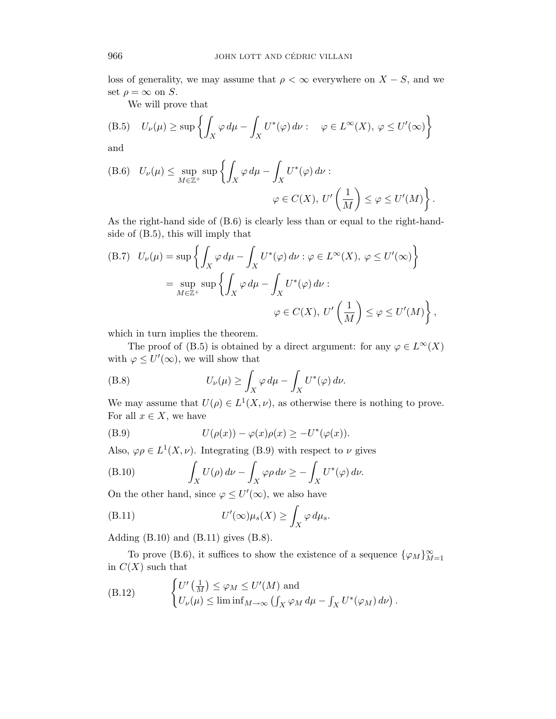loss of generality, we may assume that  $\rho < \infty$  everywhere on  $X - S$ , and we set  $\rho = \infty$  on S.

We will prove that

(B.5) 
$$
U_{\nu}(\mu) \ge \sup \left\{ \int_X \varphi \, d\mu - \int_X U^*(\varphi) \, d\nu : \varphi \in L^{\infty}(X), \varphi \le U'(\infty) \right\}
$$

and

(B.6) 
$$
U_{\nu}(\mu) \le \sup_{M \in \mathbb{Z}^+} \sup \left\{ \int_X \varphi \, d\mu - \int_X U^*(\varphi) \, d\nu : \right\}
$$
  
 $\varphi \in C(X), U' \left( \frac{1}{M} \right) \le \varphi \le U'(M) \right\}.$ 

As the right-hand side of (B.6) is clearly less than or equal to the right-handside of (B.5), this will imply that

(B.7) 
$$
U_{\nu}(\mu) = \sup \left\{ \int_X \varphi \, d\mu - \int_X U^*(\varphi) \, d\nu : \varphi \in L^{\infty}(X), \ \varphi \le U'(\infty) \right\}
$$
  

$$
= \sup_{M \in \mathbb{Z}^+} \sup \left\{ \int_X \varphi \, d\mu - \int_X U^*(\varphi) \, d\nu : \varphi \in C(X), \ U' \left( \frac{1}{M} \right) \le \varphi \le U'(M) \right\},
$$

which in turn implies the theorem.

The proof of (B.5) is obtained by a direct argument: for any  $\varphi \in L^{\infty}(X)$ with  $\varphi \leq U'(\infty)$ , we will show that

(B.8) 
$$
U_{\nu}(\mu) \geq \int_X \varphi \, d\mu - \int_X U^*(\varphi) \, d\nu.
$$

We may assume that  $U(\rho) \in L^1(X, \nu)$ , as otherwise there is nothing to prove. For all  $x \in X$ , we have

(B.9) 
$$
U(\rho(x)) - \varphi(x)\rho(x) \geq -U^*(\varphi(x)).
$$

Also,  $\varphi \rho \in L^1(X, \nu)$ . Integrating (B.9) with respect to  $\nu$  gives

(B.10) 
$$
\int_X U(\rho) d\nu - \int_X \varphi \rho d\nu \ge - \int_X U^*(\varphi) d\nu.
$$

On the other hand, since  $\varphi \leq U'(\infty)$ , we also have

(B.11) 
$$
U'(\infty)\mu_s(X) \geq \int_X \varphi \, d\mu_s.
$$

Adding (B.10) and (B.11) gives (B.8).

To prove (B.6), it suffices to show the existence of a sequence  $\{\varphi_M\}_{M=1}^{\infty}$ in  $C(X)$  such that

(B.12) 
$$
\begin{cases} U'(\frac{1}{M}) \leq \varphi_M \leq U'(M) \text{ and} \\ U_{\nu}(\mu) \leq \liminf_{M \to \infty} \left( \int_X \varphi_M d\mu - \int_X U^*(\varphi_M) d\nu \right). \end{cases}
$$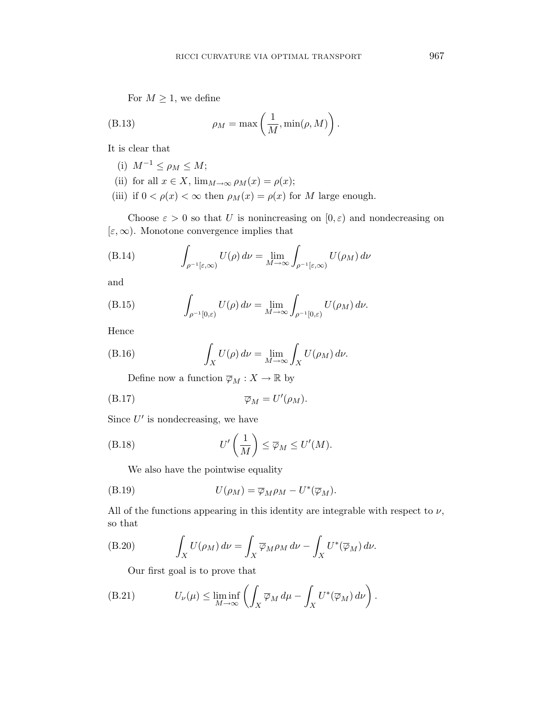For  $M \geq 1$ , we define

(B.13) 
$$
\rho_M = \max\left(\frac{1}{M}, \min(\rho, M)\right).
$$

It is clear that

- (i)  $M^{-1} \le \rho_M \le M;$
- (ii) for all  $x \in X$ ,  $\lim_{M \to \infty} \rho_M(x) = \rho(x)$ ;
- (iii) if  $0 < \rho(x) < \infty$  then  $\rho_M(x) = \rho(x)$  for M large enough.

Choose  $\varepsilon > 0$  so that U is nonincreasing on  $[0, \varepsilon)$  and nondecreasing on  $[\varepsilon, \infty)$ . Monotone convergence implies that

(B.14) 
$$
\int_{\rho^{-1}[\varepsilon,\infty)} U(\rho) d\nu = \lim_{M \to \infty} \int_{\rho^{-1}[\varepsilon,\infty)} U(\rho_M) d\nu
$$

and

(B.15) 
$$
\int_{\rho^{-1}[0,\varepsilon)} U(\rho) d\nu = \lim_{M \to \infty} \int_{\rho^{-1}[0,\varepsilon)} U(\rho_M) d\nu.
$$

Hence

(B.16) 
$$
\int_X U(\rho) d\nu = \lim_{M \to \infty} \int_X U(\rho_M) d\nu.
$$

Define now a function  $\overline{\varphi}_M : X \to \mathbb{R}$  by

(B.17) 
$$
\overline{\varphi}_M = U'(\rho_M).
$$

Since  $U'$  is nondecreasing, we have

(B.18) 
$$
U'\left(\frac{1}{M}\right) \leq \overline{\varphi}_M \leq U'(M).
$$

We also have the pointwise equality

(B.19) 
$$
U(\rho_M) = \overline{\varphi}_M \rho_M - U^*(\overline{\varphi}_M).
$$

All of the functions appearing in this identity are integrable with respect to  $\nu$ , so that

(B.20) 
$$
\int_X U(\rho_M) d\nu = \int_X \overline{\varphi}_M \rho_M d\nu - \int_X U^*(\overline{\varphi}_M) d\nu.
$$

Our first goal is to prove that

(B.21) 
$$
U_{\nu}(\mu) \leq \liminf_{M \to \infty} \left( \int_X \overline{\varphi}_M d\mu - \int_X U^*(\overline{\varphi}_M) d\nu \right).
$$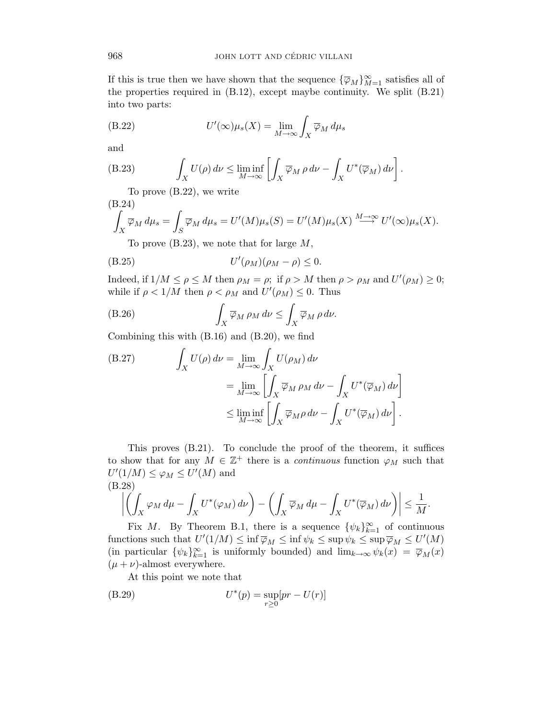If this is true then we have shown that the sequence  $\{\overline{\varphi}_M\}_{M=1}^{\infty}$  satisfies all of the properties required in (B.12), except maybe continuity. We split (B.21) into two parts:

(B.22) 
$$
U'(\infty)\mu_s(X) = \lim_{M \to \infty} \int_X \overline{\varphi}_M d\mu_s
$$

and

(B.23) 
$$
\int_X U(\rho) d\nu \le \liminf_{M \to \infty} \left[ \int_X \overline{\varphi}_M \rho d\nu - \int_X U^*(\overline{\varphi}_M) d\nu \right].
$$

To prove (B.22), we write

(B.24)  
\n
$$
\int_X \overline{\varphi}_M d\mu_s = \int_S \overline{\varphi}_M d\mu_s = U'(M)\mu_s(S) = U'(M)\mu_s(X) \stackrel{M \to \infty}{\longrightarrow} U'(\infty)\mu_s(X).
$$
\nThe energy (B.22) we note that for large M.

To prove  $(B.23)$ , we note that for large  $M$ ,

$$
(B.25) \t\t\t U'(\rho_M)(\rho_M - \rho) \le 0.
$$

Indeed, if  $1/M \le \rho \le M$  then  $\rho_M = \rho$ ; if  $\rho > M$  then  $\rho > \rho_M$  and  $U'(\rho_M) \ge 0$ ; while if  $\rho < 1/M$  then  $\rho < \rho_M$  and  $U'(\rho_M) \leq 0$ . Thus

(B.26) 
$$
\int_X \overline{\varphi}_M \, \rho_M \, d\nu \leq \int_X \overline{\varphi}_M \, \rho \, d\nu.
$$

Combining this with (B.16) and (B.20), we find

(B.27) 
$$
\int_{X} U(\rho) d\nu = \lim_{M \to \infty} \int_{X} U(\rho_M) d\nu
$$

$$
= \lim_{M \to \infty} \left[ \int_{X} \overline{\varphi}_M \rho_M d\nu - \int_{X} U^*(\overline{\varphi}_M) d\nu \right]
$$

$$
\leq \liminf_{M \to \infty} \left[ \int_{X} \overline{\varphi}_M \rho d\nu - \int_{X} U^*(\overline{\varphi}_M) d\nu \right].
$$

This proves (B.21). To conclude the proof of the theorem, it suffices to show that for any  $M \in \mathbb{Z}^+$  there is a *continuous* function  $\varphi_M$  such that  $U'(1/M) \leq \varphi_M \leq U'(M)$  and (B.28)

$$
\left| \left( \int_X \varphi_M \, d\mu - \int_X U^*(\varphi_M) \, d\nu \right) - \left( \int_X \overline{\varphi}_M \, d\mu - \int_X U^*(\overline{\varphi}_M) \, d\nu \right) \right| \le \frac{1}{M}.
$$

Fix M. By Theorem B.1, there is a sequence  $\{\psi_k\}_{k=1}^{\infty}$  of continuous functions such that  $U'(1/M) \leq \inf \overline{\varphi}_M \leq \inf \psi_k \leq \sup \psi_k \leq \sup \overline{\varphi}_M \leq U'(M)$ (in particular  $\{\psi_k\}_{k=1}^{\infty}$  is uniformly bounded) and  $\lim_{k\to\infty}\psi_k(x) = \overline{\varphi}_M(x)$  $(\mu + \nu)$ -almost everywhere.

At this point we note that

(B.29) 
$$
U^*(p) = \sup_{r \ge 0} [pr - U(r)]
$$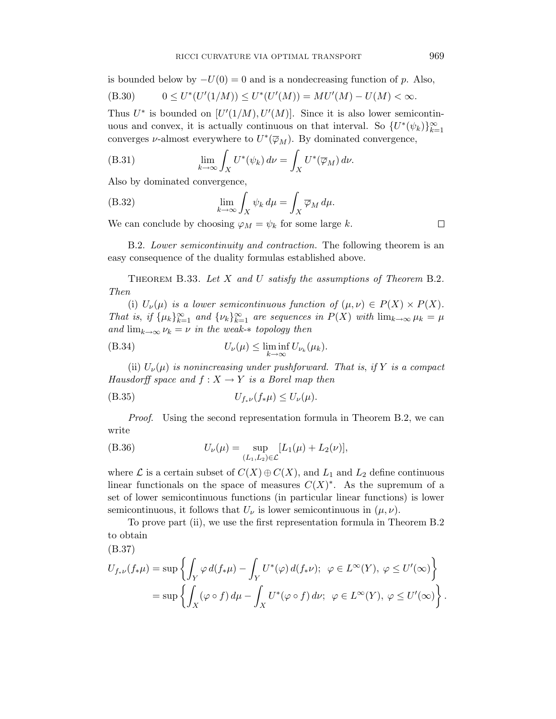is bounded below by  $-U(0) = 0$  and is a nondecreasing function of p. Also,

(B.30) 
$$
0 \leq U^*(U'(1/M)) \leq U^*(U'(M)) = MU'(M) - U(M) < \infty.
$$

Thus  $U^*$  is bounded on  $[U'(1/M), U'(M)]$ . Since it is also lower semicontinuous and convex, it is actually continuous on that interval. So  $\{U^*(\psi_k)\}_{k=1}^{\infty}$ converges  $\nu$ -almost everywhere to  $U^*(\overline{\varphi}_M)$ . By dominated convergence,

(B.31) 
$$
\lim_{k \to \infty} \int_X U^*(\psi_k) d\nu = \int_X U^*(\overline{\varphi}_M) d\nu.
$$

Also by dominated convergence,

(B.32) 
$$
\lim_{k \to \infty} \int_X \psi_k \, d\mu = \int_X \overline{\varphi}_M \, d\mu.
$$

We can conclude by choosing  $\varphi_M = \psi_k$  for some large k.

B.2. Lower semicontinuity and contraction. The following theorem is an easy consequence of the duality formulas established above.

THEOREM B.33. Let  $X$  and  $U$  satisfy the assumptions of Theorem B.2. Then

(i)  $U_{\nu}(\mu)$  is a lower semicontinuous function of  $(\mu, \nu) \in P(X) \times P(X)$ . That is, if  $\{\mu_k\}_{k=1}^{\infty}$  and  $\{\nu_k\}_{k=1}^{\infty}$  are sequences in  $P(X)$  with  $\lim_{k\to\infty} \mu_k = \mu$ and  $\lim_{k\to\infty} \nu_k = \nu$  in the weak- $*$  topology then

$$
(B.34) \t\t\t U_{\nu}(\mu) \le \liminf_{k \to \infty} U_{\nu_k}(\mu_k).
$$

(ii)  $U_{\nu}(\mu)$  is nonincreasing under pushforward. That is, if Y is a compact Hausdorff space and  $f: X \to Y$  is a Borel map then

(B.35) 
$$
U_{f_*\nu}(f_*\mu) \leq U_{\nu}(\mu).
$$

Proof. Using the second representation formula in Theorem B.2, we can write

(B.36) 
$$
U_{\nu}(\mu) = \sup_{(L_1, L_2) \in \mathcal{L}} [L_1(\mu) + L_2(\nu)],
$$

where  $\mathcal L$  is a certain subset of  $C(X) \oplus C(X)$ , and  $L_1$  and  $L_2$  define continuous linear functionals on the space of measures  $C(X)^*$ . As the supremum of a set of lower semicontinuous functions (in particular linear functions) is lower semicontinuous, it follows that  $U_{\nu}$  is lower semicontinuous in  $(\mu, \nu)$ .

To prove part (ii), we use the first representation formula in Theorem B.2 to obtain

(B.37)  
\n
$$
U_{f_*\nu}(f_*\mu) = \sup \left\{ \int_Y \varphi \, d(f_*\mu) - \int_Y U^*(\varphi) \, d(f_*\nu); \ \varphi \in L^{\infty}(Y), \ \varphi \le U'(\infty) \right\}
$$
\n
$$
= \sup \left\{ \int_X (\varphi \circ f) \, d\mu - \int_X U^*(\varphi \circ f) \, d\nu; \ \varphi \in L^{\infty}(Y), \ \varphi \le U'(\infty) \right\}.
$$

 $\Box$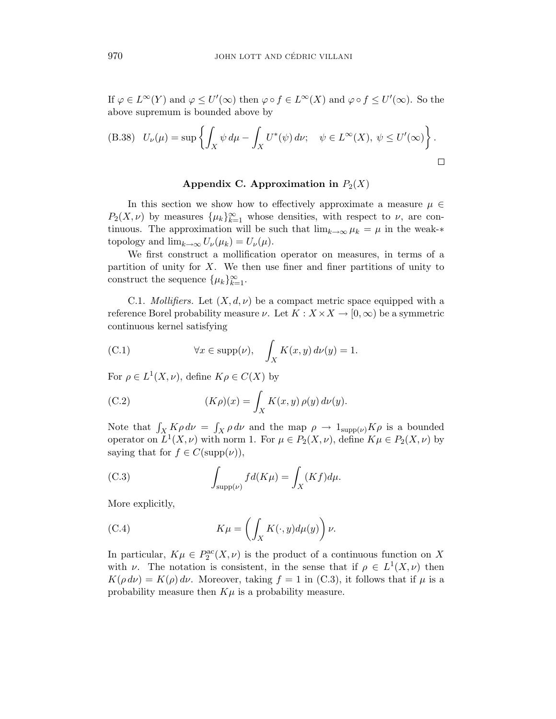If  $\varphi \in L^{\infty}(Y)$  and  $\varphi \leq U'(\infty)$  then  $\varphi \circ f \in L^{\infty}(X)$  and  $\varphi \circ f \leq U'(\infty)$ . So the above supremum is bounded above by

(B.38) 
$$
U_{\nu}(\mu) = \sup \left\{ \int_X \psi \, d\mu - \int_X U^*(\psi) \, d\nu; \quad \psi \in L^{\infty}(X), \ \psi \le U'(\infty) \right\}.
$$

# Appendix C. Approximation in  $P_2(X)$

In this section we show how to effectively approximate a measure  $\mu \in$  $P_2(X,\nu)$  by measures  $\{\mu_k\}_{k=1}^{\infty}$  whose densities, with respect to  $\nu$ , are continuous. The approximation will be such that  $\lim_{k\to\infty} \mu_k = \mu$  in the weak-\* topology and  $\lim_{k\to\infty} U_{\nu}(\mu_k) = U_{\nu}(\mu)$ .

We first construct a mollification operator on measures, in terms of a partition of unity for  $X$ . We then use finer and finer partitions of unity to construct the sequence  $\{\mu_k\}_{k=1}^{\infty}$ .

C.1. *Mollifiers*. Let  $(X, d, \nu)$  be a compact metric space equipped with a reference Borel probability measure  $\nu$ . Let  $K : X \times X \to [0, \infty)$  be a symmetric continuous kernel satisfying

(C.1) 
$$
\forall x \in \text{supp}(\nu), \quad \int_X K(x, y) d\nu(y) = 1.
$$

For  $\rho \in L^1(X, \nu)$ , define  $K \rho \in C(X)$  by

(C.2) 
$$
(K\rho)(x) = \int_X K(x, y) \rho(y) d\nu(y).
$$

Note that  $\int_X K \rho \, d\nu = \int_X \rho \, d\nu$  and the map  $\rho \to 1_{\text{supp}(\nu)} K \rho$  is a bounded operator on  $L^1(X,\nu)$  with norm 1. For  $\mu \in P_2(X,\nu)$ , define  $K\mu \in P_2(X,\nu)$  by saying that for  $f \in C(\text{supp}(\nu))$ ,

(C.3) 
$$
\int_{\text{supp}(\nu)} f d(K\mu) = \int_X (Kf) d\mu.
$$

More explicitly,

(C.4) 
$$
K\mu = \left(\int_X K(\cdot, y)d\mu(y)\right)\nu.
$$

In particular,  $K\mu \in P_2^{\text{ac}}(X,\nu)$  is the product of a continuous function on X with  $\nu$ . The notation is consistent, in the sense that if  $\rho \in L^1(X, \nu)$  then  $K(\rho d\nu) = K(\rho) d\nu$ . Moreover, taking  $f = 1$  in (C.3), it follows that if  $\mu$  is a probability measure then  $K\mu$  is a probability measure.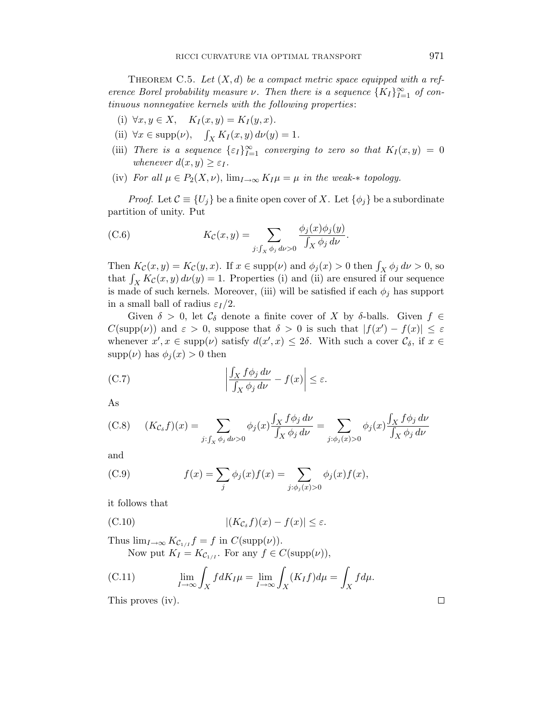THEOREM C.5. Let  $(X, d)$  be a compact metric space equipped with a reference Borel probability measure  $\nu$ . Then there is a sequence  $\{K_I\}_{I=1}^{\infty}$  of continuous nonnegative kernels with the following properties:

- (i)  $\forall x, y \in X$ ,  $K_I(x, y) = K_I(y, x)$ .
- (ii)  $\forall x \in \text{supp}(\nu)$ ,  $\int_X K_I(x, y) d\nu(y) = 1$ .
- (iii) There is a sequence  $\{\varepsilon_I\}_{I=1}^{\infty}$  converging to zero so that  $K_I(x,y) = 0$ whenever  $d(x, y) \geq \varepsilon_I$ .
- (iv) For all  $\mu \in P_2(X, \nu)$ ,  $\lim_{I \to \infty} K_I \mu = \mu$  in the weak- $*$  topology.

*Proof.* Let  $\mathcal{C} \equiv \{U_i\}$  be a finite open cover of X. Let  $\{\phi_i\}$  be a subordinate partition of unity. Put

(C.6) 
$$
K_{\mathcal{C}}(x,y) = \sum_{j:\int_X \phi_j d\nu > 0} \frac{\phi_j(x)\phi_j(y)}{\int_X \phi_j d\nu}.
$$

Then  $K_{\mathcal{C}}(x, y) = K_{\mathcal{C}}(y, x)$ . If  $x \in \text{supp}(\nu)$  and  $\phi_j(x) > 0$  then  $\int_X \phi_j d\nu > 0$ , so that  $\int_X K_C(x, y) d\nu(y) = 1$ . Properties (i) and (ii) are ensured if our sequence is made of such kernels. Moreover, (iii) will be satisfied if each  $\phi_j$  has support in a small ball of radius  $\varepsilon_I/2$ .

Given  $\delta > 0$ , let  $\mathcal{C}_{\delta}$  denote a finite cover of X by  $\delta$ -balls. Given  $f \in$  $C(\text{supp}(\nu))$  and  $\varepsilon > 0$ , suppose that  $\delta > 0$  is such that  $|f(x') - f(x)| \leq \varepsilon$ whenever  $x', x \in \text{supp}(\nu)$  satisfy  $d(x', x) \leq 2\delta$ . With such a cover  $\mathcal{C}_{\delta}$ , if  $x \in$  $supp(\nu)$  has  $\phi_i(x) > 0$  then

(C.7) 
$$
\left| \frac{\int_X f \phi_j \, d\nu}{\int_X \phi_j \, d\nu} - f(x) \right| \le \varepsilon.
$$

As

(C.8) 
$$
(K_{\mathcal{C}_{\delta}}f)(x) = \sum_{j:\int_X \phi_j d\nu > 0} \phi_j(x) \frac{\int_X f\phi_j d\nu}{\int_X \phi_j d\nu} = \sum_{j:\phi_j(x)>0} \phi_j(x) \frac{\int_X f\phi_j d\nu}{\int_X \phi_j d\nu}
$$

and

(C.9) 
$$
f(x) = \sum_{j} \phi_j(x) f(x) = \sum_{j:\phi_j(x)>0} \phi_j(x) f(x),
$$

it follows that

(C.10) 
$$
|(K_{\mathcal{C}_{\delta}}f)(x) - f(x)| \leq \varepsilon.
$$

Thus  $\lim_{I\to\infty} K_{\mathcal{C}_{1/I}}f = f$  in  $C(\text{supp}(\nu)).$ Now put  $K_I = K_{\mathcal{C}_{1/I}}$ . For any  $f \in C(\text{supp}(\nu)),$ 

(C.11) 
$$
\lim_{I \to \infty} \int_X f dK_I \mu = \lim_{I \to \infty} \int_X (K_I f) d\mu = \int_X f d\mu.
$$

This proves (iv).

 $\Box$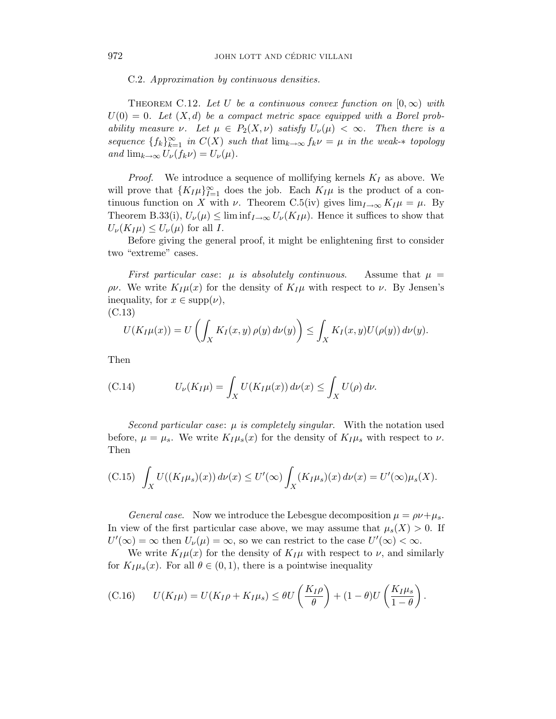C.2. Approximation by continuous densities.

THEOREM C.12. Let U be a continuous convex function on  $[0,\infty)$  with  $U(0) = 0$ . Let  $(X, d)$  be a compact metric space equipped with a Borel probability measure  $\nu$ . Let  $\mu \in P_2(X, \nu)$  satisfy  $U_{\nu}(\mu) < \infty$ . Then there is a sequence  ${f_k}_{k=1}^{\infty}$  in  $C(X)$  such that  $\lim_{k\to\infty} f_k \nu = \mu$  in the weak- $*$  topology and  $\lim_{k\to\infty} U_{\nu}(f_k\nu) = U_{\nu}(\mu).$ 

*Proof.* We introduce a sequence of mollifying kernels  $K_I$  as above. We will prove that  $\{K_I\mu\}_{I=1}^{\infty}$  does the job. Each  $K_I\mu$  is the product of a continuous function on X with  $\nu$ . Theorem C.5(iv) gives  $\lim_{I\to\infty} K_I \mu = \mu$ . By Theorem B.33(i),  $U_{\nu}(\mu) \leq \liminf_{I \to \infty} U_{\nu}(K_I\mu)$ . Hence it suffices to show that  $U_{\nu}(K_{I}\mu) \leq U_{\nu}(\mu)$  for all I.

Before giving the general proof, it might be enlightening first to consider two "extreme" cases.

First particular case:  $\mu$  is absolutely continuous. Assume that  $\mu =$  $\rho\nu$ . We write  $K_I\mu(x)$  for the density of  $K_I\mu$  with respect to  $\nu$ . By Jensen's inequality, for  $x \in \text{supp}(\nu)$ ,

(C.13)

$$
U(K_I\mu(x)) = U\left(\int_X K_I(x,y)\,\rho(y)\,d\nu(y)\right) \leq \int_X K_I(x,y)U(\rho(y))\,d\nu(y).
$$

Then

(C.14) 
$$
U_{\nu}(K_{I}\mu) = \int_{X} U(K_{I}\mu(x)) d\nu(x) \leq \int_{X} U(\rho) d\nu.
$$

Second particular case:  $\mu$  is completely singular. With the notation used before,  $\mu = \mu_s$ . We write  $K_I \mu_s(x)$  for the density of  $K_I \mu_s$  with respect to  $\nu$ . Then

$$
(C.15)\quad \int_X U((K_I\mu_s)(x))\,d\nu(x) \le U'(\infty)\int_X (K_I\mu_s)(x)\,d\nu(x) = U'(\infty)\mu_s(X).
$$

General case. Now we introduce the Lebesgue decomposition  $\mu = \rho \nu + \mu_s$ . In view of the first particular case above, we may assume that  $\mu_s(X) > 0$ . If  $U'(\infty) = \infty$  then  $U_{\nu}(\mu) = \infty$ , so we can restrict to the case  $U'(\infty) < \infty$ .

We write  $K_I \mu(x)$  for the density of  $K_I \mu$  with respect to  $\nu$ , and similarly for  $K_I\mu_s(x)$ . For all  $\theta \in (0,1)$ , there is a pointwise inequality

(C.16) 
$$
U(K_I\mu) = U(K_I\rho + K_I\mu_s) \leq \theta U\left(\frac{K_I\rho}{\theta}\right) + (1-\theta)U\left(\frac{K_I\mu_s}{1-\theta}\right).
$$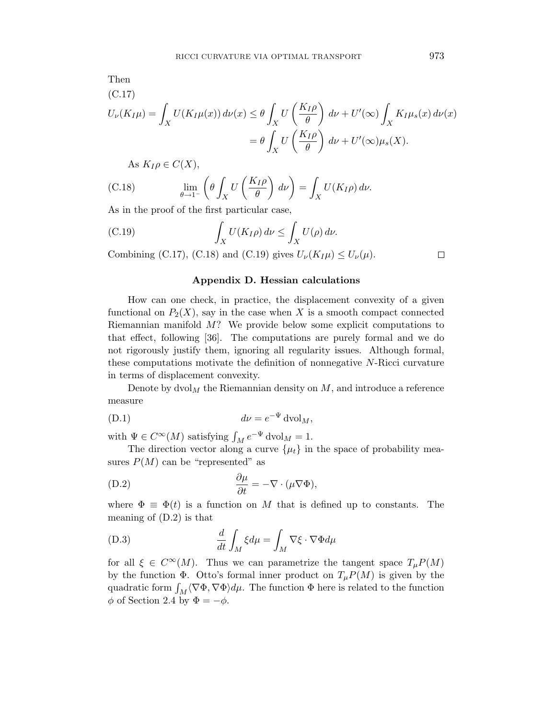Then

(C.17)  
\n
$$
U_{\nu}(K_{I}\mu) = \int_{X} U(K_{I}\mu(x)) d\nu(x) \leq \theta \int_{X} U\left(\frac{K_{I}\rho}{\theta}\right) d\nu + U'(\infty) \int_{X} K_{I}\mu_{s}(x) d\nu(x)
$$
\n
$$
= \theta \int_{X} U\left(\frac{K_{I}\rho}{\theta}\right) d\nu + U'(\infty)\mu_{s}(X).
$$

As  $K_I \rho \in C(X)$ ,

(C.18) 
$$
\lim_{\theta \to 1^{-}} \left( \theta \int_{X} U \left( \frac{K_{I} \rho}{\theta} \right) d\nu \right) = \int_{X} U(K_{I} \rho) d\nu.
$$

As in the proof of the first particular case,

(C.19) 
$$
\int_X U(K_I \rho) d\nu \leq \int_X U(\rho) d\nu.
$$

Combining (C.17), (C.18) and (C.19) gives  $U_{\nu}(K_{I}\mu) \leq U_{\nu}(\mu)$ .

#### $\Box$

#### Appendix D. Hessian calculations

How can one check, in practice, the displacement convexity of a given functional on  $P_2(X)$ , say in the case when X is a smooth compact connected Riemannian manifold M? We provide below some explicit computations to that effect, following [36]. The computations are purely formal and we do not rigorously justify them, ignoring all regularity issues. Although formal, these computations motivate the definition of nonnegative N-Ricci curvature in terms of displacement convexity.

Denote by  $dvol<sub>M</sub>$  the Riemannian density on  $M$ , and introduce a reference measure

$$
(D.1) \t\t dv = e^{-\Psi} dvol_M,
$$

with  $\Psi \in C^{\infty}(M)$  satisfying  $\int_M e^{-\Psi} dvol_M = 1$ .

The direction vector along a curve  $\{\mu_t\}$  in the space of probability measures  $P(M)$  can be "represented" as

(D.2) 
$$
\frac{\partial \mu}{\partial t} = -\nabla \cdot (\mu \nabla \Phi),
$$

where  $\Phi \equiv \Phi(t)$  is a function on M that is defined up to constants. The meaning of (D.2) is that

(D.3) 
$$
\frac{d}{dt} \int_M \xi d\mu = \int_M \nabla \xi \cdot \nabla \Phi d\mu
$$

for all  $\xi \in C^{\infty}(M)$ . Thus we can parametrize the tangent space  $T_{\mu}P(M)$ by the function  $\Phi$ . Otto's formal inner product on  $T_{\mu}P(M)$  is given by the quadratic form  $\int_M \langle \nabla \Phi, \nabla \Phi \rangle d\mu$ . The function  $\Phi$  here is related to the function  $\phi$  of Section 2.4 by  $\Phi = -\phi$ .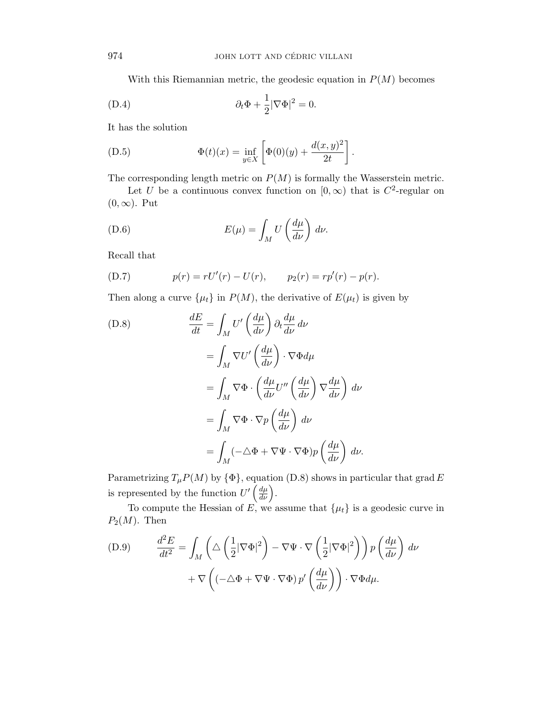With this Riemannian metric, the geodesic equation in  $P(M)$  becomes

(D.4) 
$$
\partial_t \Phi + \frac{1}{2} |\nabla \Phi|^2 = 0.
$$

It has the solution

(D.5) 
$$
\Phi(t)(x) = \inf_{y \in X} \left[ \Phi(0)(y) + \frac{d(x, y)^2}{2t} \right].
$$

The corresponding length metric on  $P(M)$  is formally the Wasserstein metric.

Let U be a continuous convex function on  $[0, \infty)$  that is  $C^2$ -regular on  $(0, \infty)$ . Put

(D.6) 
$$
E(\mu) = \int_M U \left(\frac{d\mu}{d\nu}\right) d\nu.
$$

Recall that

(D.7) 
$$
p(r) = rU'(r) - U(r), \qquad p_2(r) = rp'(r) - p(r).
$$

Then along a curve  $\{\mu_t\}$  in  $P(M)$ , the derivative of  $E(\mu_t)$  is given by

(D.8)  
\n
$$
\frac{dE}{dt} = \int_M U' \left(\frac{d\mu}{d\nu}\right) \partial_t \frac{d\mu}{d\nu} d\nu
$$
\n
$$
= \int_M \nabla U' \left(\frac{d\mu}{d\nu}\right) \cdot \nabla \Phi d\mu
$$
\n
$$
= \int_M \nabla \Phi \cdot \left(\frac{d\mu}{d\nu} U'' \left(\frac{d\mu}{d\nu}\right) \nabla \frac{d\mu}{d\nu}\right) d\nu
$$
\n
$$
= \int_M \nabla \Phi \cdot \nabla p \left(\frac{d\mu}{d\nu}\right) d\nu
$$
\n
$$
= \int_M (-\Delta \Phi + \nabla \Psi \cdot \nabla \Phi) p \left(\frac{d\mu}{d\nu}\right) d\nu.
$$

Parametrizing  $T_{\mu}P(M)$  by  $\{\Phi\}$ , equation (D.8) shows in particular that grad E is represented by the function  $U' \left(\frac{d\mu}{d\nu}\right)$ .

To compute the Hessian of E, we assume that  $\{\mu_t\}$  is a geodesic curve in  $P_2(M)$ . Then

(D.9) 
$$
\frac{d^2 E}{dt^2} = \int_M \left( \Delta \left( \frac{1}{2} |\nabla \Phi|^2 \right) - \nabla \Psi \cdot \nabla \left( \frac{1}{2} |\nabla \Phi|^2 \right) \right) p \left( \frac{d\mu}{d\nu} \right) d\nu + \nabla \left( \left( -\Delta \Phi + \nabla \Psi \cdot \nabla \Phi \right) p' \left( \frac{d\mu}{d\nu} \right) \right) \cdot \nabla \Phi d\mu.
$$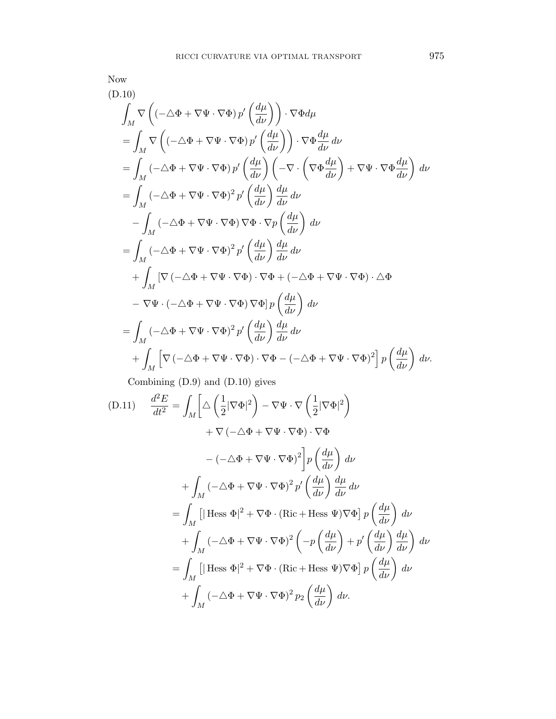Now

(D.10)  
\n
$$
\int_{M} \nabla \left( (-\Delta \Phi + \nabla \Psi \cdot \nabla \Phi) p' \left( \frac{d\mu}{d\nu} \right) \right) \cdot \nabla \Phi d\mu
$$
\n
$$
= \int_{M} \nabla \left( (-\Delta \Phi + \nabla \Psi \cdot \nabla \Phi) p' \left( \frac{d\mu}{d\nu} \right) \right) \cdot \nabla \Phi \frac{d\mu}{d\nu} d\nu
$$
\n
$$
= \int_{M} (-\Delta \Phi + \nabla \Psi \cdot \nabla \Phi) p' \left( \frac{d\mu}{d\nu} \right) \left( -\nabla \cdot \left( \nabla \Phi \frac{d\mu}{d\nu} \right) + \nabla \Psi \cdot \nabla \Phi \frac{d\mu}{d\nu} \right) d\nu
$$
\n
$$
= \int_{M} (-\Delta \Phi + \nabla \Psi \cdot \nabla \Phi)^{2} p' \left( \frac{d\mu}{d\nu} \right) \frac{d\mu}{d\nu} d\nu
$$
\n
$$
- \int_{M} (-\Delta \Phi + \nabla \Psi \cdot \nabla \Phi) \nabla \Phi \cdot \nabla p \left( \frac{d\mu}{d\nu} \right) d\nu
$$
\n
$$
= \int_{M} (-\Delta \Phi + \nabla \Psi \cdot \nabla \Phi)^{2} p' \left( \frac{d\mu}{d\nu} \right) \frac{d\mu}{d\nu} d\nu
$$
\n
$$
+ \int_{M} [\nabla (-\Delta \Phi + \nabla \Psi \cdot \nabla \Phi) \cdot \nabla \Phi + (-\Delta \Phi + \nabla \Psi \cdot \nabla \Phi) \cdot \Delta \Phi
$$
\n
$$
- \nabla \Psi \cdot (-\Delta \Phi + \nabla \Psi \cdot \nabla \Phi) \nabla \Phi] p \left( \frac{d\mu}{d\nu} \right) d\nu
$$
\n
$$
= \int_{M} (-\Delta \Phi + \nabla \Psi \cdot \nabla \Phi)^{2} p' \left( \frac{d\mu}{d\nu} \right) \frac{d\mu}{d\nu} d\nu
$$
\n
$$
+ \int_{M} [\nabla (-\Delta \Phi + \nabla \Psi \cdot \nabla \Phi) \cdot
$$

Combining (D.9) and (D.10) gives

(D.11) 
$$
\frac{d^2 E}{dt^2} = \int_M \left[ \Delta \left( \frac{1}{2} |\nabla \Phi|^2 \right) - \nabla \Psi \cdot \nabla \left( \frac{1}{2} |\nabla \Phi|^2 \right) \right.
$$

$$
+ \nabla \left( -\Delta \Phi + \nabla \Psi \cdot \nabla \Phi \right) \cdot \nabla \Phi
$$

$$
- \left( -\Delta \Phi + \nabla \Psi \cdot \nabla \Phi \right)^2 \left[ p \left( \frac{d\mu}{d\nu} \right) d\nu
$$

$$
+ \int_M \left( -\Delta \Phi + \nabla \Psi \cdot \nabla \Phi \right)^2 p' \left( \frac{d\mu}{d\nu} \right) \frac{d\mu}{d\nu} d\nu
$$

$$
= \int_M \left[ |\text{Hess } \Phi|^2 + \nabla \Phi \cdot (\text{Ric} + \text{Hess } \Psi) \nabla \Phi \right] p \left( \frac{d\mu}{d\nu} \right) d\nu
$$

$$
+ \int_M \left( -\Delta \Phi + \nabla \Psi \cdot \nabla \Phi \right)^2 \left( -p \left( \frac{d\mu}{d\nu} \right) + p' \left( \frac{d\mu}{d\nu} \right) \frac{d\mu}{d\nu} \right) d\nu
$$

$$
= \int_M \left[ |\text{Hess } \Phi|^2 + \nabla \Phi \cdot (\text{Ric} + \text{Hess } \Psi) \nabla \Phi \right] p \left( \frac{d\mu}{d\nu} \right) d\nu
$$

$$
+ \int_M \left( -\Delta \Phi + \nabla \Psi \cdot \nabla \Phi \right)^2 p_2 \left( \frac{d\mu}{d\nu} \right) d\nu.
$$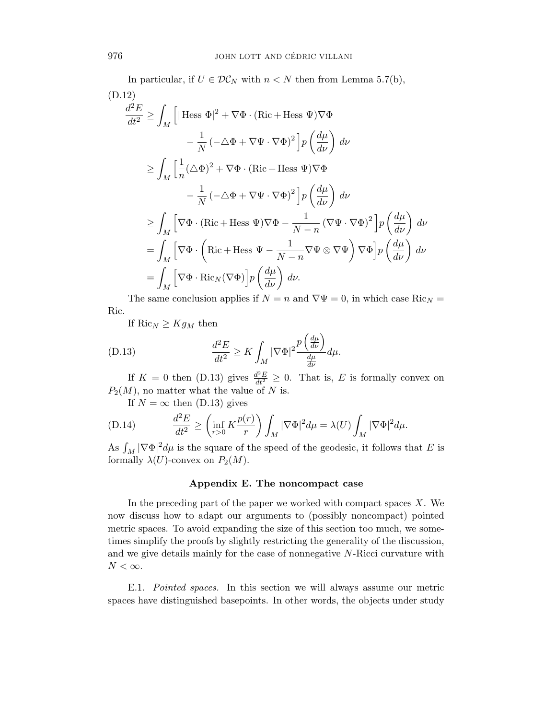In particular, if  $U \in \mathcal{DC}_N$  with  $n < N$  then from Lemma 5.7(b),

(D.12)  
\n
$$
\frac{d^2E}{dt^2} \ge \int_M \left[ |\text{Hess }\Phi|^2 + \nabla \Phi \cdot (\text{Ric} + \text{Hess }\Psi) \nabla \Phi \right]
$$
\n
$$
- \frac{1}{N} \left( -\Delta \Phi + \nabla \Psi \cdot \nabla \Phi \right)^2 \left[ p \left( \frac{d\mu}{d\nu} \right) d\nu \right]
$$
\n
$$
\ge \int_M \left[ \frac{1}{n} (\Delta \Phi)^2 + \nabla \Phi \cdot (\text{Ric} + \text{Hess }\Psi) \nabla \Phi \right]
$$
\n
$$
- \frac{1}{N} \left( -\Delta \Phi + \nabla \Psi \cdot \nabla \Phi \right)^2 \left[ p \left( \frac{d\mu}{d\nu} \right) d\nu \right]
$$
\n
$$
\ge \int_M \left[ \nabla \Phi \cdot (\text{Ric} + \text{Hess }\Psi) \nabla \Phi - \frac{1}{N-n} (\nabla \Psi \cdot \nabla \Phi)^2 \right] p \left( \frac{d\mu}{d\nu} \right) d\nu
$$
\n
$$
= \int_M \left[ \nabla \Phi \cdot \left( \text{Ric} + \text{Hess }\Psi - \frac{1}{N-n} \nabla \Psi \otimes \nabla \Psi \right) \nabla \Phi \right] p \left( \frac{d\mu}{d\nu} \right) d\nu
$$
\n
$$
= \int_M \left[ \nabla \Phi \cdot \text{Ric}_N (\nabla \Phi) \right] p \left( \frac{d\mu}{d\nu} \right) d\nu.
$$

The same conclusion applies if  $N = n$  and  $\nabla \Psi = 0$ , in which case Ric<sub>N</sub> = Ric.

If  $\text{Ric}_N \geq Kg_M$  then

(D.13) 
$$
\frac{d^2 E}{dt^2} \geq K \int_M |\nabla \Phi|^2 \frac{p \left(\frac{d\mu}{d\nu}\right)}{\frac{d\mu}{d\nu}} d\mu.
$$

If  $K = 0$  then (D.13) gives  $\frac{d^2 E}{dt^2} \geq 0$ . That is, E is formally convex on  $P_2(M)$ , no matter what the value of N is.

If  $N = \infty$  then (D.13) gives

(D.14) 
$$
\frac{d^2 E}{dt^2} \ge \left(\inf_{r>0} K \frac{p(r)}{r}\right) \int_M |\nabla \Phi|^2 d\mu = \lambda(U) \int_M |\nabla \Phi|^2 d\mu.
$$

As  $\int_M |\nabla \Phi|^2 d\mu$  is the square of the speed of the geodesic, it follows that E is formally  $\lambda(U)$ -convex on  $P_2(M)$ .

## Appendix E. The noncompact case

In the preceding part of the paper we worked with compact spaces  $X$ . We now discuss how to adapt our arguments to (possibly noncompact) pointed metric spaces. To avoid expanding the size of this section too much, we sometimes simplify the proofs by slightly restricting the generality of the discussion, and we give details mainly for the case of nonnegative N-Ricci curvature with  $N < \infty$ .

E.1. Pointed spaces. In this section we will always assume our metric spaces have distinguished basepoints. In other words, the objects under study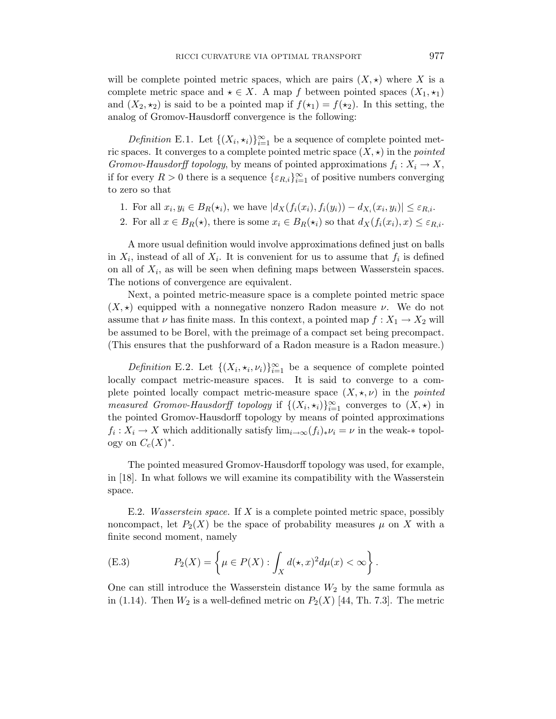will be complete pointed metric spaces, which are pairs  $(X, \star)$  where X is a complete metric space and  $\star \in X$ . A map f between pointed spaces  $(X_1, \star_1)$ and  $(X_2, \star_2)$  is said to be a pointed map if  $f(\star_1) = f(\star_2)$ . In this setting, the analog of Gromov-Hausdorff convergence is the following:

Definition E.1. Let  $\{(X_i, \star_i)\}_{i=1}^{\infty}$  be a sequence of complete pointed metric spaces. It converges to a complete pointed metric space  $(X, \star)$  in the *pointed* Gromov-Hausdorff topology, by means of pointed approximations  $f_i: X_i \to X$ , if for every  $R > 0$  there is a sequence  $\{\varepsilon_{R,i}\}_{i=1}^{\infty}$  of positive numbers converging to zero so that

- 1. For all  $x_i, y_i \in B_R(\star_i)$ , we have  $|d_X(f_i(x_i), f_i(y_i)) d_{X_i}(x_i, y_i)| \leq \varepsilon_{R,i}$ .
- 2. For all  $x \in B_R(\star)$ , there is some  $x_i \in B_R(\star_i)$  so that  $d_X(f_i(x_i), x) \leq \varepsilon_{R,i}$ .

A more usual definition would involve approximations defined just on balls in  $X_i$ , instead of all of  $X_i$ . It is convenient for us to assume that  $f_i$  is defined on all of  $X_i$ , as will be seen when defining maps between Wasserstein spaces. The notions of convergence are equivalent.

Next, a pointed metric-measure space is a complete pointed metric space  $(X, \star)$  equipped with a nonnegative nonzero Radon measure  $\nu$ . We do not assume that  $\nu$  has finite mass. In this context, a pointed map  $f: X_1 \to X_2$  will be assumed to be Borel, with the preimage of a compact set being precompact. (This ensures that the pushforward of a Radon measure is a Radon measure.)

Definition E.2. Let  $\{(X_i, \star_i, \nu_i)\}_{i=1}^{\infty}$  be a sequence of complete pointed locally compact metric-measure spaces. It is said to converge to a complete pointed locally compact metric-measure space  $(X, \star, \nu)$  in the *pointed* measured Gromov-Hausdorff topology if  $\{(X_i, \star_i)\}_{i=1}^{\infty}$  converges to  $(X, \star)$  in the pointed Gromov-Hausdorff topology by means of pointed approximations  $f_i: X_i \to X$  which additionally satisfy  $\lim_{i \to \infty} (f_i)_* \nu_i = \nu$  in the weak-\* topology on  $C_c(X)^*$ .

The pointed measured Gromov-Hausdorff topology was used, for example, in [18]. In what follows we will examine its compatibility with the Wasserstein space.

E.2. Wasserstein space. If X is a complete pointed metric space, possibly noncompact, let  $P_2(X)$  be the space of probability measures  $\mu$  on X with a finite second moment, namely

(E.3) 
$$
P_2(X) = \left\{ \mu \in P(X) : \int_X d(\star, x)^2 d\mu(x) < \infty \right\}.
$$

One can still introduce the Wasserstein distance  $W_2$  by the same formula as in (1.14). Then  $W_2$  is a well-defined metric on  $P_2(X)$  [44, Th. 7.3]. The metric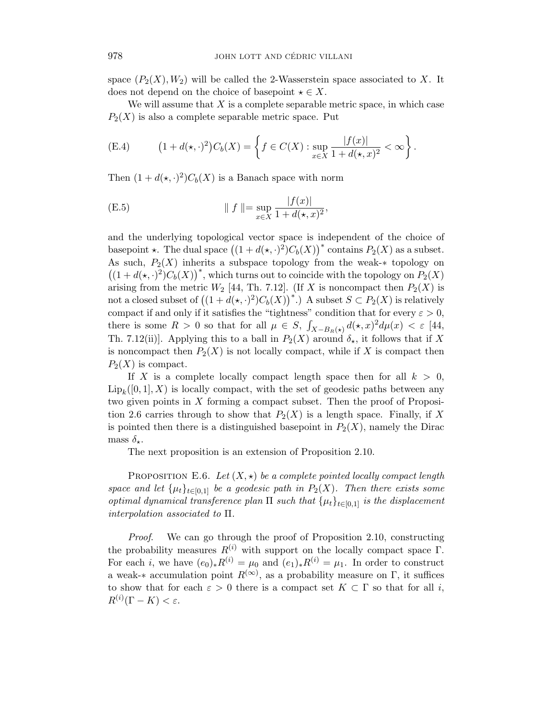space  $(P_2(X), W_2)$  will be called the 2-Wasserstein space associated to X. It does not depend on the choice of basepoint  $\star \in X$ .

We will assume that  $X$  is a complete separable metric space, in which case  $P_2(X)$  is also a complete separable metric space. Put

(E.4) 
$$
(1 + d(\star, \cdot)^2)C_b(X) = \left\{ f \in C(X) : \sup_{x \in X} \frac{|f(x)|}{1 + d(\star, x)^2} < \infty \right\}.
$$

Then  $(1 + d(\star, \cdot)^2)C_b(X)$  is a Banach space with norm

(E.5) 
$$
\| f \| = \sup_{x \in X} \frac{|f(x)|}{1 + d(\star, x)^2},
$$

and the underlying topological vector space is independent of the choice of basepoint  $\star$ . The dual space  $((1 + d(\star, \cdot)^2)C_b(X))^*$  contains  $P_2(X)$  as a subset. As such,  $P_2(X)$  inherits a subspace topology from the weak- $*$  topology on  $((1 + d(\star, \cdot)^2)C_b(X))^*$ , which turns out to coincide with the topology on  $P_2(X)$ arising from the metric  $W_2$  [44, Th. 7.12]. (If X is noncompact then  $P_2(X)$  is not a closed subset of  $((1 + d(\star, \cdot)^2)C_b(X))^*$ .) A subset  $S \subset P_2(X)$  is relatively compact if and only if it satisfies the "tightness" condition that for every  $\varepsilon > 0$ , there is some  $R > 0$  so that for all  $\mu \in S$ ,  $\int_{X-B_R(x)} d(\star, x)^2 d\mu(x) < \varepsilon$  [44, Th. 7.12(ii)]. Applying this to a ball in  $P_2(X)$  around  $\delta_{\star}$ , it follows that if X is noncompact then  $P_2(X)$  is not locally compact, while if X is compact then  $P_2(X)$  is compact.

If X is a complete locally compact length space then for all  $k > 0$ ,  $\text{Lip}_k([0,1], X)$  is locally compact, with the set of geodesic paths between any two given points in X forming a compact subset. Then the proof of Proposition 2.6 carries through to show that  $P_2(X)$  is a length space. Finally, if X is pointed then there is a distinguished basepoint in  $P_2(X)$ , namely the Dirac mass  $\delta_{\star}$ .

The next proposition is an extension of Proposition 2.10.

**PROPOSITION** E.6. Let  $(X, \star)$  be a complete pointed locally compact length space and let  $\{\mu_t\}_{t\in[0,1]}$  be a geodesic path in  $P_2(X)$ . Then there exists some optimal dynamical transference plan  $\Pi$  such that  $\{\mu_t\}_{t\in[0,1]}$  is the displacement interpolation associated to Π.

Proof. We can go through the proof of Proposition 2.10, constructing the probability measures  $R^{(i)}$  with support on the locally compact space Γ. For each i, we have  $(e_0)_*R^{(i)} = \mu_0$  and  $(e_1)_*R^{(i)} = \mu_1$ . In order to construct a weak-\* accumulation point  $R^{(\infty)}$ , as a probability measure on Γ, it suffices to show that for each  $\varepsilon > 0$  there is a compact set  $K \subset \Gamma$  so that for all i,  $R^{(i)}(\Gamma - K) < \varepsilon.$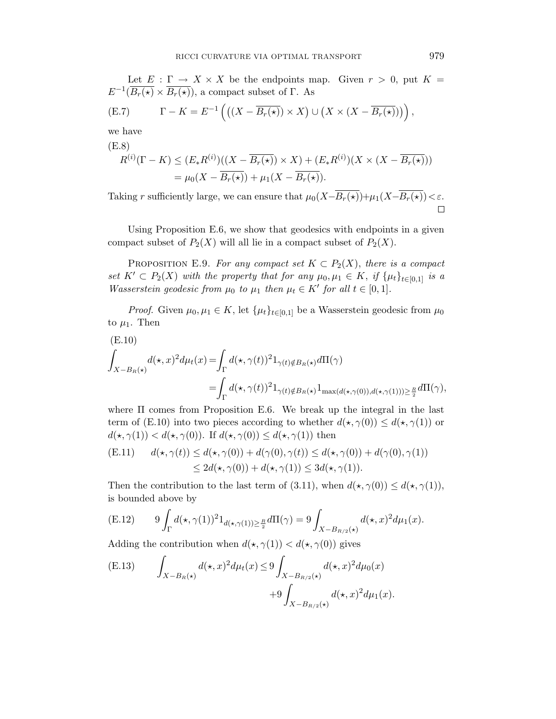Let  $E : \Gamma \to X \times X$  be the endpoints map. Given  $r > 0$ , put  $K =$  $E^{-1}(\overline{B_r(\star)} \times \overline{B_r(\star)})$ , a compact subset of  $\Gamma$ . As

(E.7) 
$$
\Gamma - K = E^{-1} \left( \left( (X - \overline{B_r(\star)}) \times X \right) \cup \left( X \times (X - \overline{B_r(\star)}) \right) \right),
$$

we have

$$
\begin{aligned} \text{(E.8)}\\ R^{(i)}(\Gamma - K) &\leq (E_* R^{(i)})((X - \overline{B_r(\star)}) \times X) + (E_* R^{(i)}) (X \times (X - \overline{B_r(\star)})) \\ &= \mu_0 (X - \overline{B_r(\star)}) + \mu_1 (X - \overline{B_r(\star)}). \end{aligned}
$$

Taking r sufficiently large, we can ensure that  $\mu_0(X-\overline{B_r(\star)})+\mu_1(X-\overline{B_r(\star)})<\varepsilon$ .  $\Box$ 

Using Proposition E.6, we show that geodesics with endpoints in a given compact subset of  $P_2(X)$  will all lie in a compact subset of  $P_2(X)$ .

PROPOSITION E.9. For any compact set  $K \subset P_2(X)$ , there is a compact set  $K' \subset P_2(X)$  with the property that for any  $\mu_0, \mu_1 \in K$ , if  $\{\mu_t\}_{t \in [0,1]}$  is a *Wasserstein geodesic from*  $\mu_0$  to  $\mu_1$  then  $\mu_t \in K'$  for all  $t \in [0,1]$ .

*Proof.* Given  $\mu_0, \mu_1 \in K$ , let  $\{\mu_t\}_{t \in [0,1]}$  be a Wasserstein geodesic from  $\mu_0$ to  $\mu_1$ . Then

(E.10)  
\n
$$
\int_{X-B_R(\star)} d(\star,x)^2 d\mu_t(x) = \int_{\Gamma} d(\star,\gamma(t))^2 1_{\gamma(t)\notin B_R(\star)} d\Pi(\gamma)
$$
\n
$$
= \int_{\Gamma} d(\star,\gamma(t))^2 1_{\gamma(t)\notin B_R(\star)} 1_{\max(d(\star,\gamma(0)),d(\star,\gamma(1))) \ge \frac{R}{2}} d\Pi(\gamma),
$$

where Π comes from Proposition E.6. We break up the integral in the last term of (E.10) into two pieces according to whether  $d(\star, \gamma(0)) \leq d(\star, \gamma(1))$  or  $d(\star, \gamma(1)) < d(\star, \gamma(0))$ . If  $d(\star, \gamma(0)) \leq d(\star, \gamma(1))$  then

(E.11) 
$$
d(\star, \gamma(t)) \leq d(\star, \gamma(0)) + d(\gamma(0), \gamma(t)) \leq d(\star, \gamma(0)) + d(\gamma(0), \gamma(1))
$$
  
 
$$
\leq 2d(\star, \gamma(0)) + d(\star, \gamma(1)) \leq 3d(\star, \gamma(1)).
$$

Then the contribution to the last term of (3.11), when  $d(\star, \gamma(0)) \leq d(\star, \gamma(1)),$ is bounded above by

(E.12) 
$$
9 \int_{\Gamma} d(\star, \gamma(1))^2 1_{d(\star, \gamma(1)) \geq \frac{R}{2}} d\Pi(\gamma) = 9 \int_{X - B_{R/2}(\star)} d(\star, x)^2 d\mu_1(x).
$$

Adding the contribution when  $d(\star, \gamma(1)) < d(\star, \gamma(0))$  gives

(E.13) 
$$
\int_{X-B_R(x)} d(\star,x)^2 d\mu_t(x) \le 9 \int_{X-B_{R/2}(x)} d(\star,x)^2 d\mu_0(x) + 9 \int_{X-B_{R/2}(x)} d(\star,x)^2 d\mu_1(x).
$$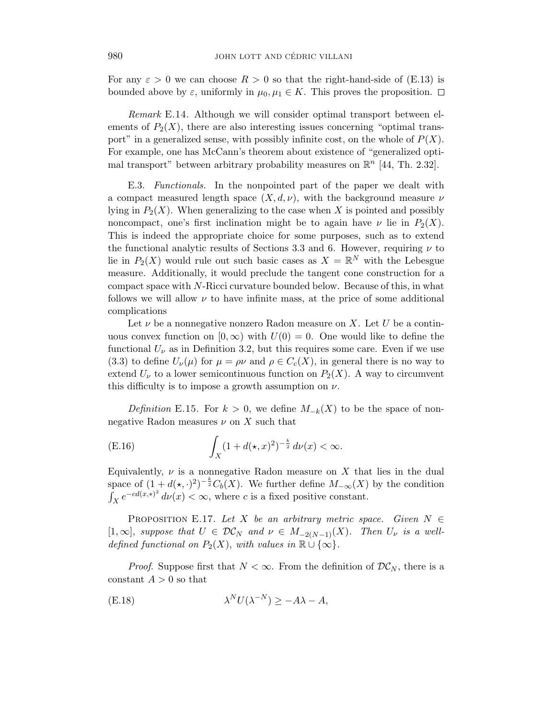For any  $\varepsilon > 0$  we can choose  $R > 0$  so that the right-hand-side of (E.13) is bounded above by  $\varepsilon$ , uniformly in  $\mu_0, \mu_1 \in K$ . This proves the proposition.  $\Box$ 

Remark E.14. Although we will consider optimal transport between elements of  $P_2(X)$ , there are also interesting issues concerning "optimal transport" in a generalized sense, with possibly infinite cost, on the whole of  $P(X)$ . For example, one has McCann's theorem about existence of "generalized optimal transport" between arbitrary probability measures on  $\mathbb{R}^n$  [44, Th. 2.32].

E.3. Functionals. In the nonpointed part of the paper we dealt with a compact measured length space  $(X, d, \nu)$ , with the background measure  $\nu$ lying in  $P_2(X)$ . When generalizing to the case when X is pointed and possibly noncompact, one's first inclination might be to again have  $\nu$  lie in  $P_2(X)$ . This is indeed the appropriate choice for some purposes, such as to extend the functional analytic results of Sections 3.3 and 6. However, requiring  $\nu$  to lie in  $P_2(X)$  would rule out such basic cases as  $X = \mathbb{R}^N$  with the Lebesgue measure. Additionally, it would preclude the tangent cone construction for a compact space with N-Ricci curvature bounded below. Because of this, in what follows we will allow  $\nu$  to have infinite mass, at the price of some additional complications

Let  $\nu$  be a nonnegative nonzero Radon measure on X. Let U be a continuous convex function on  $[0, \infty)$  with  $U(0) = 0$ . One would like to define the functional  $U_{\nu}$  as in Definition 3.2, but this requires some care. Even if we use (3.3) to define  $U_{\nu}(\mu)$  for  $\mu = \rho\nu$  and  $\rho \in C_c(X)$ , in general there is no way to extend  $U_{\nu}$  to a lower semicontinuous function on  $P_2(X)$ . A way to circumvent this difficulty is to impose a growth assumption on  $\nu$ .

Definition E.15. For  $k > 0$ , we define  $M_{-k}(X)$  to be the space of nonnegative Radon measures  $\nu$  on X such that

(E.16) 
$$
\int_X (1 + d(\star, x)^2)^{-\frac{k}{2}} d\nu(x) < \infty.
$$

Equivalently,  $\nu$  is a nonnegative Radon measure on X that lies in the dual space of  $(1 + d(\star, \cdot)^2)^{-\frac{k}{2}} C_b(X)$ . We further define  $M_{-\infty}(X)$  by the condition  $\int_X e^{-cd(x,*)^2} d\nu(x) < \infty$ , where c is a fixed positive constant.

PROPOSITION E.17. Let X be an arbitrary metric space. Given  $N \in$  $[1,\infty]$ , suppose that  $U \in \mathcal{DC}_N$  and  $\nu \in M_{-2(N-1)}(X)$ . Then  $U_{\nu}$  is a welldefined functional on  $P_2(X)$ , with values in  $\mathbb{R} \cup \{\infty\}$ .

*Proof.* Suppose first that  $N < \infty$ . From the definition of  $DC_N$ , there is a constant  $A > 0$  so that

(E.18) 
$$
\lambda^N U(\lambda^{-N}) \ge -A\lambda - A,
$$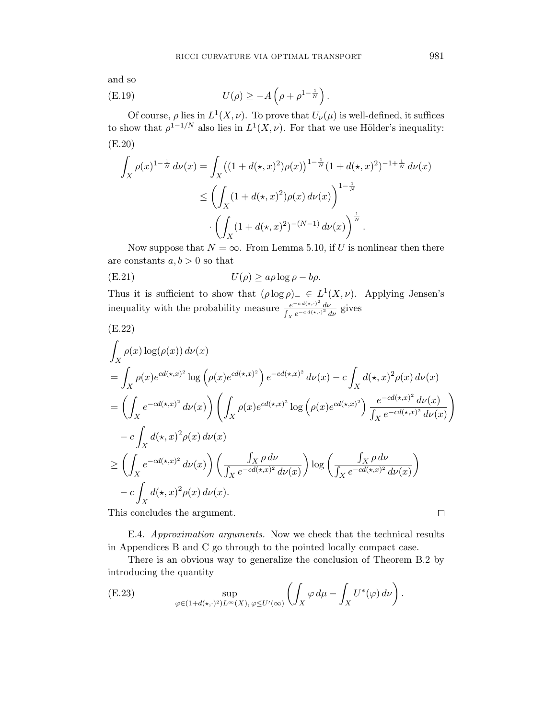and so

(E.19) 
$$
U(\rho) \ge -A\left(\rho + \rho^{1-\frac{1}{N}}\right).
$$

Of course,  $\rho$  lies in  $L^1(X,\nu)$ . To prove that  $U_{\nu}(\mu)$  is well-defined, it suffices to show that  $\rho^{1-1/N}$  also lies in  $L^1(X,\nu)$ . For that we use Hölder's inequality: (E.20)

$$
\int_X \rho(x)^{1-\frac{1}{N}} d\nu(x) = \int_X ((1+d(\star,x)^2)\rho(x))^{1-\frac{1}{N}} (1+d(\star,x)^2)^{-1+\frac{1}{N}} d\nu(x)
$$
  

$$
\leq \left(\int_X (1+d(\star,x)^2)\rho(x) d\nu(x)\right)^{1-\frac{1}{N}}
$$
  

$$
\cdot \left(\int_X (1+d(\star,x)^2)^{-(N-1)} d\nu(x)\right)^{\frac{1}{N}}.
$$

Now suppose that  $N = \infty$ . From Lemma 5.10, if U is nonlinear then there are constants  $a, b > 0$  so that

(E.21) 
$$
U(\rho) \ge a\rho \log \rho - b\rho.
$$

Thus it is sufficient to show that  $(\rho \log \rho)$  =  $\in L^1(X, \nu)$ . Applying Jensen's inequality with the probability measure  $\frac{e^{-c d(x, y)} d\nu}{\int_{c}^{\infty} e^{-c d(x, y)} d\nu}$  $\frac{e^{-c a(x, \cdot)} d\nu}{\int_{X} e^{-c d(x, \cdot)^2} d\nu}$  gives

$$
(E.22)
$$
\n
$$
\int_X \rho(x) \log(\rho(x)) d\nu(x)
$$
\n
$$
= \int_X \rho(x) e^{cd(x,x)^2} \log(\rho(x) e^{cd(x,x)^2}) e^{-cd(x,x)^2} d\nu(x) - c \int_X d(\star, x)^2 \rho(x) d\nu(x)
$$
\n
$$
= \left( \int_X e^{-cd(x,x)^2} d\nu(x) \right) \left( \int_X \rho(x) e^{cd(x,x)^2} \log(\rho(x) e^{cd(x,x)^2}) \frac{e^{-cd(x,x)^2} d\nu(x)}{\int_X e^{-cd(x,x)^2} d\nu(x)} \right)
$$
\n
$$
- c \int_X d(\star, x)^2 \rho(x) d\nu(x)
$$
\n
$$
\geq \left( \int_X e^{-cd(x,x)^2} d\nu(x) \right) \left( \frac{\int_X \rho d\nu}{\int_X e^{-cd(x,x)^2} d\nu(x)} \right) \log\left( \frac{\int_X \rho d\nu}{\int_X e^{-cd(x,x)^2} d\nu(x)} \right)
$$
\n
$$
- c \int_X d(\star, x)^2 \rho(x) d\nu(x).
$$

This concludes the argument.

E.4. Approximation arguments. Now we check that the technical results in Appendices B and C go through to the pointed locally compact case.

There is an obvious way to generalize the conclusion of Theorem B.2 by introducing the quantity

(E.23) 
$$
\sup_{\varphi \in (1+d(\star,\cdot)^2)L^{\infty}(X), \varphi \leq U'(\infty)} \left( \int_X \varphi \, d\mu - \int_X U^*(\varphi) \, d\nu \right).
$$

 $\Box$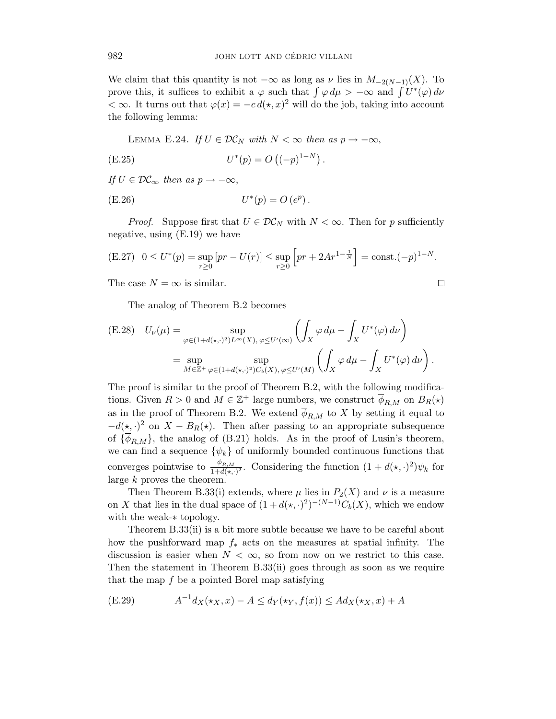We claim that this quantity is not  $-\infty$  as long as  $\nu$  lies in  $M_{-2(N-1)}(X)$ . To prove this, it suffices to exhibit a  $\varphi$  such that  $\int \varphi \, d\mu > -\infty$  and  $\int U^*(\varphi) \, d\nu$  $<\infty$ . It turns out that  $\varphi(x) = -c d(x,x)^2$  will do the job, taking into account the following lemma:

LEMMA E.24. If  $U \in \mathcal{DC}_N$  with  $N < \infty$  then as  $p \to -\infty$ ,

(E.25) 
$$
U^*(p) = O((-p)^{1-N}).
$$

If  $U \in \mathcal{DC}_{\infty}$  then as  $p \to -\infty$ ,

(E.26) 
$$
U^*(p) = O(e^p).
$$

*Proof.* Suppose first that  $U \in \mathcal{DC}_N$  with  $N < \infty$ . Then for p sufficiently negative, using (E.19) we have

(E.27) 
$$
0 \le U^*(p) = \sup_{r \ge 0} [pr - U(r)] \le \sup_{r \ge 0} [pr + 2Ar^{1-\frac{1}{N}}] = \text{const.}(-p)^{1-N}.
$$

The case  $N = \infty$  is similar.

The analog of Theorem B.2 becomes

(E.28) 
$$
U_{\nu}(\mu) = \sup_{\varphi \in (1+d(\star,\cdot)^2)L^{\infty}(X), \varphi \leq U'(\infty)} \left( \int_X \varphi \, d\mu - \int_X U^*(\varphi) \, d\nu \right)
$$

$$
= \sup_{M \in \mathbb{Z}^+} \sup_{\varphi \in (1+d(\star,\cdot)^2)C_b(X), \varphi \leq U'(M)} \left( \int_X \varphi \, d\mu - \int_X U^*(\varphi) \, d\nu \right).
$$

The proof is similar to the proof of Theorem B.2, with the following modifications. Given  $R > 0$  and  $M \in \mathbb{Z}^+$  large numbers, we construct  $\overline{\phi}_{R,M}$  on  $B_R(\star)$ as in the proof of Theorem B.2. We extend  $\overline{\phi}_{R,M}$  to X by setting it equal to  $-d(\star, \cdot)^2$  on  $X - B_R(\star)$ . Then after passing to an appropriate subsequence of  $\{\phi_{R,M}\}\$ , the analog of (B.21) holds. As in the proof of Lusin's theorem, we can find a sequence  $\{\psi_k\}$  of uniformly bounded continuous functions that converges pointwise to  $\frac{\phi_{R,M}}{1+d(x,y)^2}$ . Considering the function  $(1+d(x,y)^2)\psi_k$  for large k proves the theorem.

Then Theorem B.33(i) extends, where  $\mu$  lies in  $P_2(X)$  and  $\nu$  is a measure on X that lies in the dual space of  $(1 + d(\star, \cdot)^2)^{-(N-1)}C_b(X)$ , which we endow with the weak-∗ topology.

Theorem B.33(ii) is a bit more subtle because we have to be careful about how the pushforward map  $f_*$  acts on the measures at spatial infinity. The discussion is easier when  $N < \infty$ , so from now on we restrict to this case. Then the statement in Theorem B.33(ii) goes through as soon as we require that the map  $f$  be a pointed Borel map satisfying

(E.29) 
$$
A^{-1}d_X(\star_X, x) - A \le d_Y(\star_Y, f(x)) \le Ad_X(\star_X, x) + A
$$

$$
\qquad \qquad \Box
$$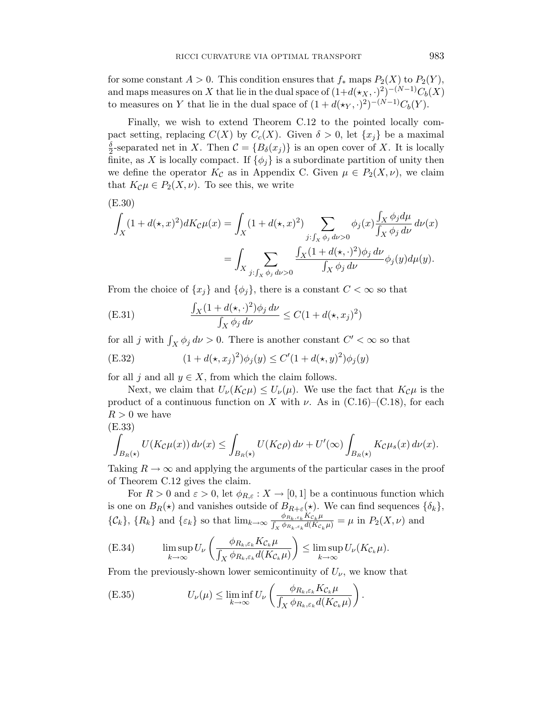for some constant  $A > 0$ . This condition ensures that  $f_*$  maps  $P_2(X)$  to  $P_2(Y)$ , and maps measures on X that lie in the dual space of  $(1+d(\star_X, \cdot)^2)^{-(N-1)}C_b(X)$ to measures on Y that lie in the dual space of  $(1 + d(\star_Y, \cdot)^2)^{-(N-1)}C_b(Y)$ .

Finally, we wish to extend Theorem C.12 to the pointed locally compact setting, replacing  $C(X)$  by  $C_c(X)$ . Given  $\delta > 0$ , let  $\{x_i\}$  be a maximal δ  $\frac{\delta}{2}$ -separated net in X. Then  $\mathcal{C} = \{B_\delta(x_j)\}\$ is an open cover of X. It is locally finite, as X is locally compact. If  $\{\phi_i\}$  is a subordinate partition of unity then we define the operator  $K_{\mathcal{C}}$  as in Appendix C. Given  $\mu \in P_2(X, \nu)$ , we claim that  $K_{\mathcal{C}}\mu \in P_2(X,\nu)$ . To see this, we write

(E.30)  
\n
$$
\int_X (1 + d(\star, x)^2) dK_C \mu(x) = \int_X (1 + d(\star, x)^2) \sum_{j: \int_X \phi_j d\nu > 0} \phi_j(x) \frac{\int_X \phi_j d\mu}{\int_X \phi_j d\nu} d\nu(x)
$$
\n
$$
= \int_X \sum_{j: \int_X \phi_j d\nu > 0} \frac{\int_X (1 + d(\star, \cdot)^2) \phi_j d\nu}{\int_X \phi_j d\nu} \phi_j(y) d\mu(y).
$$

From the choice of  $\{x_j\}$  and  $\{\phi_j\}$ , there is a constant  $C < \infty$  so that

(E.31) 
$$
\frac{\int_X (1+d(\star,\cdot)^2)\phi_j d\nu}{\int_X \phi_j d\nu} \leq C(1+d(\star,x_j)^2)
$$

for all j with  $\int_X \phi_j d\nu > 0$ . There is another constant  $C' < \infty$  so that

(E.32) 
$$
(1 + d(\star, x_j)^2)\phi_j(y) \le C'(1 + d(\star, y)^2)\phi_j(y)
$$

for all j and all  $y \in X$ , from which the claim follows.

Next, we claim that  $U_{\nu}(K_{\mathcal{C}}\mu) \leq U_{\nu}(\mu)$ . We use the fact that  $K_{\mathcal{C}}\mu$  is the product of a continuous function on X with  $\nu$ . As in (C.16)–(C.18), for each  $R > 0$  we have

$$
(E.33)
$$

$$
\int_{B_R(\star)} U(K_{\mathcal{C}}\mu(x)) d\nu(x) \leq \int_{B_R(\star)} U(K_{\mathcal{C}}\rho) d\nu + U'(\infty) \int_{B_R(\star)} K_{\mathcal{C}}\mu_s(x) d\nu(x).
$$

Taking  $R \to \infty$  and applying the arguments of the particular cases in the proof of Theorem C.12 gives the claim.

For  $R > 0$  and  $\varepsilon > 0$ , let  $\phi_{R,\varepsilon}: X \to [0,1]$  be a continuous function which is one on  $B_R(\star)$  and vanishes outside of  $B_{R+\varepsilon}(\star)$ . We can find sequences  $\{\delta_k\},$  $\{\mathcal{C}_k\}, \{R_k\}$  and  $\{\varepsilon_k\}$  so that  $\lim_{k\to\infty} \frac{\phi_{R_k,\varepsilon_k}K_{\mathcal{C}_k}\mu}{\int \phi_{R_k,\varepsilon_k}d(K_{\mathcal{C}_k})}$  $\frac{\varphi_{R_k,\varepsilon_k} R_{\mathcal{C}_k} R}{\int_X \phi_{R_k,\varepsilon_k} d(K_{\mathcal{C}_k} \mu)} = \mu$  in  $P_2(X,\nu)$  and

(E.34) 
$$
\limsup_{k \to \infty} U_{\nu} \left( \frac{\phi_{R_k, \varepsilon_k} K_{\mathcal{C}_k} \mu}{\int_X \phi_{R_k, \varepsilon_k} d(K_{\mathcal{C}_k} \mu)} \right) \leq \limsup_{k \to \infty} U_{\nu} (K_{\mathcal{C}_k} \mu).
$$

From the previously-shown lower semicontinuity of  $U_{\nu}$ , we know that

(E.35) 
$$
U_{\nu}(\mu) \leq \liminf_{k \to \infty} U_{\nu} \left( \frac{\phi_{R_k, \varepsilon_k} K_{\mathcal{C}_k} \mu}{\int_X \phi_{R_k, \varepsilon_k} d(K_{\mathcal{C}_k} \mu)} \right).
$$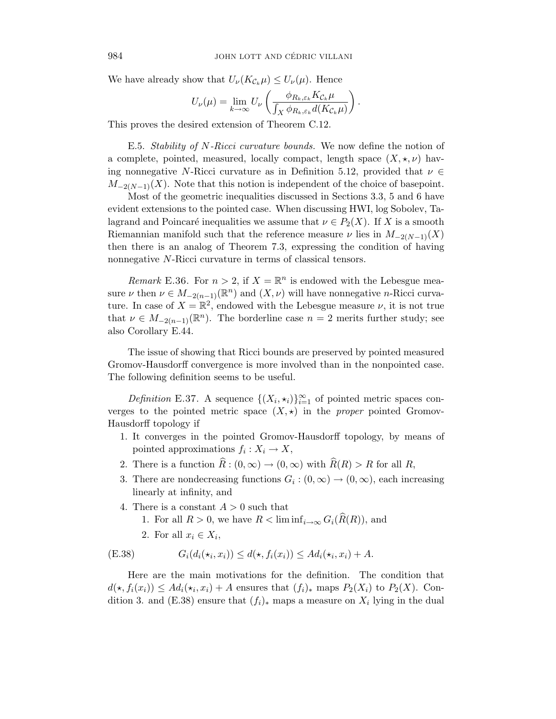.

We have already show that  $U_{\nu}(K_{\mathcal{C}_k}\mu) \leq U_{\nu}(\mu)$ . Hence

$$
U_{\nu}(\mu) = \lim_{k \to \infty} U_{\nu} \left( \frac{\phi_{R_k, \varepsilon_k} K_{\mathcal{C}_k} \mu}{\int_X \phi_{R_k, \varepsilon_k} d(K_{\mathcal{C}_k} \mu)} \right)
$$

This proves the desired extension of Theorem C.12.

E.5. Stability of N-Ricci curvature bounds. We now define the notion of a complete, pointed, measured, locally compact, length space  $(X, \star, \nu)$  having nonnegative N-Ricci curvature as in Definition 5.12, provided that  $\nu \in$  $M_{-2(N-1)}(X)$ . Note that this notion is independent of the choice of basepoint.

Most of the geometric inequalities discussed in Sections 3.3, 5 and 6 have evident extensions to the pointed case. When discussing HWI, log Sobolev, Talagrand and Poincaré inequalities we assume that  $\nu \in P_2(X)$ . If X is a smooth Riemannian manifold such that the reference measure  $\nu$  lies in  $M_{-2(N-1)}(X)$ then there is an analog of Theorem 7.3, expressing the condition of having nonnegative N-Ricci curvature in terms of classical tensors.

Remark E.36. For  $n > 2$ , if  $X = \mathbb{R}^n$  is endowed with the Lebesgue measure  $\nu$  then  $\nu \in M_{-2(n-1)}(\mathbb{R}^n)$  and  $(X,\nu)$  will have nonnegative *n*-Ricci curvature. In case of  $X = \mathbb{R}^2$ , endowed with the Lebesgue measure  $\nu$ , it is not true that  $\nu \in M_{-2(n-1)}(\mathbb{R}^n)$ . The borderline case  $n=2$  merits further study; see also Corollary E.44.

The issue of showing that Ricci bounds are preserved by pointed measured Gromov-Hausdorff convergence is more involved than in the nonpointed case. The following definition seems to be useful.

Definition E.37. A sequence  $\{(X_i, \star_i)\}_{i=1}^{\infty}$  of pointed metric spaces converges to the pointed metric space  $(X, \star)$  in the *proper* pointed Gromov-Hausdorff topology if

- 1. It converges in the pointed Gromov-Hausdorff topology, by means of pointed approximations  $f_i: X_i \to X$ ,
- 2. There is a function  $\widehat{R} : (0, \infty) \to (0, \infty)$  with  $\widehat{R}(R) > R$  for all R,
- 3. There are nondecreasing functions  $G_i : (0, \infty) \to (0, \infty)$ , each increasing linearly at infinity, and
- 4. There is a constant  $A > 0$  such that
	- 1. For all  $R > 0$ , we have  $R < \liminf_{i \to \infty} G_i(\widehat{R}(R))$ , and
	- 2. For all  $x_i \in X_i$ ,

$$
(E.38) \tGi(di(\stari, xi)) \leq d(\star, fi(xi)) \leq Adi(\stari, xi) + A.
$$

Here are the main motivations for the definition. The condition that  $d(\star, f_i(x_i)) \leq Ad_i(\star_i, x_i) + A$  ensures that  $(f_i)_*$  maps  $P_2(X_i)$  to  $P_2(X)$ . Condition 3. and (E.38) ensure that  $(f_i)_*$  maps a measure on  $X_i$  lying in the dual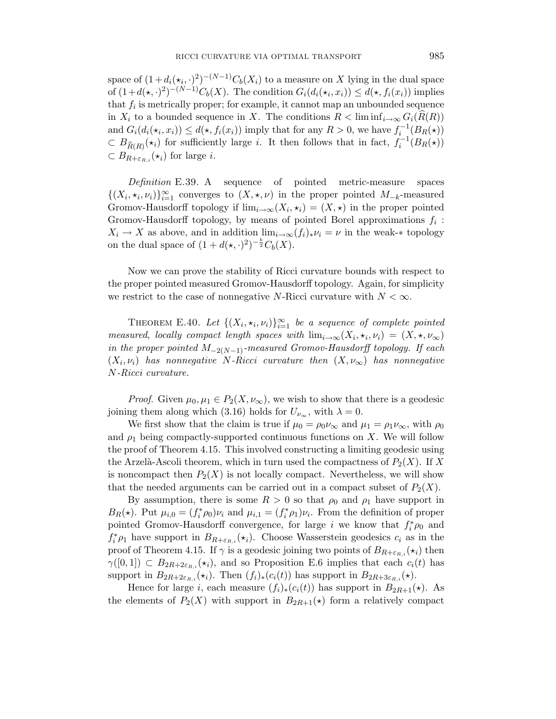space of  $(1+d_i(\star_i, \cdot)^2)^{-(N-1)}C_b(X_i)$  to a measure on X lying in the dual space of  $(1+d(\star, \cdot)^2)^{-(N-1)}C_b(X)$ . The condition  $G_i(d_i(\star_i, x_i)) \leq d(\star, f_i(x_i))$  implies that  $f_i$  is metrically proper; for example, it cannot map an unbounded sequence in  $X_i$  to a bounded sequence in X. The conditions  $R < \liminf_{i \to \infty} G_i(R(R))$ and  $G_i(d_i(\star_i, x_i)) \leq d(\star, f_i(x_i))$  imply that for any  $R > 0$ , we have  $f_i^{-1}(B_R(\star))$  $\subset B_{\widehat{R}(R)}(\star_i)$  for sufficiently large i. It then follows that in fact,  $f_i^{-1}(B_R(\star))$  $\subset B_{R+\varepsilon_{R,i}}(\star_i)$  for large *i*.

Definition E.39. A sequence of pointed metric-measure spaces  $\{(X_i, \star_i, \nu_i)\}_{i=1}^{\infty}$  converges to  $(X, \star, \nu)$  in the proper pointed  $M_{-k}$ -measured Gromov-Hausdorff topology if  $\lim_{i\to\infty}(X_i,\star_i)=(X,\star)$  in the proper pointed Gromov-Hausdorff topology, by means of pointed Borel approximations  $f_i$ :  $X_i \to X$  as above, and in addition  $\lim_{i\to\infty} (f_i)_*\nu_i = \nu$  in the weak-\* topology on the dual space of  $(1+d(\star,\cdot)^2)^{-\frac{k}{2}}C_b(X)$ .

Now we can prove the stability of Ricci curvature bounds with respect to the proper pointed measured Gromov-Hausdorff topology. Again, for simplicity we restrict to the case of nonnegative N-Ricci curvature with  $N < \infty$ .

THEOREM E.40. Let  $\{(X_i, \star_i, \nu_i)\}_{i=1}^{\infty}$  be a sequence of complete pointed measured, locally compact length spaces with  $\lim_{i\to\infty}(X_i,\star_i,\nu_i)=(X,\star,\nu_\infty)$ in the proper pointed  $M_{-2(N-1)}$ -measured Gromov-Hausdorff topology. If each  $(X_i, \nu_i)$  has nonnegative N-Ricci curvature then  $(X, \nu_{\infty})$  has nonnegative N-Ricci curvature.

*Proof.* Given  $\mu_0, \mu_1 \in P_2(X, \nu_\infty)$ , we wish to show that there is a geodesic joining them along which (3.16) holds for  $U_{\nu_{\infty}}$ , with  $\lambda = 0$ .

We first show that the claim is true if  $\mu_0 = \rho_0 \nu_\infty$  and  $\mu_1 = \rho_1 \nu_\infty$ , with  $\rho_0$ and  $\rho_1$  being compactly-supported continuous functions on X. We will follow the proof of Theorem 4.15. This involved constructing a limiting geodesic using the Arzelà-Ascoli theorem, which in turn used the compactness of  $P_2(X)$ . If X is noncompact then  $P_2(X)$  is not locally compact. Nevertheless, we will show that the needed arguments can be carried out in a compact subset of  $P_2(X)$ .

By assumption, there is some  $R > 0$  so that  $\rho_0$  and  $\rho_1$  have support in  $B_R(\star)$ . Put  $\mu_{i,0} = (f_i^* \rho_0) \nu_i$  and  $\mu_{i,1} = (f_i^* \rho_1) \nu_i$ . From the definition of proper pointed Gromov-Hausdorff convergence, for large i we know that  $f_i^* \rho_0$  and  $f_i^*\rho_1$  have support in  $B_{R+\varepsilon_{R,i}}(\star_i)$ . Choose Wasserstein geodesics  $c_i$  as in the proof of Theorem 4.15. If  $\gamma$  is a geodesic joining two points of  $B_{R+\varepsilon_{R,i}}(\star_i)$  then  $\gamma([0,1]) \subset B_{2R+2\varepsilon_{R,i}}(\star_i)$ , and so Proposition E.6 implies that each  $c_i(t)$  has support in  $B_{2R+2\varepsilon_{R,i}}(\star_i)$ . Then  $(f_i)_*(c_i(t))$  has support in  $B_{2R+3\varepsilon_{R,i}}(\star)$ .

Hence for large i, each measure  $(f_i)_*(c_i(t))$  has support in  $B_{2R+1}(\star)$ . As the elements of  $P_2(X)$  with support in  $B_{2R+1}(\star)$  form a relatively compact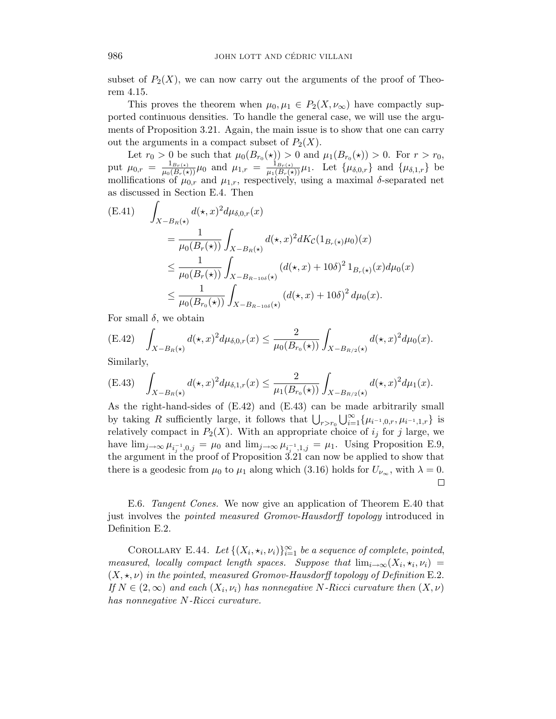subset of  $P_2(X)$ , we can now carry out the arguments of the proof of Theorem 4.15.

This proves the theorem when  $\mu_0, \mu_1 \in P_2(X, \nu_\infty)$  have compactly supported continuous densities. To handle the general case, we will use the arguments of Proposition 3.21. Again, the main issue is to show that one can carry out the arguments in a compact subset of  $P_2(X)$ .

Let  $r_0 > 0$  be such that  $\mu_0(B_{r_0}(\star)) > 0$  and  $\mu_1(B_{r_0}(\star)) > 0$ . For  $r > r_0$ , put  $\mu_{0,r} = \frac{1_{B_r(\star)}}{\mu_0(B_r(\star))}\mu_0$  and  $\mu_{1,r} = \frac{1_{B_r(\star)}}{\mu_1(B_r(\star))}\mu_1$ . Let  $\{\mu_{\delta,0,r}\}\$  and  $\{\mu_{\delta,1,r}\}\$  be mollifications of  $\mu_{0,r}$  and  $\mu_{1,r}$ , respectively, using a maximal  $\delta$ -separated net as discussed in Section E.4. Then

$$
\begin{split} \text{(E.41)} \qquad & \int_{X-B_R(\star)} d(\star, x)^2 d\mu_{\delta,0,r}(x) \\ &= \frac{1}{\mu_0(B_r(\star))} \int_{X-B_R(\star)} d(\star, x)^2 dK_{\mathcal{C}}(1_{B_r(\star)\mu_0})(x) \\ &\leq \frac{1}{\mu_0(B_r(\star))} \int_{X-B_{R-10\delta}(\star)} (d(\star, x) + 10\delta)^2 1_{B_r(\star)}(x) d\mu_0(x) \\ &\leq \frac{1}{\mu_0(B_{r_0}(\star))} \int_{X-B_{R-10\delta}(\star)} (d(\star, x) + 10\delta)^2 d\mu_0(x). \end{split}
$$

For small  $\delta$ , we obtain

$$
\text{(E.42)} \quad \int_{X-B_R(\star)} d(\star,x)^2 d\mu_{\delta,0,r}(x) \le \frac{2}{\mu_0(B_{r_0}(\star))} \int_{X-B_{R/2}(\star)} d(\star,x)^2 d\mu_0(x).
$$

Similarly,

(E.43) 
$$
\int_{X-B_R(x)} d(\star,x)^2 d\mu_{\delta,1,r}(x) \leq \frac{2}{\mu_1(B_{r_0}(\star))} \int_{X-B_{R/2}(\star)} d(\star,x)^2 d\mu_1(x).
$$

As the right-hand-sides of (E.42) and (E.43) can be made arbitrarily small by taking R sufficiently large, it follows that  $\bigcup_{r>r_0}\bigcup_{i=1}^{\infty}\{\mu_{i^{-1},0,r},\mu_{i^{-1},1,r}\}\$  is relatively compact in  $P_2(X)$ . With an appropriate choice of  $i_j$  for j large, we have  $\lim_{j\to\infty}\mu_{i_j^{-1},0,j} = \mu_0$  and  $\lim_{j\to\infty}\mu_{i_j^{-1},1,j} = \mu_1$ . Using Proposition E.9, the argument in the proof of Proposition 3.21 can now be applied to show that there is a geodesic from  $\mu_0$  to  $\mu_1$  along which (3.16) holds for  $U_{\nu_{\infty}}$ , with  $\lambda = 0$ .  $\Box$ 

E.6. Tangent Cones. We now give an application of Theorem E.40 that just involves the pointed measured Gromov-Hausdorff topology introduced in Definition E.2.

COROLLARY E.44. Let  $\{(X_i, \star_i, \nu_i)\}_{i=1}^{\infty}$  be a sequence of complete, pointed, measured, locally compact length spaces. Suppose that  $\lim_{i\to\infty}(X_i,\star_i,\nu_i)$  =  $(X, \star, \nu)$  in the pointed, measured Gromov-Hausdorff topology of Definition E.2. If  $N \in (2,\infty)$  and each  $(X_i,\nu_i)$  has nonnegative N-Ricci curvature then  $(X,\nu)$ has nonnegative N-Ricci curvature.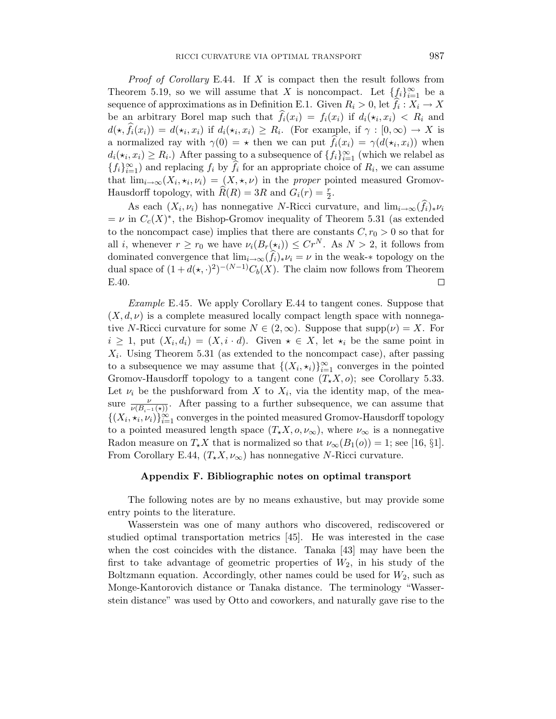*Proof of Corollary* E.44. If  $X$  is compact then the result follows from Theorem 5.19, so we will assume that X is noncompact. Let  $\{f_i\}_{i=1}^{\infty}$  be a sequence of approximations as in Definition E.1. Given  $R_i > 0$ , let  $f_i : X_i \to X$ be an arbitrary Borel map such that  $f_i(x_i) = f_i(x_i)$  if  $d_i(\star_i, x_i) < R_i$  and  $d(\star, f_i(x_i)) = d(\star_i, x_i)$  if  $d_i(\star_i, x_i) \geq R_i$ . (For example, if  $\gamma : [0, \infty) \to X$  is a normalized ray with  $\gamma(0) = \star$  then we can put  $f_i(x_i) = \gamma(d(\star_i, x_i))$  when  $d_i(\star_i, x_i) \ge R_i$ .) After passing to a subsequence of  $\{f_i\}_{i=1}^{\infty}$  (which we relabel as  ${f_i}_{i=1}^{\infty}$  and replacing  $f_i$  by  $\widehat{f_i}$  for an appropriate choice of  $R_i$ , we can assume that  $\lim_{i\to\infty}(X_i,\star_i,\nu_i)=(X,\star,\nu)$  in the proper pointed measured Gromov-Hausdorff topology, with  $\widehat{R}(R) = 3R$  and  $G_i(r) = \frac{r}{2}$ .

As each  $(X_i, \nu_i)$  has nonnegative N-Ricci curvature, and  $\lim_{i\to\infty} (f_i)_*\nu_i$  $= \nu$  in  $C_c(X)^*$ , the Bishop-Gromov inequality of Theorem 5.31 (as extended to the noncompact case) implies that there are constants  $C, r_0 > 0$  so that for all i, whenever  $r \ge r_0$  we have  $\nu_i(B_r(\star_i)) \le Cr^N$ . As  $N > 2$ , it follows from dominated convergence that  $\lim_{i\to\infty} (f_i)_*\nu_i = \nu$  in the weak-∗ topology on the dual space of  $(1+d(\star, \cdot)^2)^{-(N-1)}C_b(X)$ . The claim now follows from Theorem E.40.  $\Box$ 

Example E.45. We apply Corollary E.44 to tangent cones. Suppose that  $(X, d, \nu)$  is a complete measured locally compact length space with nonnegative N-Ricci curvature for some  $N \in (2,\infty)$ . Suppose that supp $(\nu) = X$ . For  $i \geq 1$ , put  $(X_i, d_i) = (X, i \cdot d)$ . Given  $\star \in X$ , let  $\star_i$  be the same point in  $X_i$ . Using Theorem 5.31 (as extended to the noncompact case), after passing to a subsequence we may assume that  $\{(X_i, \star_i)\}_{i=1}^{\infty}$  converges in the pointed Gromov-Hausdorff topology to a tangent cone  $(T_*X, o)$ ; see Corollary 5.33. Let  $\nu_i$  be the pushforward from X to  $X_i$ , via the identity map, of the measure  $\frac{\nu}{\nu(B_i-1(\star))}$ . After passing to a further subsequence, we can assume that  $\{(X_i, \star_i, \nu_i)\}_{i=1}^{\infty}$  converges in the pointed measured Gromov-Hausdorff topology to a pointed measured length space  $(T_*X, o, \nu_\infty)$ , where  $\nu_\infty$  is a nonnegative Radon measure on  $T_{\star}X$  that is normalized so that  $\nu_{\infty}(B_1(o)) = 1$ ; see [16, §1]. From Corollary E.44,  $(T_{\star}X, \nu_{\infty})$  has nonnegative N-Ricci curvature.

## Appendix F. Bibliographic notes on optimal transport

The following notes are by no means exhaustive, but may provide some entry points to the literature.

Wasserstein was one of many authors who discovered, rediscovered or studied optimal transportation metrics [45]. He was interested in the case when the cost coincides with the distance. Tanaka [43] may have been the first to take advantage of geometric properties of  $W_2$ , in his study of the Boltzmann equation. Accordingly, other names could be used for  $W_2$ , such as Monge-Kantorovich distance or Tanaka distance. The terminology "Wasserstein distance" was used by Otto and coworkers, and naturally gave rise to the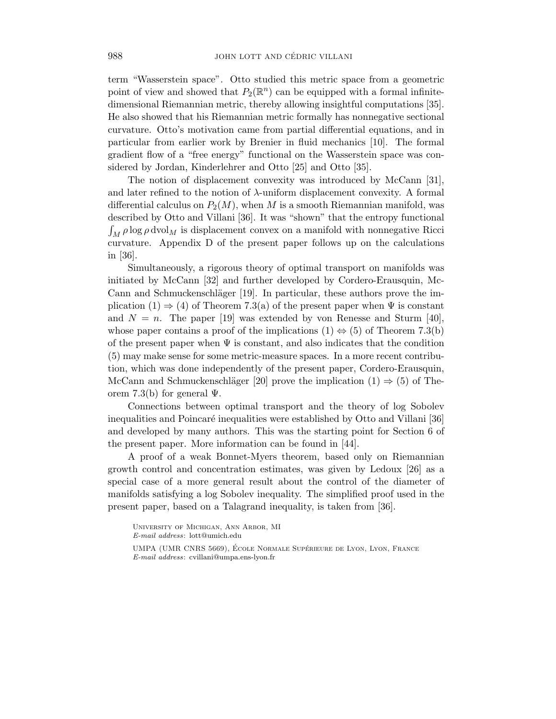term "Wasserstein space". Otto studied this metric space from a geometric point of view and showed that  $P_2(\mathbb{R}^n)$  can be equipped with a formal infinitedimensional Riemannian metric, thereby allowing insightful computations [35]. He also showed that his Riemannian metric formally has nonnegative sectional curvature. Otto's motivation came from partial differential equations, and in particular from earlier work by Brenier in fluid mechanics [10]. The formal gradient flow of a "free energy" functional on the Wasserstein space was considered by Jordan, Kinderlehrer and Otto [25] and Otto [35].

The notion of displacement convexity was introduced by McCann [31], and later refined to the notion of  $\lambda$ -uniform displacement convexity. A formal differential calculus on  $P_2(M)$ , when M is a smooth Riemannian manifold, was described by Otto and Villani [36]. It was "shown" that the entropy functional  $\int_M \rho \log \rho \, \text{dvol}_M$  is displacement convex on a manifold with nonnegative Ricci curvature. Appendix D of the present paper follows up on the calculations in [36].

Simultaneously, a rigorous theory of optimal transport on manifolds was initiated by McCann [32] and further developed by Cordero-Erausquin, Mc-Cann and Schmuckenschläger [19]. In particular, these authors prove the implication  $(1) \Rightarrow (4)$  of Theorem 7.3(a) of the present paper when  $\Psi$  is constant and  $N = n$ . The paper [19] was extended by von Renesse and Sturm [40], whose paper contains a proof of the implications  $(1) \Leftrightarrow (5)$  of Theorem 7.3(b) of the present paper when  $\Psi$  is constant, and also indicates that the condition (5) may make sense for some metric-measure spaces. In a more recent contribution, which was done independently of the present paper, Cordero-Erausquin, McCann and Schmuckenschläger [20] prove the implication (1)  $\Rightarrow$  (5) of Theorem 7.3(b) for general  $\Psi$ .

Connections between optimal transport and the theory of log Sobolev inequalities and Poincaré inequalities were established by Otto and Villani [36] and developed by many authors. This was the starting point for Section 6 of the present paper. More information can be found in [44].

A proof of a weak Bonnet-Myers theorem, based only on Riemannian growth control and concentration estimates, was given by Ledoux [26] as a special case of a more general result about the control of the diameter of manifolds satisfying a log Sobolev inequality. The simplified proof used in the present paper, based on a Talagrand inequality, is taken from [36].

UMPA (UMR CNRS 5669), ÉCOLE NORMALE SUPÉRIEURE DE LYON, LYON, FRANCE E-mail address: cvillani@umpa.ens-lyon.fr

University of Michigan, Ann Arbor, MI

E-mail address: lott@umich.edu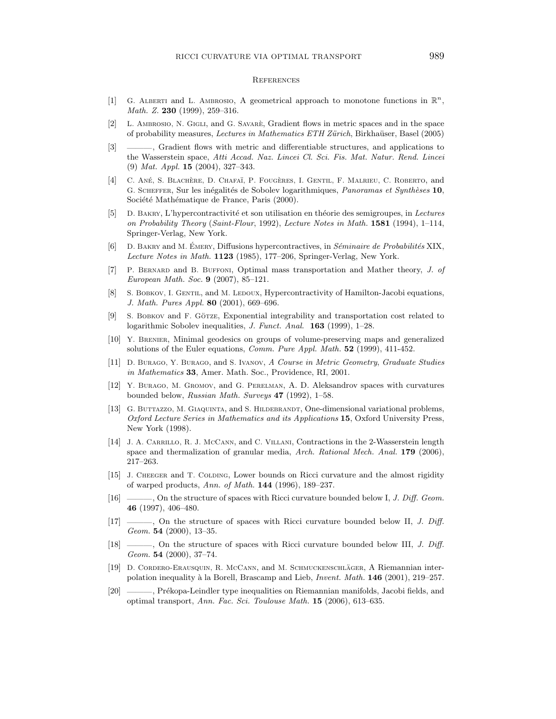## **REFERENCES**

- [1] G. ALBERTI and L. AMBROSIO, A geometrical approach to monotone functions in  $\mathbb{R}^n$ , Math. Z. 230 (1999), 259–316.
- [2] L. Ambrosio, N. Gigli, and G. Savare`, Gradient flows in metric spaces and in the space of probability measures, Lectures in Mathematics ETH Zürich, Birkhaüser, Basel (2005)
- [3] ———, Gradient flows with metric and differentiable structures, and applications to the Wasserstein space, Atti Accad. Naz. Lincei Cl. Sci. Fis. Mat. Natur. Rend. Lincei (9) Mat. Appl. 15 (2004), 327–343.
- [4] C. Ané, S. Blachère, D. Chafaï, P. Fougères, I. Gentil, F. Malrieu, C. Roberto, and G. SCHEFFER, Sur les inégalités de Sobolev logarithmiques, Panoramas et Synthèses 10, Société Mathématique de France, Paris (2000).
- [5] D. BAKRY, L'hypercontractivité et son utilisation en théorie des semigroupes, in Lectures on Probability Theory (Saint-Flour, 1992), Lecture Notes in Math. 1581 (1994), 1–114, Springer-Verlag, New York.
- [6] D. BAKRY and M. EMERY, Diffusions hypercontractives, in Séminaire de Probabilités XIX, Lecture Notes in Math. 1123 (1985), 177–206, Springer-Verlag, New York.
- [7] P. Bernard and B. Buffoni, Optimal mass transportation and Mather theory, J. of European Math. Soc. 9 (2007), 85–121.
- [8] S. BOBKOV, I. GENTIL, and M. LEDOUX, Hypercontractivity of Hamilton-Jacobi equations, J. Math. Pures Appl. 80 (2001), 669–696.
- [9] S. Bobkov and F. Görze, Exponential integrability and transportation cost related to logarithmic Sobolev inequalities, *J. Funct. Anal.* **163** (1999), 1–28.
- [10] Y. Brenier, Minimal geodesics on groups of volume-preserving maps and generalized solutions of the Euler equations, *Comm. Pure Appl. Math.* 52 (1999), 411-452.
- [11] D. Burago, Y. Burago, and S. Ivanov, A Course in Metric Geometry, Graduate Studies in Mathematics 33, Amer. Math. Soc., Providence, RI, 2001.
- [12] Y. Burago, M. Gromov, and G. Perelman, A. D. Aleksandrov spaces with curvatures bounded below, Russian Math. Surveys 47 (1992), 1–58.
- [13] G. Buttazzo, M. Giaquinta, and S. Hildebrandt, One-dimensional variational problems, Oxford Lecture Series in Mathematics and its Applications 15, Oxford University Press, New York (1998).
- [14] J. A. Carrillo, R. J. McCann, and C. Villani, Contractions in the 2-Wasserstein length space and thermalization of granular media, Arch. Rational Mech. Anal. 179 (2006), 217–263.
- [15] J. Cheeger and T. Colding, Lower bounds on Ricci curvature and the almost rigidity of warped products, Ann. of Math. 144 (1996), 189–237.
- [16] ———, On the structure of spaces with Ricci curvature bounded below I, J. Diff. Geom. 46 (1997), 406–480.
- $[17]$  ——, On the structure of spaces with Ricci curvature bounded below II, J. Diff. Geom. 54 (2000), 13–35.
- [18] ——, On the structure of spaces with Ricci curvature bounded below III, J. Diff. Geom. 54 (2000), 37–74.
- [19] D. CORDERO-ERAUSQUIN, R. MCCANN, and M. SCHMUCKENSCHLÄGER, A Riemannian interpolation inequality `a la Borell, Brascamp and Lieb, Invent. Math. 146 (2001), 219–257.
- [20] ——, Prékopa-Leindler type inequalities on Riemannian manifolds, Jacobi fields, and optimal transport, Ann. Fac. Sci. Toulouse Math. 15 (2006), 613–635.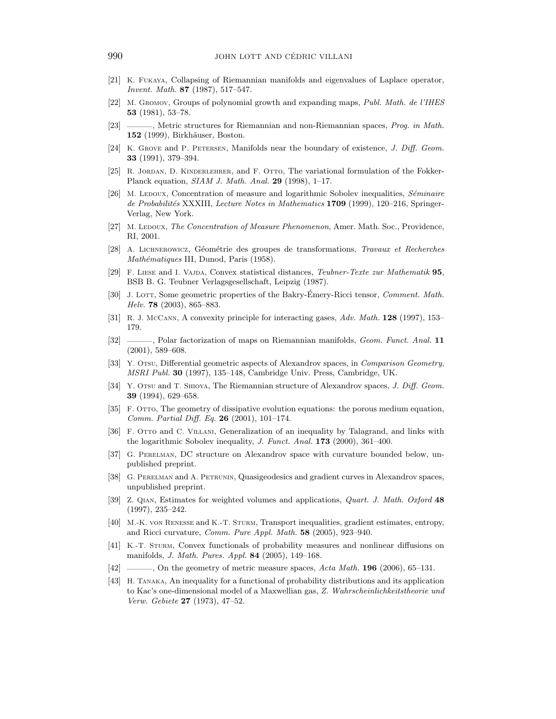- [21] K. Fukaya, Collapsing of Riemannian manifolds and eigenvalues of Laplace operator, Invent. Math. 87 (1987), 517–547.
- [22] M. Gromov, Groups of polynomial growth and expanding maps, Publ. Math. de l'IHES 53 (1981), 53–78.
- [23] ——, Metric structures for Riemannian and non-Riemannian spaces, *Prog. in Math.* 152 (1999), Birkhäuser, Boston.
- [24] K. GROVE and P. PETERSEN, Manifolds near the boundary of existence, J. Diff. Geom. 33 (1991), 379–394.
- [25] R. JORDAN, D. KINDERLEHRER, and F. OTTO, The variational formulation of the Fokker-Planck equation, SIAM J. Math. Anal. 29 (1998), 1–17.
- [26] M. Ledoux, Concentration of measure and logarithmic Sobolev inequalities,  $Séminaire$ de Probabilités XXXIII, Lecture Notes in Mathematics  $1709$  (1999), 120–216, Springer-Verlag, New York.
- [27] M. Ledoux, The Concentration of Measure Phenomenon, Amer. Math. Soc., Providence, RI, 2001.
- [28] A. LICHNEROWICZ, Géométrie des groupes de transformations, Travaux et Recherches Mathématiques III, Dunod, Paris (1958).
- [29] F. LIESE and I. VAJDA, Convex statistical distances, Teubner-Texte zur Mathematik 95, BSB B. G. Teubner Verlagsgesellschaft, Leipzig (1987).
- [30] J. LOTT, Some geometric properties of the Bakry-Emery-Ricci tensor, *Comment. Math.* Helv. **78** (2003), 865–883.
- [31] R. J. McCann, A convexity principle for interacting gases, Adv. Math. 128 (1997), 153– 179.
- [32] ———, Polar factorization of maps on Riemannian manifolds, Geom. Funct. Anal. 11 (2001), 589–608.
- [33] Y. Orsu, Differential geometric aspects of Alexandrov spaces, in *Comparison Geometry*, MSRI Publ. 30 (1997), 135–148, Cambridge Univ. Press, Cambridge, UK.
- [34] Y. Orsu and T. Shova, The Riemannian structure of Alexandrov spaces, J. Diff. Geom. 39 (1994), 629–658.
- [35] F. OTTO, The geometry of dissipative evolution equations: the porous medium equation, Comm. Partial Diff. Eq. 26 (2001), 101–174.
- [36] F. Otto and C. VILLANI, Generalization of an inequality by Talagrand, and links with the logarithmic Sobolev inequality, J. Funct. Anal. 173 (2000), 361–400.
- [37] G. Perelman, DC structure on Alexandrov space with curvature bounded below, unpublished preprint.
- [38] G. Perelman and A. Petrunin, Quasigeodesics and gradient curves in Alexandrov spaces, unpublished preprint.
- [39] Z. Qian, Estimates for weighted volumes and applications, Quart. J. Math. Oxford 48 (1997), 235–242.
- [40] M.-K. von Renesse and K.-T. Sturm, Transport inequalities, gradient estimates, entropy, and Ricci curvature, Comm. Pure Appl. Math. 58 (2005), 923–940.
- [41] K.-T. Sturm, Convex functionals of probability measures and nonlinear diffusions on manifolds, J. Math. Pures. Appl. 84 (2005), 149–168.
- $[42] \longrightarrow$ , On the geometry of metric measure spaces, Acta Math. **196** (2006), 65–131.
- [43] H. Tanaka, An inequality for a functional of probability distributions and its application to Kac's one-dimensional model of a Maxwellian gas, Z. Wahrscheinlichkeitstheorie und Verw. Gebiete 27 (1973), 47–52.